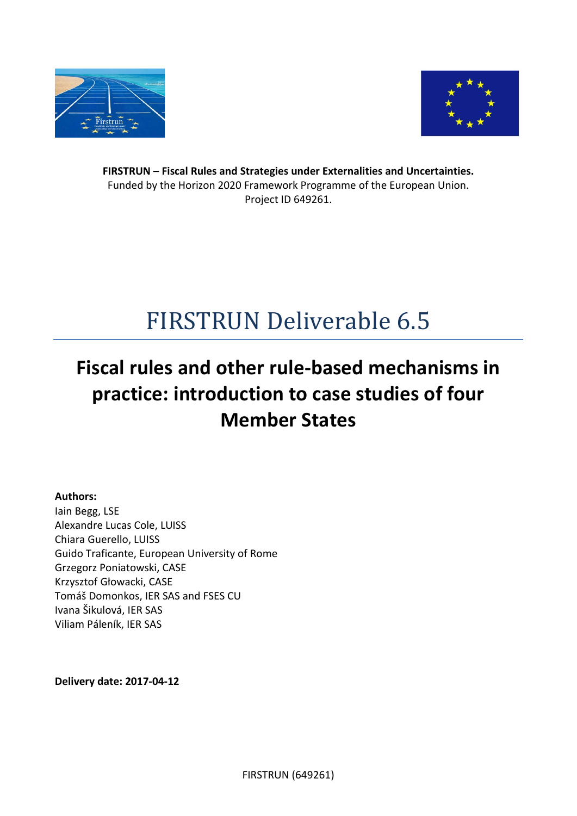



**FIRSTRUN – Fiscal Rules and Strategies under Externalities and Uncertainties.** Funded by the Horizon 2020 Framework Programme of the European Union. Project ID 649261.

# FIRSTRUN Deliverable 6.5

## **Fiscal rules and other rule-based mechanisms in practice: introduction to case studies of four Member States**

**Authors:** Iain Begg, LSE Alexandre Lucas Cole, LUISS Chiara Guerello, LUISS Guido Traficante, European University of Rome Grzegorz Poniatowski, CASE Krzysztof Głowacki, CASE Tomáš Domonkos, IER SAS and FSES CU Ivana Šikulová, IER SAS Viliam Páleník, IER SAS

**Delivery date: 2017-04-12**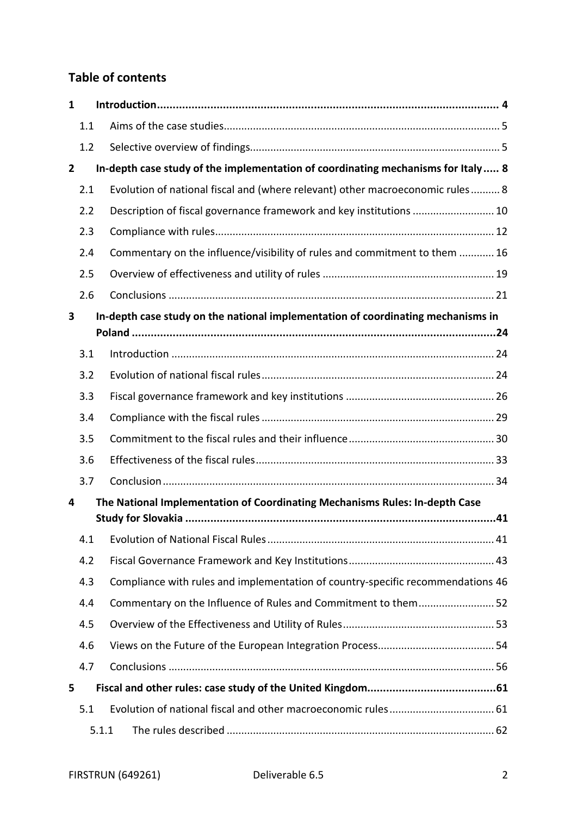## **Table of contents**

| 1              |       |                                                                                  |  |
|----------------|-------|----------------------------------------------------------------------------------|--|
|                | 1.1   |                                                                                  |  |
|                | 1.2   |                                                                                  |  |
| $\overline{2}$ |       | In-depth case study of the implementation of coordinating mechanisms for Italy 8 |  |
|                | 2.1   | Evolution of national fiscal and (where relevant) other macroeconomic rules 8    |  |
|                | 2.2   | Description of fiscal governance framework and key institutions  10              |  |
|                | 2.3   |                                                                                  |  |
|                | 2.4   | Commentary on the influence/visibility of rules and commitment to them  16       |  |
|                | 2.5   |                                                                                  |  |
|                | 2.6   |                                                                                  |  |
| 3              |       | In-depth case study on the national implementation of coordinating mechanisms in |  |
|                |       |                                                                                  |  |
|                | 3.1   |                                                                                  |  |
|                | 3.2   |                                                                                  |  |
|                | 3.3   |                                                                                  |  |
|                | 3.4   |                                                                                  |  |
|                | 3.5   |                                                                                  |  |
|                | 3.6   |                                                                                  |  |
|                | 3.7   |                                                                                  |  |
| 4              |       | The National Implementation of Coordinating Mechanisms Rules: In-depth Case      |  |
|                | 4.1   |                                                                                  |  |
|                | 4.2   |                                                                                  |  |
|                | 4.3   | Compliance with rules and implementation of country-specific recommendations 46  |  |
|                | 4.4   | Commentary on the Influence of Rules and Commitment to them52                    |  |
|                | 4.5   |                                                                                  |  |
|                | 4.6   |                                                                                  |  |
|                | 4.7   |                                                                                  |  |
| 5              |       |                                                                                  |  |
|                | 5.1   |                                                                                  |  |
|                | 5.1.1 |                                                                                  |  |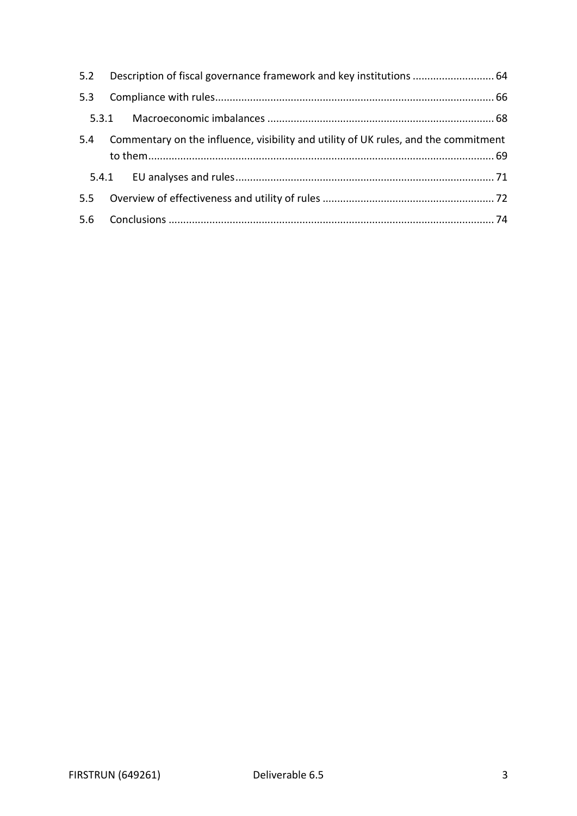| 5.2 Description of fiscal governance framework and key institutions  64                 |  |
|-----------------------------------------------------------------------------------------|--|
|                                                                                         |  |
|                                                                                         |  |
| 5.4 Commentary on the influence, visibility and utility of UK rules, and the commitment |  |
|                                                                                         |  |
|                                                                                         |  |
|                                                                                         |  |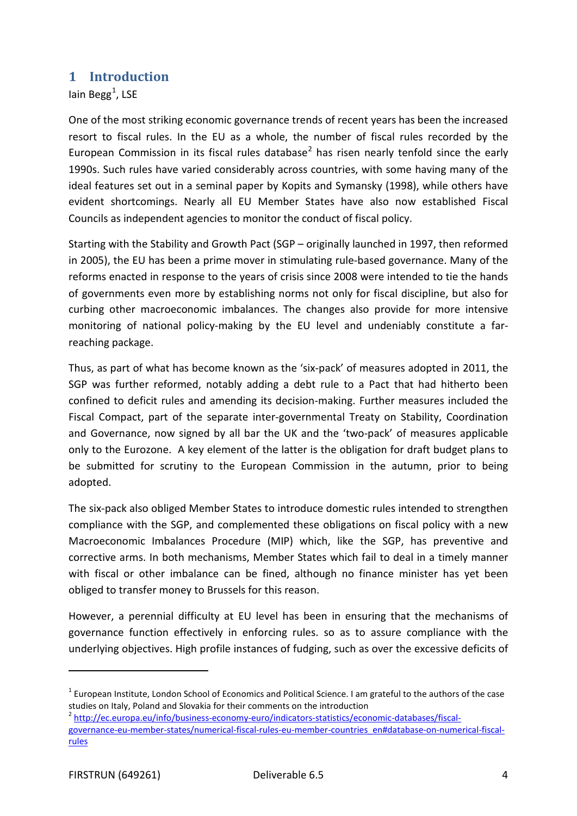#### <span id="page-3-0"></span>**1 Introduction**

lain Begg<sup>[1](#page-3-1)</sup>, LSE

One of the most striking economic governance trends of recent years has been the increased resort to fiscal rules. In the EU as a whole, the number of fiscal rules recorded by the European Commission in its fiscal rules database<sup>[2](#page-3-2)</sup> has risen nearly tenfold since the early 1990s. Such rules have varied considerably across countries, with some having many of the ideal features set out in a seminal paper by Kopits and Symansky (1998), while others have evident shortcomings. Nearly all EU Member States have also now established Fiscal Councils as independent agencies to monitor the conduct of fiscal policy.

Starting with the Stability and Growth Pact (SGP – originally launched in 1997, then reformed in 2005), the EU has been a prime mover in stimulating rule-based governance. Many of the reforms enacted in response to the years of crisis since 2008 were intended to tie the hands of governments even more by establishing norms not only for fiscal discipline, but also for curbing other macroeconomic imbalances. The changes also provide for more intensive monitoring of national policy-making by the EU level and undeniably constitute a farreaching package.

Thus, as part of what has become known as the 'six-pack' of measures adopted in 2011, the SGP was further reformed, notably adding a debt rule to a Pact that had hitherto been confined to deficit rules and amending its decision-making. Further measures included the Fiscal Compact, part of the separate inter-governmental Treaty on Stability, Coordination and Governance, now signed by all bar the UK and the 'two-pack' of measures applicable only to the Eurozone. A key element of the latter is the obligation for draft budget plans to be submitted for scrutiny to the European Commission in the autumn, prior to being adopted.

The six-pack also obliged Member States to introduce domestic rules intended to strengthen compliance with the SGP, and complemented these obligations on fiscal policy with a new Macroeconomic Imbalances Procedure (MIP) which, like the SGP, has preventive and corrective arms. In both mechanisms, Member States which fail to deal in a timely manner with fiscal or other imbalance can be fined, although no finance minister has yet been obliged to transfer money to Brussels for this reason.

However, a perennial difficulty at EU level has been in ensuring that the mechanisms of governance function effectively in enforcing rules. so as to assure compliance with the underlying objectives. High profile instances of fudging, such as over the excessive deficits of

 $\overline{a}$ 

<span id="page-3-1"></span> $1$  European Institute, London School of Economics and Political Science. I am grateful to the authors of the case studies on Italy, Poland and Slovakia for their comments on the introduction<br><sup>2</sup> [http://ec.europa.eu/info/business-economy-euro/indicators-statistics/economic-databases/fiscal-](http://ec.europa.eu/info/business-economy-euro/indicators-statistics/economic-databases/fiscal-governance-eu-member-states/numerical-fiscal-rules-eu-member-countries_en#database-on-numerical-fiscal-rules)

<span id="page-3-2"></span>

[governance-eu-member-states/numerical-fiscal-rules-eu-member-countries\\_en#database-on-numerical-fiscal](http://ec.europa.eu/info/business-economy-euro/indicators-statistics/economic-databases/fiscal-governance-eu-member-states/numerical-fiscal-rules-eu-member-countries_en#database-on-numerical-fiscal-rules)[rules](http://ec.europa.eu/info/business-economy-euro/indicators-statistics/economic-databases/fiscal-governance-eu-member-states/numerical-fiscal-rules-eu-member-countries_en#database-on-numerical-fiscal-rules)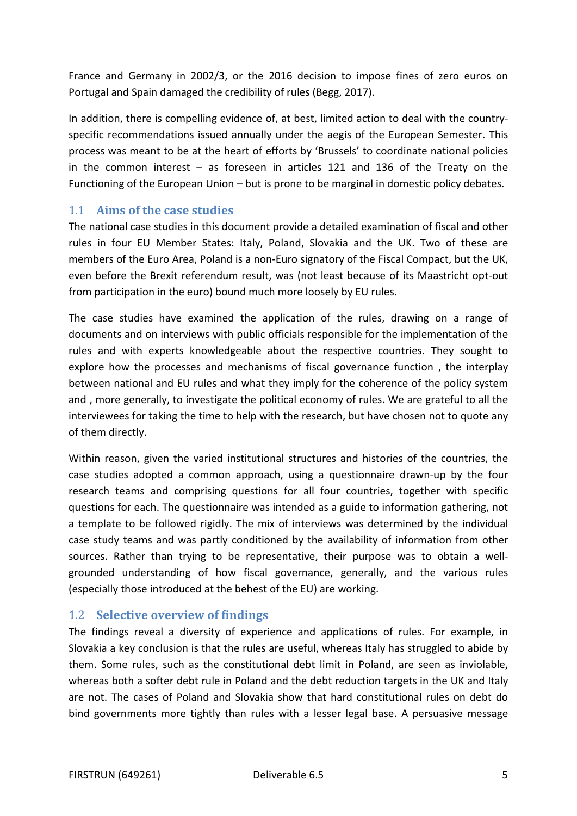France and Germany in 2002/3, or the 2016 decision to impose fines of zero euros on Portugal and Spain damaged the credibility of rules (Begg, 2017).

In addition, there is compelling evidence of, at best, limited action to deal with the countryspecific recommendations issued annually under the aegis of the European Semester. This process was meant to be at the heart of efforts by 'Brussels' to coordinate national policies in the common interest – as foreseen in articles 121 and 136 of the Treaty on the Functioning of the European Union – but is prone to be marginal in domestic policy debates.

#### <span id="page-4-0"></span>1.1 **Aims of the case studies**

The national case studies in this document provide a detailed examination of fiscal and other rules in four EU Member States: Italy, Poland, Slovakia and the UK. Two of these are members of the Euro Area, Poland is a non-Euro signatory of the Fiscal Compact, but the UK, even before the Brexit referendum result, was (not least because of its Maastricht opt-out from participation in the euro) bound much more loosely by EU rules.

The case studies have examined the application of the rules, drawing on a range of documents and on interviews with public officials responsible for the implementation of the rules and with experts knowledgeable about the respective countries. They sought to explore how the processes and mechanisms of fiscal governance function , the interplay between national and EU rules and what they imply for the coherence of the policy system and , more generally, to investigate the political economy of rules. We are grateful to all the interviewees for taking the time to help with the research, but have chosen not to quote any of them directly.

Within reason, given the varied institutional structures and histories of the countries, the case studies adopted a common approach, using a questionnaire drawn-up by the four research teams and comprising questions for all four countries, together with specific questions for each. The questionnaire was intended as a guide to information gathering, not a template to be followed rigidly. The mix of interviews was determined by the individual case study teams and was partly conditioned by the availability of information from other sources. Rather than trying to be representative, their purpose was to obtain a wellgrounded understanding of how fiscal governance, generally, and the various rules (especially those introduced at the behest of the EU) are working.

#### <span id="page-4-1"></span>1.2 **Selective overview of findings**

The findings reveal a diversity of experience and applications of rules. For example, in Slovakia a key conclusion is that the rules are useful, whereas Italy has struggled to abide by them. Some rules, such as the constitutional debt limit in Poland, are seen as inviolable, whereas both a softer debt rule in Poland and the debt reduction targets in the UK and Italy are not. The cases of Poland and Slovakia show that hard constitutional rules on debt do bind governments more tightly than rules with a lesser legal base. A persuasive message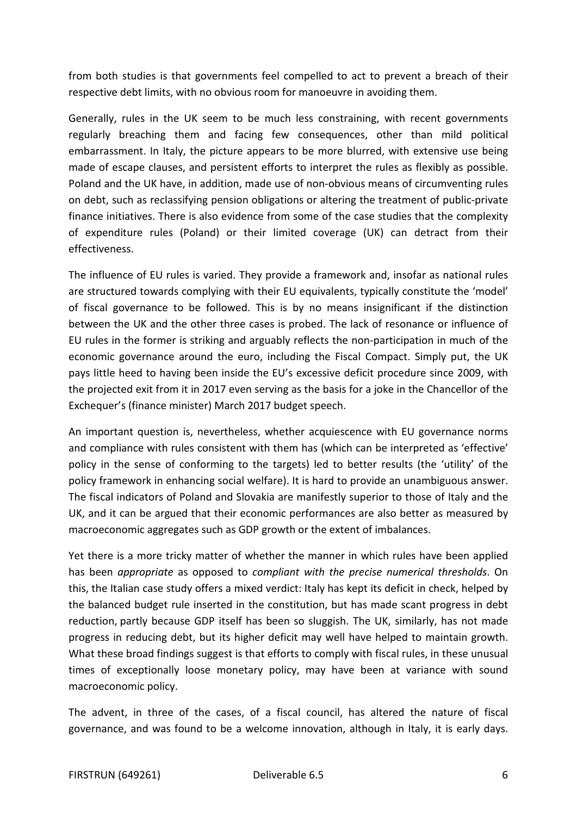from both studies is that governments feel compelled to act to prevent a breach of their respective debt limits, with no obvious room for manoeuvre in avoiding them.

Generally, rules in the UK seem to be much less constraining, with recent governments regularly breaching them and facing few consequences, other than mild political embarrassment. In Italy, the picture appears to be more blurred, with extensive use being made of escape clauses, and persistent efforts to interpret the rules as flexibly as possible. Poland and the UK have, in addition, made use of non-obvious means of circumventing rules on debt, such as reclassifying pension obligations or altering the treatment of public-private finance initiatives. There is also evidence from some of the case studies that the complexity of expenditure rules (Poland) or their limited coverage (UK) can detract from their effectiveness.

The influence of EU rules is varied. They provide a framework and, insofar as national rules are structured towards complying with their EU equivalents, typically constitute the 'model' of fiscal governance to be followed. This is by no means insignificant if the distinction between the UK and the other three cases is probed. The lack of resonance or influence of EU rules in the former is striking and arguably reflects the non-participation in much of the economic governance around the euro, including the Fiscal Compact. Simply put, the UK pays little heed to having been inside the EU's excessive deficit procedure since 2009, with the projected exit from it in 2017 even serving as the basis for a joke in the Chancellor of the Exchequer's (finance minister) March 2017 budget speech.

An important question is, nevertheless, whether acquiescence with EU governance norms and compliance with rules consistent with them has (which can be interpreted as 'effective' policy in the sense of conforming to the targets) led to better results (the 'utility' of the policy framework in enhancing social welfare). It is hard to provide an unambiguous answer. The fiscal indicators of Poland and Slovakia are manifestly superior to those of Italy and the UK, and it can be argued that their economic performances are also better as measured by macroeconomic aggregates such as GDP growth or the extent of imbalances.

Yet there is a more tricky matter of whether the manner in which rules have been applied has been *appropriate* as opposed to *compliant with the precise numerical thresholds*. On this, the Italian case study offers a mixed verdict: Italy has kept its deficit in check, helped by the balanced budget rule inserted in the constitution, but has made scant progress in debt reduction, partly because GDP itself has been so sluggish. The UK, similarly, has not made progress in reducing debt, but its higher deficit may well have helped to maintain growth. What these broad findings suggest is that efforts to comply with fiscal rules, in these unusual times of exceptionally loose monetary policy, may have been at variance with sound macroeconomic policy.

The advent, in three of the cases, of a fiscal council, has altered the nature of fiscal governance, and was found to be a welcome innovation, although in Italy, it is early days.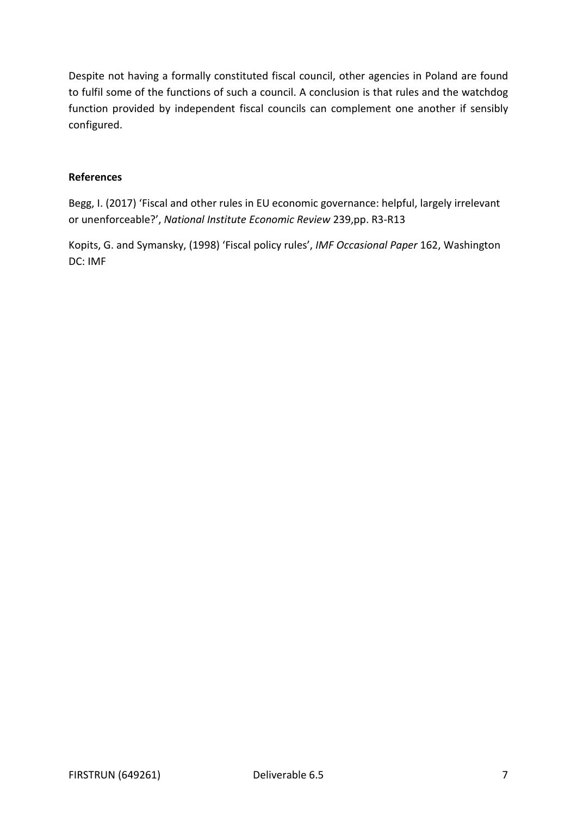Despite not having a formally constituted fiscal council, other agencies in Poland are found to fulfil some of the functions of such a council. A conclusion is that rules and the watchdog function provided by independent fiscal councils can complement one another if sensibly configured.

#### **References**

Begg, I. (2017) 'Fiscal and other rules in EU economic governance: helpful, largely irrelevant or unenforceable?', *National Institute Economic Review* 239,pp. R3-R13

Kopits, G. and Symansky, (1998) 'Fiscal policy rules', *IMF Occasional Paper* 162, Washington DC: IMF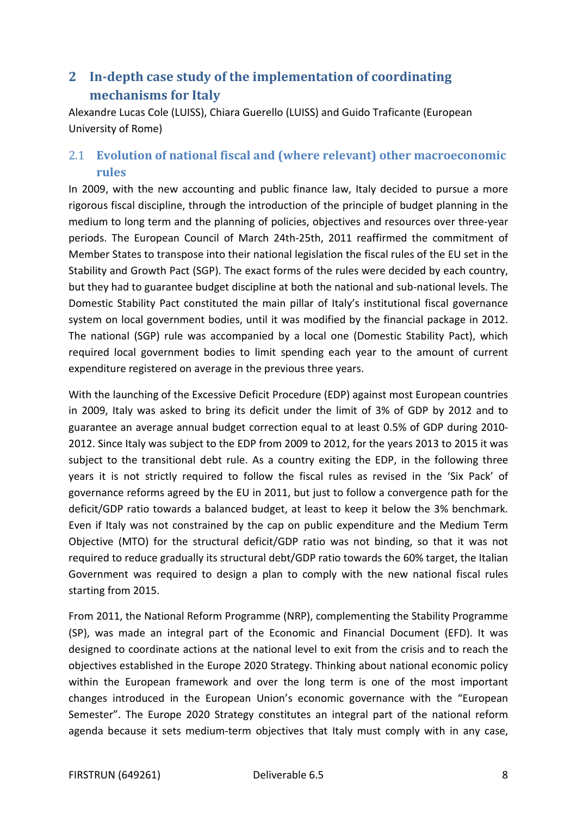## <span id="page-7-0"></span>**2 In-depth case study of the implementation of coordinating mechanisms for Italy**

Alexandre Lucas Cole (LUISS), Chiara Guerello (LUISS) and Guido Traficante (European University of Rome)

## <span id="page-7-1"></span>2.1 **Evolution of national fiscal and (where relevant) other macroeconomic rules**

In 2009, with the new accounting and public finance law, Italy decided to pursue a more rigorous fiscal discipline, through the introduction of the principle of budget planning in the medium to long term and the planning of policies, objectives and resources over three-year periods. The European Council of March 24th-25th, 2011 reaffirmed the commitment of Member States to transpose into their national legislation the fiscal rules of the EU set in the Stability and Growth Pact (SGP). The exact forms of the rules were decided by each country, but they had to guarantee budget discipline at both the national and sub-national levels. The Domestic Stability Pact constituted the main pillar of Italy's institutional fiscal governance system on local government bodies, until it was modified by the financial package in 2012. The national (SGP) rule was accompanied by a local one (Domestic Stability Pact), which required local government bodies to limit spending each year to the amount of current expenditure registered on average in the previous three years.

With the launching of the Excessive Deficit Procedure (EDP) against most European countries in 2009, Italy was asked to bring its deficit under the limit of 3% of GDP by 2012 and to guarantee an average annual budget correction equal to at least 0.5% of GDP during 2010- 2012. Since Italy was subject to the EDP from 2009 to 2012, for the years 2013 to 2015 it was subject to the transitional debt rule. As a country exiting the EDP, in the following three years it is not strictly required to follow the fiscal rules as revised in the 'Six Pack' of governance reforms agreed by the EU in 2011, but just to follow a convergence path for the deficit/GDP ratio towards a balanced budget, at least to keep it below the 3% benchmark. Even if Italy was not constrained by the cap on public expenditure and the Medium Term Objective (MTO) for the structural deficit/GDP ratio was not binding, so that it was not required to reduce gradually its structural debt/GDP ratio towards the 60% target, the Italian Government was required to design a plan to comply with the new national fiscal rules starting from 2015.

From 2011, the National Reform Programme (NRP), complementing the Stability Programme (SP), was made an integral part of the Economic and Financial Document (EFD). It was designed to coordinate actions at the national level to exit from the crisis and to reach the objectives established in the Europe 2020 Strategy. Thinking about national economic policy within the European framework and over the long term is one of the most important changes introduced in the European Union's economic governance with the "European Semester". The Europe 2020 Strategy constitutes an integral part of the national reform agenda because it sets medium-term objectives that Italy must comply with in any case,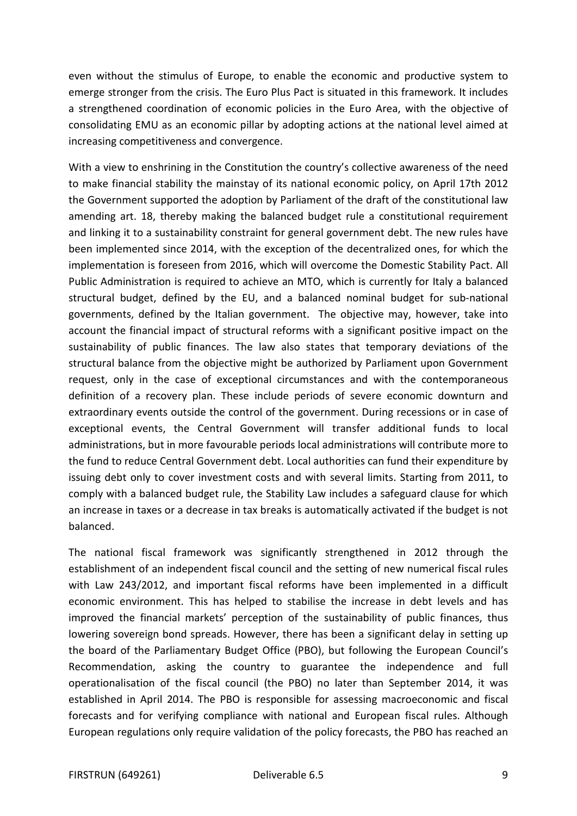even without the stimulus of Europe, to enable the economic and productive system to emerge stronger from the crisis. The Euro Plus Pact is situated in this framework. It includes a strengthened coordination of economic policies in the Euro Area, with the objective of consolidating EMU as an economic pillar by adopting actions at the national level aimed at increasing competitiveness and convergence.

With a view to enshrining in the Constitution the country's collective awareness of the need to make financial stability the mainstay of its national economic policy, on April 17th 2012 the Government supported the adoption by Parliament of the draft of the constitutional law amending art. 18, thereby making the balanced budget rule a constitutional requirement and linking it to a sustainability constraint for general government debt. The new rules have been implemented since 2014, with the exception of the decentralized ones, for which the implementation is foreseen from 2016, which will overcome the Domestic Stability Pact. All Public Administration is required to achieve an MTO, which is currently for Italy a balanced structural budget, defined by the EU, and a balanced nominal budget for sub-national governments, defined by the Italian government. The objective may, however, take into account the financial impact of structural reforms with a significant positive impact on the sustainability of public finances. The law also states that temporary deviations of the structural balance from the objective might be authorized by Parliament upon Government request, only in the case of exceptional circumstances and with the contemporaneous definition of a recovery plan. These include periods of severe economic downturn and extraordinary events outside the control of the government. During recessions or in case of exceptional events, the Central Government will transfer additional funds to local administrations, but in more favourable periods local administrations will contribute more to the fund to reduce Central Government debt. Local authorities can fund their expenditure by issuing debt only to cover investment costs and with several limits. Starting from 2011, to comply with a balanced budget rule, the Stability Law includes a safeguard clause for which an increase in taxes or a decrease in tax breaks is automatically activated if the budget is not balanced.

The national fiscal framework was significantly strengthened in 2012 through the establishment of an independent fiscal council and the setting of new numerical fiscal rules with Law 243/2012, and important fiscal reforms have been implemented in a difficult economic environment. This has helped to stabilise the increase in debt levels and has improved the financial markets' perception of the sustainability of public finances, thus lowering sovereign bond spreads. However, there has been a significant delay in setting up the board of the Parliamentary Budget Office (PBO), but following the European Council's Recommendation, asking the country to guarantee the independence and full operationalisation of the fiscal council (the PBO) no later than September 2014, it was established in April 2014. The PBO is responsible for assessing macroeconomic and fiscal forecasts and for verifying compliance with national and European fiscal rules. Although European regulations only require validation of the policy forecasts, the PBO has reached an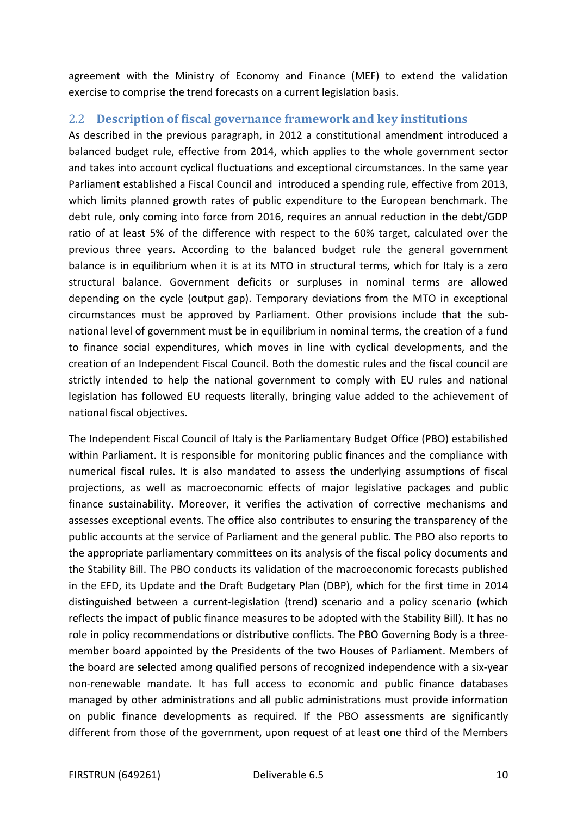agreement with the Ministry of Economy and Finance (MEF) to extend the validation exercise to comprise the trend forecasts on a current legislation basis.

#### <span id="page-9-0"></span>2.2 **Description of fiscal governance framework and key institutions**

As described in the previous paragraph, in 2012 a constitutional amendment introduced a balanced budget rule, effective from 2014, which applies to the whole government sector and takes into account cyclical fluctuations and exceptional circumstances. In the same year Parliament established a Fiscal Council and introduced a spending rule, effective from 2013, which limits planned growth rates of public expenditure to the European benchmark. The debt rule, only coming into force from 2016, requires an annual reduction in the debt/GDP ratio of at least 5% of the difference with respect to the 60% target, calculated over the previous three years. According to the balanced budget rule the general government balance is in equilibrium when it is at its MTO in structural terms, which for Italy is a zero structural balance. Government deficits or surpluses in nominal terms are allowed depending on the cycle (output gap). Temporary deviations from the MTO in exceptional circumstances must be approved by Parliament. Other provisions include that the subnational level of government must be in equilibrium in nominal terms, the creation of a fund to finance social expenditures, which moves in line with cyclical developments, and the creation of an Independent Fiscal Council. Both the domestic rules and the fiscal council are strictly intended to help the national government to comply with EU rules and national legislation has followed EU requests literally, bringing value added to the achievement of national fiscal objectives.

The Independent Fiscal Council of Italy is the Parliamentary Budget Office (PBO) estabilished within Parliament. It is responsible for monitoring public finances and the compliance with numerical fiscal rules. It is also mandated to assess the underlying assumptions of fiscal projections, as well as macroeconomic effects of major legislative packages and public finance sustainability. Moreover, it verifies the activation of corrective mechanisms and assesses exceptional events. The office also contributes to ensuring the transparency of the public accounts at the service of Parliament and the general public. The PBO also reports to the appropriate parliamentary committees on its analysis of the fiscal policy documents and the Stability Bill. The PBO conducts its validation of the macroeconomic forecasts published in the EFD, its Update and the Draft Budgetary Plan (DBP), which for the first time in 2014 distinguished between a current-legislation (trend) scenario and a policy scenario (which reflects the impact of public finance measures to be adopted with the Stability Bill). It has no role in policy recommendations or distributive conflicts. The PBO Governing Body is a threemember board appointed by the Presidents of the two Houses of Parliament. Members of the board are selected among qualified persons of recognized independence with a six-year non-renewable mandate. It has full access to economic and public finance databases managed by other administrations and all public administrations must provide information on public finance developments as required. If the PBO assessments are significantly different from those of the government, upon request of at least one third of the Members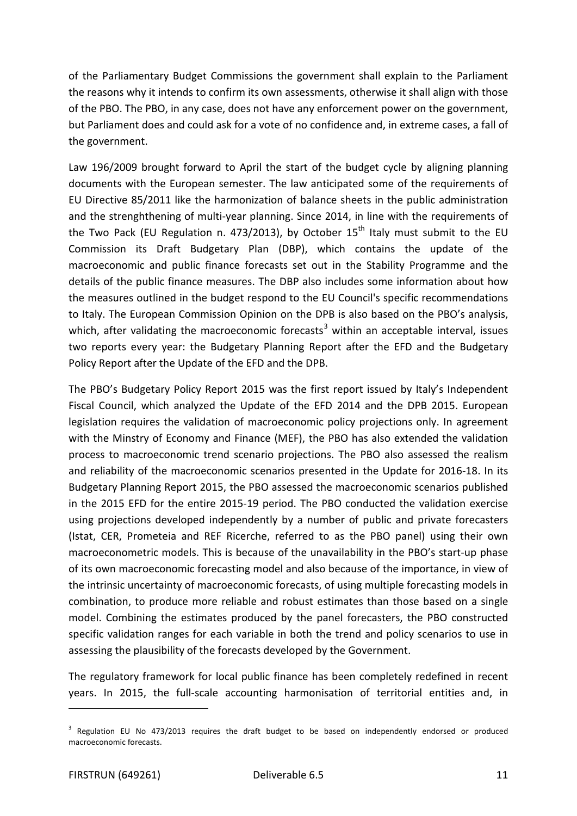of the Parliamentary Budget Commissions the government shall explain to the Parliament the reasons why it intends to confirm its own assessments, otherwise it shall align with those of the PBO. The PBO, in any case, does not have any enforcement power on the government, but Parliament does and could ask for a vote of no confidence and, in extreme cases, a fall of the government.

Law 196/2009 brought forward to April the start of the budget cycle by aligning planning documents with the European semester. The law anticipated some of the requirements of EU Directive 85/2011 like the harmonization of balance sheets in the public administration and the strenghthening of multi-year planning. Since 2014, in line with the requirements of the Two Pack (EU Regulation n. 473/2013), by October  $15<sup>th</sup>$  Italy must submit to the EU Commission its Draft Budgetary Plan (DBP), which contains the update of the macroeconomic and public finance forecasts set out in the Stability Programme and the details of the public finance measures. The DBP also includes some information about how the measures outlined in the budget respond to the EU Council's specific recommendations to Italy. The European Commission Opinion on the DPB is also based on the PBO's analysis, which, after validating the macroeconomic forecasts<sup>[3](#page-10-0)</sup> within an acceptable interval, issues two reports every year: the Budgetary Planning Report after the EFD and the Budgetary Policy Report after the Update of the EFD and the DPB.

The PBO's Budgetary Policy Report 2015 was the first report issued by Italy's Independent Fiscal Council, which analyzed the Update of the EFD 2014 and the DPB 2015. European legislation requires the validation of macroeconomic policy projections only. In agreement with the Minstry of Economy and Finance (MEF), the PBO has also extended the validation process to macroeconomic trend scenario projections. The PBO also assessed the realism and reliability of the macroeconomic scenarios presented in the Update for 2016-18. In its Budgetary Planning Report 2015, the PBO assessed the macroeconomic scenarios published in the 2015 EFD for the entire 2015-19 period. The PBO conducted the validation exercise using projections developed independently by a number of public and private forecasters (Istat, CER, Prometeia and REF Ricerche, referred to as the PBO panel) using their own macroeconometric models. This is because of the unavailability in the PBO's start-up phase of its own macroeconomic forecasting model and also because of the importance, in view of the intrinsic uncertainty of macroeconomic forecasts, of using multiple forecasting models in combination, to produce more reliable and robust estimates than those based on a single model. Combining the estimates produced by the panel forecasters, the PBO constructed specific validation ranges for each variable in both the trend and policy scenarios to use in assessing the plausibility of the forecasts developed by the Government.

The regulatory framework for local public finance has been completely redefined in recent years. In 2015, the full-scale accounting harmonisation of territorial entities and, in

j

<span id="page-10-0"></span><sup>&</sup>lt;sup>3</sup> Regulation EU No 473/2013 requires the draft budget to be based on independently endorsed or produced macroeconomic forecasts.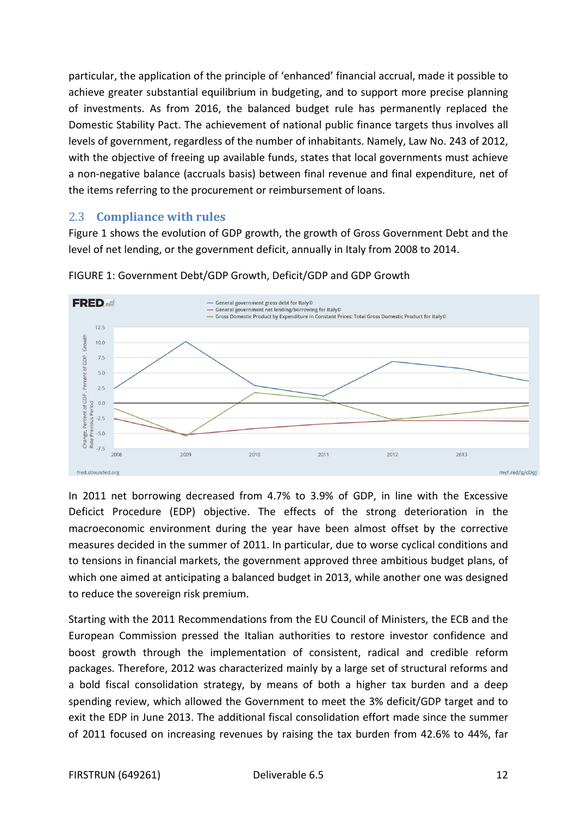particular, the application of the principle of 'enhanced' financial accrual, made it possible to achieve greater substantial equilibrium in budgeting, and to support more precise planning of investments. As from 2016, the balanced budget rule has permanently replaced the Domestic Stability Pact. The achievement of national public finance targets thus involves all levels of government, regardless of the number of inhabitants. Namely, Law No. 243 of 2012, with the objective of freeing up available funds, states that local governments must achieve a non-negative balance (accruals basis) between final revenue and final expenditure, net of the items referring to the procurement or reimbursement of loans.

#### <span id="page-11-0"></span>2.3 **Compliance with rules**

Figure 1 shows the evolution of GDP growth, the growth of Gross Government Debt and the level of net lending, or the government deficit, annually in Italy from 2008 to 2014.



FIGURE 1: Government Debt/GDP Growth, Deficit/GDP and GDP Growth

In 2011 net borrowing decreased from 4.7% to 3.9% of GDP, in line with the Excessive Deficict Procedure (EDP) objective. The effects of the strong deterioration in the macroeconomic environment during the year have been almost offset by the corrective measures decided in the summer of 2011. In particular, due to worse cyclical conditions and to tensions in financial markets, the government approved three ambitious budget plans, of which one aimed at anticipating a balanced budget in 2013, while another one was designed to reduce the sovereign risk premium.

Starting with the 2011 Recommendations from the EU Council of Ministers, the ECB and the European Commission pressed the Italian authorities to restore investor confidence and boost growth through the implementation of consistent, radical and credible reform packages. Therefore, 2012 was characterized mainly by a large set of structural reforms and a bold fiscal consolidation strategy, by means of both a higher tax burden and a deep spending review, which allowed the Government to meet the 3% deficit/GDP target and to exit the EDP in June 2013. The additional fiscal consolidation effort made since the summer of 2011 focused on increasing revenues by raising the tax burden from 42.6% to 44%, far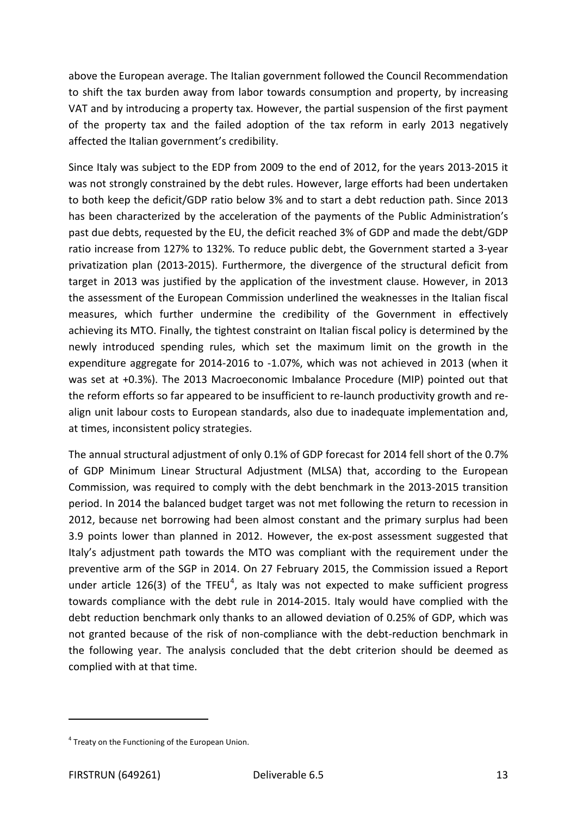above the European average. The Italian government followed the Council Recommendation to shift the tax burden away from labor towards consumption and property, by increasing VAT and by introducing a property tax. However, the partial suspension of the first payment of the property tax and the failed adoption of the tax reform in early 2013 negatively affected the Italian government's credibility.

Since Italy was subject to the EDP from 2009 to the end of 2012, for the years 2013-2015 it was not strongly constrained by the debt rules. However, large efforts had been undertaken to both keep the deficit/GDP ratio below 3% and to start a debt reduction path. Since 2013 has been characterized by the acceleration of the payments of the Public Administration's past due debts, requested by the EU, the deficit reached 3% of GDP and made the debt/GDP ratio increase from 127% to 132%. To reduce public debt, the Government started a 3-year privatization plan (2013-2015). Furthermore, the divergence of the structural deficit from target in 2013 was justified by the application of the investment clause. However, in 2013 the assessment of the European Commission underlined the weaknesses in the Italian fiscal measures, which further undermine the credibility of the Government in effectively achieving its MTO. Finally, the tightest constraint on Italian fiscal policy is determined by the newly introduced spending rules, which set the maximum limit on the growth in the expenditure aggregate for 2014-2016 to -1.07%, which was not achieved in 2013 (when it was set at +0.3%). The 2013 Macroeconomic Imbalance Procedure (MIP) pointed out that the reform efforts so far appeared to be insufficient to re-launch productivity growth and realign unit labour costs to European standards, also due to inadequate implementation and, at times, inconsistent policy strategies.

The annual structural adjustment of only 0.1% of GDP forecast for 2014 fell short of the 0.7% of GDP Minimum Linear Structural Adjustment (MLSA) that, according to the European Commission, was required to comply with the debt benchmark in the 2013-2015 transition period. In 2014 the balanced budget target was not met following the return to recession in 2012, because net borrowing had been almost constant and the primary surplus had been 3.9 points lower than planned in 2012. However, the ex-post assessment suggested that Italy's adjustment path towards the MTO was compliant with the requirement under the preventive arm of the SGP in 2014. On 27 February 2015, the Commission issued a Report under article 126(3) of the TFEU<sup>[4](#page-12-0)</sup>, as Italy was not expected to make sufficient progress towards compliance with the debt rule in 2014-2015. Italy would have complied with the debt reduction benchmark only thanks to an allowed deviation of 0.25% of GDP, which was not granted because of the risk of non-compliance with the debt-reduction benchmark in the following year. The analysis concluded that the debt criterion should be deemed as complied with at that time.

 $\overline{a}$ 

<span id="page-12-0"></span> $4$  Treaty on the Functioning of the European Union.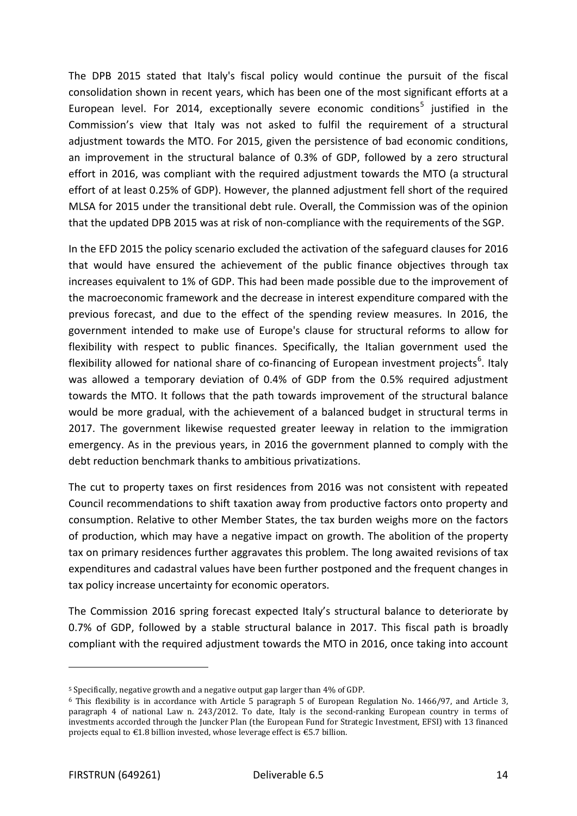The DPB 2015 stated that Italy's fiscal policy would continue the pursuit of the fiscal consolidation shown in recent years, which has been one of the most significant efforts at a European level. For 2014, exceptionally severe economic conditions<sup>[5](#page-13-0)</sup> justified in the Commission's view that Italy was not asked to fulfil the requirement of a structural adjustment towards the MTO. For 2015, given the persistence of bad economic conditions, an improvement in the structural balance of 0.3% of GDP, followed by a zero structural effort in 2016, was compliant with the required adjustment towards the MTO (a structural effort of at least 0.25% of GDP). However, the planned adjustment fell short of the required MLSA for 2015 under the transitional debt rule. Overall, the Commission was of the opinion that the updated DPB 2015 was at risk of non-compliance with the requirements of the SGP.

In the EFD 2015 the policy scenario excluded the activation of the safeguard clauses for 2016 that would have ensured the achievement of the public finance objectives through tax increases equivalent to 1% of GDP. This had been made possible due to the improvement of the macroeconomic framework and the decrease in interest expenditure compared with the previous forecast, and due to the effect of the spending review measures. In 2016, the government intended to make use of Europe's clause for structural reforms to allow for flexibility with respect to public finances. Specifically, the Italian government used the flexibility allowed for national share of co-financing of European investment projects<sup>[6](#page-13-1)</sup>. Italy was allowed a temporary deviation of 0.4% of GDP from the 0.5% required adjustment towards the MTO. It follows that the path towards improvement of the structural balance would be more gradual, with the achievement of a balanced budget in structural terms in 2017. The government likewise requested greater leeway in relation to the immigration emergency. As in the previous years, in 2016 the government planned to comply with the debt reduction benchmark thanks to ambitious privatizations.

The cut to property taxes on first residences from 2016 was not consistent with repeated Council recommendations to shift taxation away from productive factors onto property and consumption. Relative to other Member States, the tax burden weighs more on the factors of production, which may have a negative impact on growth. The abolition of the property tax on primary residences further aggravates this problem. The long awaited revisions of tax expenditures and cadastral values have been further postponed and the frequent changes in tax policy increase uncertainty for economic operators.

The Commission 2016 spring forecast expected Italy's structural balance to deteriorate by 0.7% of GDP, followed by a stable structural balance in 2017. This fiscal path is broadly compliant with the required adjustment towards the MTO in 2016, once taking into account

 $\overline{a}$ 

<span id="page-13-0"></span><sup>5</sup> Specifically, negative growth and a negative output gap larger than 4% of GDP.

<span id="page-13-1"></span><sup>6</sup> This flexibility is in accordance with Article 5 paragraph 5 of European Regulation No. 1466/97, and Article 3, paragraph 4 of national Law n. 243/2012. To date, Italy is the second-ranking European country in terms of investments accorded through the Juncker Plan (the European Fund for Strategic Investment, EFSI) with 13 financed projects equal to €1.8 billion invested, whose leverage effect is €5.7 billion.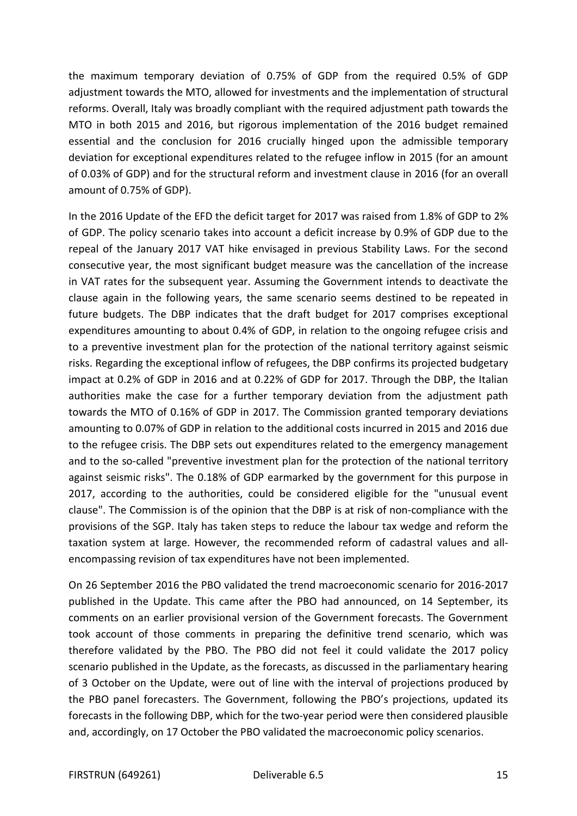the maximum temporary deviation of 0.75% of GDP from the required 0.5% of GDP adjustment towards the MTO, allowed for investments and the implementation of structural reforms. Overall, Italy was broadly compliant with the required adjustment path towards the MTO in both 2015 and 2016, but rigorous implementation of the 2016 budget remained essential and the conclusion for 2016 crucially hinged upon the admissible temporary deviation for exceptional expenditures related to the refugee inflow in 2015 (for an amount of 0.03% of GDP) and for the structural reform and investment clause in 2016 (for an overall amount of 0.75% of GDP).

In the 2016 Update of the EFD the deficit target for 2017 was raised from 1.8% of GDP to 2% of GDP. The policy scenario takes into account a deficit increase by 0.9% of GDP due to the repeal of the January 2017 VAT hike envisaged in previous Stability Laws. For the second consecutive year, the most significant budget measure was the cancellation of the increase in VAT rates for the subsequent year. Assuming the Government intends to deactivate the clause again in the following years, the same scenario seems destined to be repeated in future budgets. The DBP indicates that the draft budget for 2017 comprises exceptional expenditures amounting to about 0.4% of GDP, in relation to the ongoing refugee crisis and to a preventive investment plan for the protection of the national territory against seismic risks. Regarding the exceptional inflow of refugees, the DBP confirms its projected budgetary impact at 0.2% of GDP in 2016 and at 0.22% of GDP for 2017. Through the DBP, the Italian authorities make the case for a further temporary deviation from the adjustment path towards the MTO of 0.16% of GDP in 2017. The Commission granted temporary deviations amounting to 0.07% of GDP in relation to the additional costs incurred in 2015 and 2016 due to the refugee crisis. The DBP sets out expenditures related to the emergency management and to the so-called "preventive investment plan for the protection of the national territory against seismic risks". The 0.18% of GDP earmarked by the government for this purpose in 2017, according to the authorities, could be considered eligible for the "unusual event clause". The Commission is of the opinion that the DBP is at risk of non-compliance with the provisions of the SGP. Italy has taken steps to reduce the labour tax wedge and reform the taxation system at large. However, the recommended reform of cadastral values and allencompassing revision of tax expenditures have not been implemented.

On 26 September 2016 the PBO validated the trend macroeconomic scenario for 2016-2017 published in the Update. This came after the PBO had announced, on 14 September, its comments on an earlier provisional version of the Government forecasts. The Government took account of those comments in preparing the definitive trend scenario, which was therefore validated by the PBO. The PBO did not feel it could validate the 2017 policy scenario published in the Update, as the forecasts, as discussed in the parliamentary hearing of 3 October on the Update, were out of line with the interval of projections produced by the PBO panel forecasters. The Government, following the PBO's projections, updated its forecasts in the following DBP, which for the two-year period were then considered plausible and, accordingly, on 17 October the PBO validated the macroeconomic policy scenarios.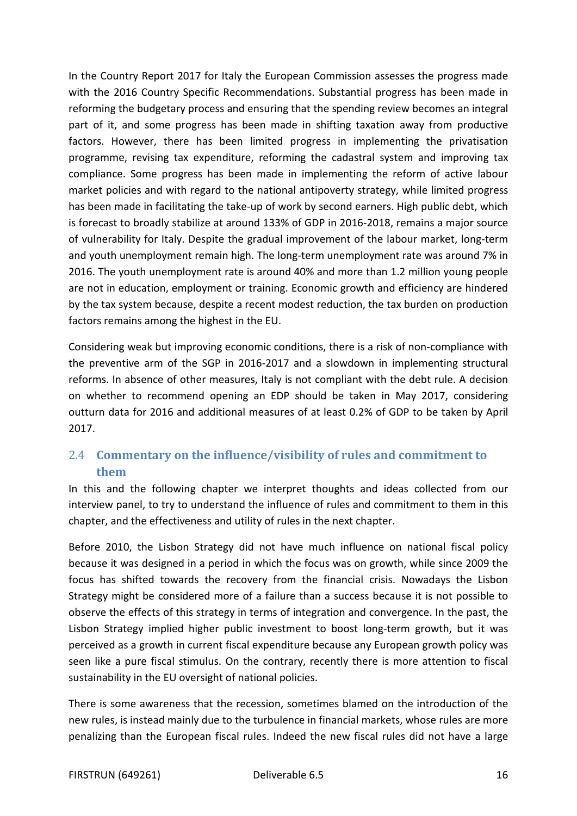In the Country Report 2017 for Italy the European Commission assesses the progress made with the 2016 Country Specific Recommendations. Substantial progress has been made in reforming the budgetary process and ensuring that the spending review becomes an integral part of it, and some progress has been made in shifting taxation away from productive factors. However, there has been limited progress in implementing the privatisation programme, revising tax expenditure, reforming the cadastral system and improving tax compliance. Some progress has been made in implementing the reform of active labour market policies and with regard to the national antipoverty strategy, while limited progress has been made in facilitating the take-up of work by second earners. High public debt, which is forecast to broadly stabilize at around 133% of GDP in 2016-2018, remains a major source of vulnerability for Italy. Despite the gradual improvement of the labour market, long-term and youth unemployment remain high. The long-term unemployment rate was around 7% in 2016. The youth unemployment rate is around 40% and more than 1.2 million young people are not in education, employment or training. Economic growth and efficiency are hindered by the tax system because, despite a recent modest reduction, the tax burden on production factors remains among the highest in the EU.

Considering weak but improving economic conditions, there is a risk of non-compliance with the preventive arm of the SGP in 2016-2017 and a slowdown in implementing structural reforms. In absence of other measures, Italy is not compliant with the debt rule. A decision on whether to recommend opening an EDP should be taken in May 2017, considering outturn data for 2016 and additional measures of at least 0.2% of GDP to be taken by April 2017.

## <span id="page-15-0"></span>2.4 **Commentary on the influence/visibility of rules and commitment to them**

In this and the following chapter we interpret thoughts and ideas collected from our interview panel, to try to understand the influence of rules and commitment to them in this chapter, and the effectiveness and utility of rules in the next chapter.

Before 2010, the Lisbon Strategy did not have much influence on national fiscal policy because it was designed in a period in which the focus was on growth, while since 2009 the focus has shifted towards the recovery from the financial crisis. Nowadays the Lisbon Strategy might be considered more of a failure than a success because it is not possible to observe the effects of this strategy in terms of integration and convergence. In the past, the Lisbon Strategy implied higher public investment to boost long-term growth, but it was perceived as a growth in current fiscal expenditure because any European growth policy was seen like a pure fiscal stimulus. On the contrary, recently there is more attention to fiscal sustainability in the EU oversight of national policies.

There is some awareness that the recession, sometimes blamed on the introduction of the new rules, is instead mainly due to the turbulence in financial markets, whose rules are more penalizing than the European fiscal rules. Indeed the new fiscal rules did not have a large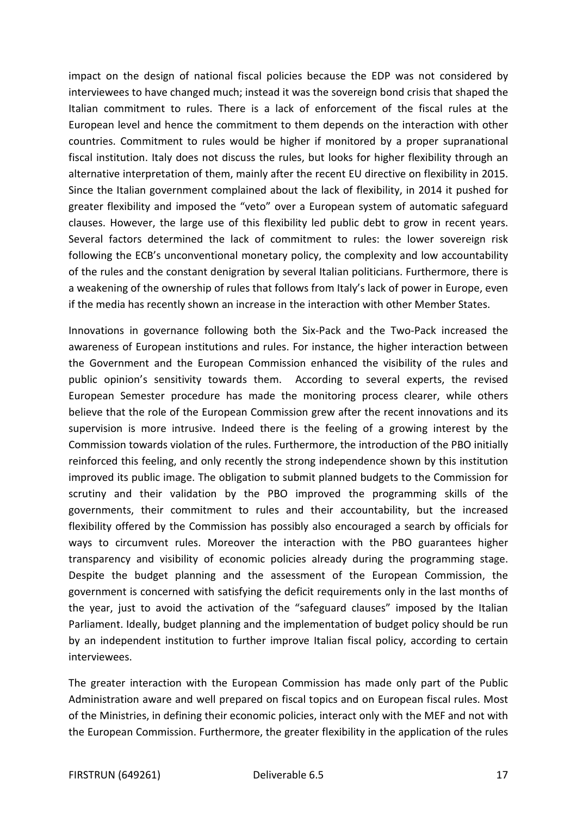impact on the design of national fiscal policies because the EDP was not considered by interviewees to have changed much; instead it was the sovereign bond crisis that shaped the Italian commitment to rules. There is a lack of enforcement of the fiscal rules at the European level and hence the commitment to them depends on the interaction with other countries. Commitment to rules would be higher if monitored by a proper supranational fiscal institution. Italy does not discuss the rules, but looks for higher flexibility through an alternative interpretation of them, mainly after the recent EU directive on flexibility in 2015. Since the Italian government complained about the lack of flexibility, in 2014 it pushed for greater flexibility and imposed the "veto" over a European system of automatic safeguard clauses. However, the large use of this flexibility led public debt to grow in recent years. Several factors determined the lack of commitment to rules: the lower sovereign risk following the ECB's unconventional monetary policy, the complexity and low accountability of the rules and the constant denigration by several Italian politicians. Furthermore, there is a weakening of the ownership of rules that follows from Italy's lack of power in Europe, even if the media has recently shown an increase in the interaction with other Member States.

Innovations in governance following both the Six-Pack and the Two-Pack increased the awareness of European institutions and rules. For instance, the higher interaction between the Government and the European Commission enhanced the visibility of the rules and public opinion's sensitivity towards them. According to several experts, the revised European Semester procedure has made the monitoring process clearer, while others believe that the role of the European Commission grew after the recent innovations and its supervision is more intrusive. Indeed there is the feeling of a growing interest by the Commission towards violation of the rules. Furthermore, the introduction of the PBO initially reinforced this feeling, and only recently the strong independence shown by this institution improved its public image. The obligation to submit planned budgets to the Commission for scrutiny and their validation by the PBO improved the programming skills of the governments, their commitment to rules and their accountability, but the increased flexibility offered by the Commission has possibly also encouraged a search by officials for ways to circumvent rules. Moreover the interaction with the PBO guarantees higher transparency and visibility of economic policies already during the programming stage. Despite the budget planning and the assessment of the European Commission, the government is concerned with satisfying the deficit requirements only in the last months of the year, just to avoid the activation of the "safeguard clauses" imposed by the Italian Parliament. Ideally, budget planning and the implementation of budget policy should be run by an independent institution to further improve Italian fiscal policy, according to certain interviewees.

The greater interaction with the European Commission has made only part of the Public Administration aware and well prepared on fiscal topics and on European fiscal rules. Most of the Ministries, in defining their economic policies, interact only with the MEF and not with the European Commission. Furthermore, the greater flexibility in the application of the rules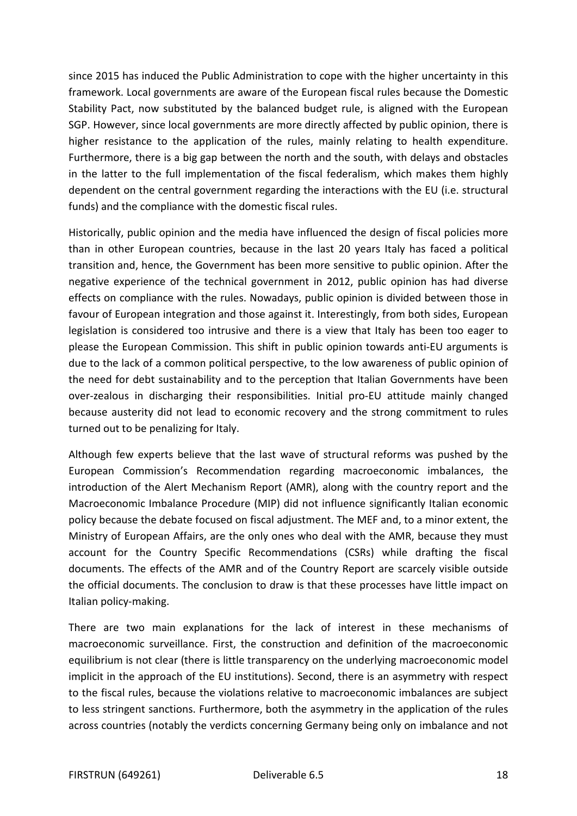since 2015 has induced the Public Administration to cope with the higher uncertainty in this framework. Local governments are aware of the European fiscal rules because the Domestic Stability Pact, now substituted by the balanced budget rule, is aligned with the European SGP. However, since local governments are more directly affected by public opinion, there is higher resistance to the application of the rules, mainly relating to health expenditure. Furthermore, there is a big gap between the north and the south, with delays and obstacles in the latter to the full implementation of the fiscal federalism, which makes them highly dependent on the central government regarding the interactions with the EU (i.e. structural funds) and the compliance with the domestic fiscal rules.

Historically, public opinion and the media have influenced the design of fiscal policies more than in other European countries, because in the last 20 years Italy has faced a political transition and, hence, the Government has been more sensitive to public opinion. After the negative experience of the technical government in 2012, public opinion has had diverse effects on compliance with the rules. Nowadays, public opinion is divided between those in favour of European integration and those against it. Interestingly, from both sides, European legislation is considered too intrusive and there is a view that Italy has been too eager to please the European Commission. This shift in public opinion towards anti-EU arguments is due to the lack of a common political perspective, to the low awareness of public opinion of the need for debt sustainability and to the perception that Italian Governments have been over-zealous in discharging their responsibilities. Initial pro-EU attitude mainly changed because austerity did not lead to economic recovery and the strong commitment to rules turned out to be penalizing for Italy.

Although few experts believe that the last wave of structural reforms was pushed by the European Commission's Recommendation regarding macroeconomic imbalances, the introduction of the Alert Mechanism Report (AMR), along with the country report and the Macroeconomic Imbalance Procedure (MIP) did not influence significantly Italian economic policy because the debate focused on fiscal adjustment. The MEF and, to a minor extent, the Ministry of European Affairs, are the only ones who deal with the AMR, because they must account for the Country Specific Recommendations (CSRs) while drafting the fiscal documents. The effects of the AMR and of the Country Report are scarcely visible outside the official documents. The conclusion to draw is that these processes have little impact on Italian policy-making.

There are two main explanations for the lack of interest in these mechanisms of macroeconomic surveillance. First, the construction and definition of the macroeconomic equilibrium is not clear (there is little transparency on the underlying macroeconomic model implicit in the approach of the EU institutions). Second, there is an asymmetry with respect to the fiscal rules, because the violations relative to macroeconomic imbalances are subject to less stringent sanctions. Furthermore, both the asymmetry in the application of the rules across countries (notably the verdicts concerning Germany being only on imbalance and not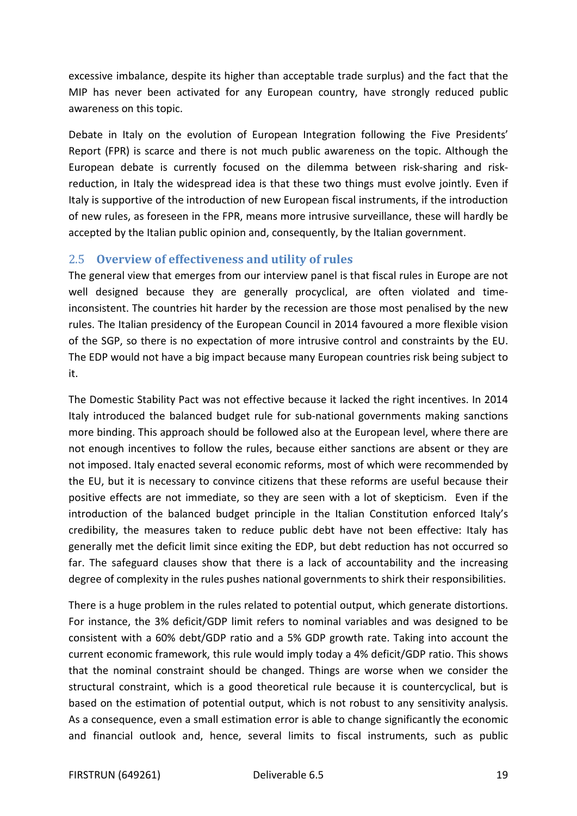excessive imbalance, despite its higher than acceptable trade surplus) and the fact that the MIP has never been activated for any European country, have strongly reduced public awareness on this topic.

Debate in Italy on the evolution of European Integration following the Five Presidents' Report (FPR) is scarce and there is not much public awareness on the topic. Although the European debate is currently focused on the dilemma between risk-sharing and riskreduction, in Italy the widespread idea is that these two things must evolve jointly. Even if Italy is supportive of the introduction of new European fiscal instruments, if the introduction of new rules, as foreseen in the FPR, means more intrusive surveillance, these will hardly be accepted by the Italian public opinion and, consequently, by the Italian government.

### <span id="page-18-0"></span>2.5 **Overview of effectiveness and utility of rules**

The general view that emerges from our interview panel is that fiscal rules in Europe are not well designed because they are generally procyclical, are often violated and timeinconsistent. The countries hit harder by the recession are those most penalised by the new rules. The Italian presidency of the European Council in 2014 favoured a more flexible vision of the SGP, so there is no expectation of more intrusive control and constraints by the EU. The EDP would not have a big impact because many European countries risk being subject to it.

The Domestic Stability Pact was not effective because it lacked the right incentives. In 2014 Italy introduced the balanced budget rule for sub-national governments making sanctions more binding. This approach should be followed also at the European level, where there are not enough incentives to follow the rules, because either sanctions are absent or they are not imposed. Italy enacted several economic reforms, most of which were recommended by the EU, but it is necessary to convince citizens that these reforms are useful because their positive effects are not immediate, so they are seen with a lot of skepticism. Even if the introduction of the balanced budget principle in the Italian Constitution enforced Italy's credibility, the measures taken to reduce public debt have not been effective: Italy has generally met the deficit limit since exiting the EDP, but debt reduction has not occurred so far. The safeguard clauses show that there is a lack of accountability and the increasing degree of complexity in the rules pushes national governments to shirk their responsibilities.

There is a huge problem in the rules related to potential output, which generate distortions. For instance, the 3% deficit/GDP limit refers to nominal variables and was designed to be consistent with a 60% debt/GDP ratio and a 5% GDP growth rate. Taking into account the current economic framework, this rule would imply today a 4% deficit/GDP ratio. This shows that the nominal constraint should be changed. Things are worse when we consider the structural constraint, which is a good theoretical rule because it is countercyclical, but is based on the estimation of potential output, which is not robust to any sensitivity analysis. As a consequence, even a small estimation error is able to change significantly the economic and financial outlook and, hence, several limits to fiscal instruments, such as public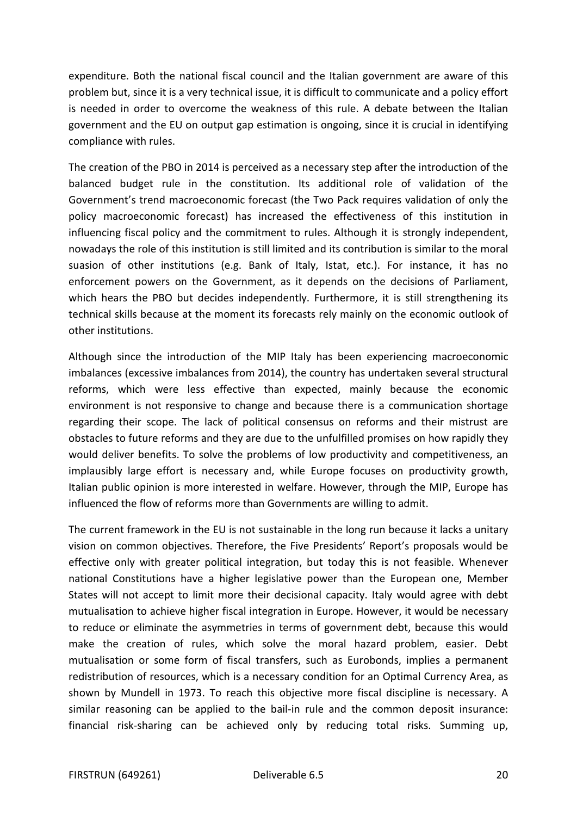expenditure. Both the national fiscal council and the Italian government are aware of this problem but, since it is a very technical issue, it is difficult to communicate and a policy effort is needed in order to overcome the weakness of this rule. A debate between the Italian government and the EU on output gap estimation is ongoing, since it is crucial in identifying compliance with rules.

The creation of the PBO in 2014 is perceived as a necessary step after the introduction of the balanced budget rule in the constitution. Its additional role of validation of the Government's trend macroeconomic forecast (the Two Pack requires validation of only the policy macroeconomic forecast) has increased the effectiveness of this institution in influencing fiscal policy and the commitment to rules. Although it is strongly independent, nowadays the role of this institution is still limited and its contribution is similar to the moral suasion of other institutions (e.g. Bank of Italy, Istat, etc.). For instance, it has no enforcement powers on the Government, as it depends on the decisions of Parliament, which hears the PBO but decides independently. Furthermore, it is still strengthening its technical skills because at the moment its forecasts rely mainly on the economic outlook of other institutions.

Although since the introduction of the MIP Italy has been experiencing macroeconomic imbalances (excessive imbalances from 2014), the country has undertaken several structural reforms, which were less effective than expected, mainly because the economic environment is not responsive to change and because there is a communication shortage regarding their scope. The lack of political consensus on reforms and their mistrust are obstacles to future reforms and they are due to the unfulfilled promises on how rapidly they would deliver benefits. To solve the problems of low productivity and competitiveness, an implausibly large effort is necessary and, while Europe focuses on productivity growth, Italian public opinion is more interested in welfare. However, through the MIP, Europe has influenced the flow of reforms more than Governments are willing to admit.

The current framework in the EU is not sustainable in the long run because it lacks a unitary vision on common objectives. Therefore, the Five Presidents' Report's proposals would be effective only with greater political integration, but today this is not feasible. Whenever national Constitutions have a higher legislative power than the European one, Member States will not accept to limit more their decisional capacity. Italy would agree with debt mutualisation to achieve higher fiscal integration in Europe. However, it would be necessary to reduce or eliminate the asymmetries in terms of government debt, because this would make the creation of rules, which solve the moral hazard problem, easier. Debt mutualisation or some form of fiscal transfers, such as Eurobonds, implies a permanent redistribution of resources, which is a necessary condition for an Optimal Currency Area, as shown by Mundell in 1973. To reach this objective more fiscal discipline is necessary. A similar reasoning can be applied to the bail-in rule and the common deposit insurance: financial risk-sharing can be achieved only by reducing total risks. Summing up,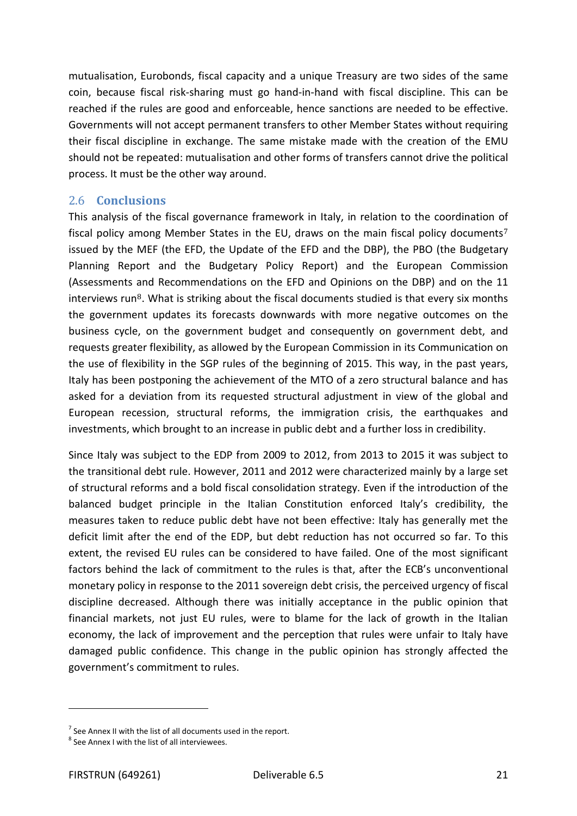mutualisation, Eurobonds, fiscal capacity and a unique Treasury are two sides of the same coin, because fiscal risk-sharing must go hand-in-hand with fiscal discipline. This can be reached if the rules are good and enforceable, hence sanctions are needed to be effective. Governments will not accept permanent transfers to other Member States without requiring their fiscal discipline in exchange. The same mistake made with the creation of the EMU should not be repeated: mutualisation and other forms of transfers cannot drive the political process. It must be the other way around.

#### <span id="page-20-0"></span>2.6 **Conclusions**

This analysis of the fiscal governance framework in Italy, in relation to the coordination [of](#page-20-1) fiscal policy among Member States in the EU, draws on the main fiscal policy documents<sup>7</sup> issued by the MEF (the EFD, the Update of the EFD and the DBP), the PBO (the Budgetary Planning Report and the Budgetary Policy Report) and the European Commission (Assessments [a](#page-20-2)nd Recommendations on the EFD and Opinions on the DBP) and on the 11 interviews run $8$ . What is striking about the fiscal documents studied is that every six months the government updates its forecasts downwards with more negative outcomes on the business cycle, on the government budget and consequently on government debt, and requests greater flexibility, as allowed by the European Commission in its Communication on the use of flexibility in the SGP rules of the beginning of 2015. This way, in the past years, Italy has been postponing the achievement of the MTO of a zero structural balance and has asked for a deviation from its requested structural adjustment in view of the global and European recession, structural reforms, the immigration crisis, the earthquakes and investments, which brought to an increase in public debt and a further loss in credibility.

Since Italy was subject to the EDP from 2009 to 2012, from 2013 to 2015 it was subject to the transitional debt rule. However, 2011 and 2012 were characterized mainly by a large set of structural reforms and a bold fiscal consolidation strategy. Even if the introduction of the balanced budget principle in the Italian Constitution enforced Italy's credibility, the measures taken to reduce public debt have not been effective: Italy has generally met the deficit limit after the end of the EDP, but debt reduction has not occurred so far. To this extent, the revised EU rules can be considered to have failed. One of the most significant factors behind the lack of commitment to the rules is that, after the ECB's unconventional monetary policy in response to the 2011 sovereign debt crisis, the perceived urgency of fiscal discipline decreased. Although there was initially acceptance in the public opinion that financial markets, not just EU rules, were to blame for the lack of growth in the Italian economy, the lack of improvement and the perception that rules were unfair to Italy have damaged public confidence. This change in the public opinion has strongly affected the government's commitment to rules.

j

<span id="page-20-1"></span> $<sup>7</sup>$  See Annex II with the list of all documents used in the report.</sup>

<span id="page-20-2"></span><sup>8</sup> See Annex I with the list of all interviewees.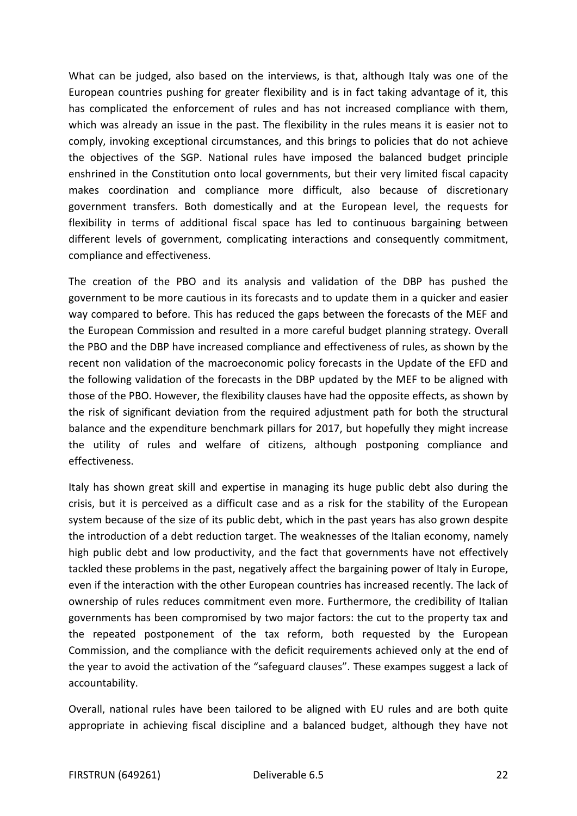What can be judged, also based on the interviews, is that, although Italy was one of the European countries pushing for greater flexibility and is in fact taking advantage of it, this has complicated the enforcement of rules and has not increased compliance with them, which was already an issue in the past. The flexibility in the rules means it is easier not to comply, invoking exceptional circumstances, and this brings to policies that do not achieve the objectives of the SGP. National rules have imposed the balanced budget principle enshrined in the Constitution onto local governments, but their very limited fiscal capacity makes coordination and compliance more difficult, also because of discretionary government transfers. Both domestically and at the European level, the requests for flexibility in terms of additional fiscal space has led to continuous bargaining between different levels of government, complicating interactions and consequently commitment, compliance and effectiveness.

The creation of the PBO and its analysis and validation of the DBP has pushed the government to be more cautious in its forecasts and to update them in a quicker and easier way compared to before. This has reduced the gaps between the forecasts of the MEF and the European Commission and resulted in a more careful budget planning strategy. Overall the PBO and the DBP have increased compliance and effectiveness of rules, as shown by the recent non validation of the macroeconomic policy forecasts in the Update of the EFD and the following validation of the forecasts in the DBP updated by the MEF to be aligned with those of the PBO. However, the flexibility clauses have had the opposite effects, as shown by the risk of significant deviation from the required adjustment path for both the structural balance and the expenditure benchmark pillars for 2017, but hopefully they might increase the utility of rules and welfare of citizens, although postponing compliance and effectiveness.

Italy has shown great skill and expertise in managing its huge public debt also during the crisis, but it is perceived as a difficult case and as a risk for the stability of the European system because of the size of its public debt, which in the past years has also grown despite the introduction of a debt reduction target. The weaknesses of the Italian economy, namely high public debt and low productivity, and the fact that governments have not effectively tackled these problems in the past, negatively affect the bargaining power of Italy in Europe, even if the interaction with the other European countries has increased recently. The lack of ownership of rules reduces commitment even more. Furthermore, the credibility of Italian governments has been compromised by two major factors: the cut to the property tax and the repeated postponement of the tax reform, both requested by the European Commission, and the compliance with the deficit requirements achieved only at the end of the year to avoid the activation of the "safeguard clauses". These exampes suggest a lack of accountability.

Overall, national rules have been tailored to be aligned with EU rules and are both quite appropriate in achieving fiscal discipline and a balanced budget, although they have not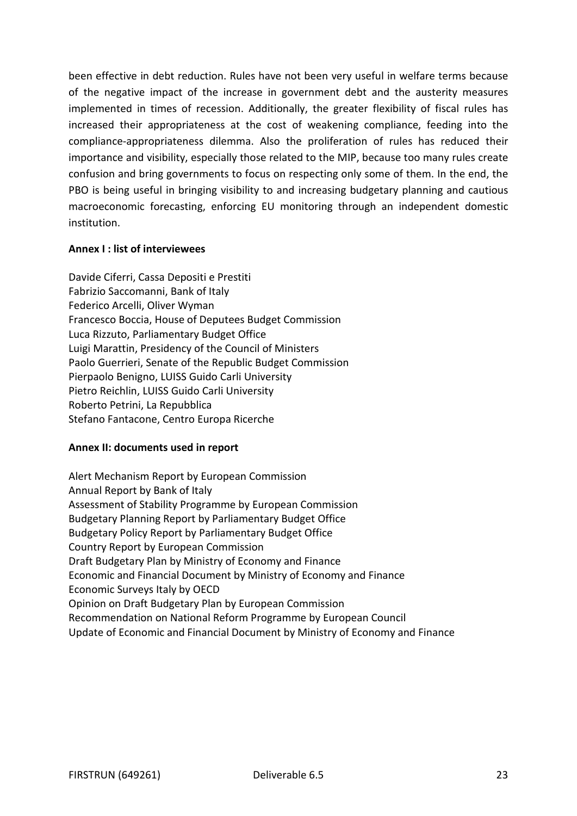been effective in debt reduction. Rules have not been very useful in welfare terms because of the negative impact of the increase in government debt and the austerity measures implemented in times of recession. Additionally, the greater flexibility of fiscal rules has increased their appropriateness at the cost of weakening compliance, feeding into the compliance-appropriateness dilemma. Also the proliferation of rules has reduced their importance and visibility, especially those related to the MIP, because too many rules create confusion and bring governments to focus on respecting only some of them. In the end, the PBO is being useful in bringing visibility to and increasing budgetary planning and cautious macroeconomic forecasting, enforcing EU monitoring through an independent domestic institution.

#### **Annex I : list of interviewees**

Davide Ciferri, Cassa Depositi e Prestiti Fabrizio Saccomanni, Bank of Italy Federico Arcelli, Oliver Wyman Francesco Boccia, House of Deputees Budget Commission Luca Rizzuto, Parliamentary Budget Office Luigi Marattin, Presidency of the Council of Ministers Paolo Guerrieri, Senate of the Republic Budget Commission Pierpaolo Benigno, LUISS Guido Carli University Pietro Reichlin, LUISS Guido Carli University Roberto Petrini, La Repubblica Stefano Fantacone, Centro Europa Ricerche

#### **Annex II: documents used in report**

Alert Mechanism Report by European Commission Annual Report by Bank of Italy Assessment of Stability Programme by European Commission Budgetary Planning Report by Parliamentary Budget Office Budgetary Policy Report by Parliamentary Budget Office Country Report by European Commission Draft Budgetary Plan by Ministry of Economy and Finance Economic and Financial Document by Ministry of Economy and Finance Economic Surveys Italy by OECD Opinion on Draft Budgetary Plan by European Commission Recommendation on National Reform Programme by European Council Update of Economic and Financial Document by Ministry of Economy and Finance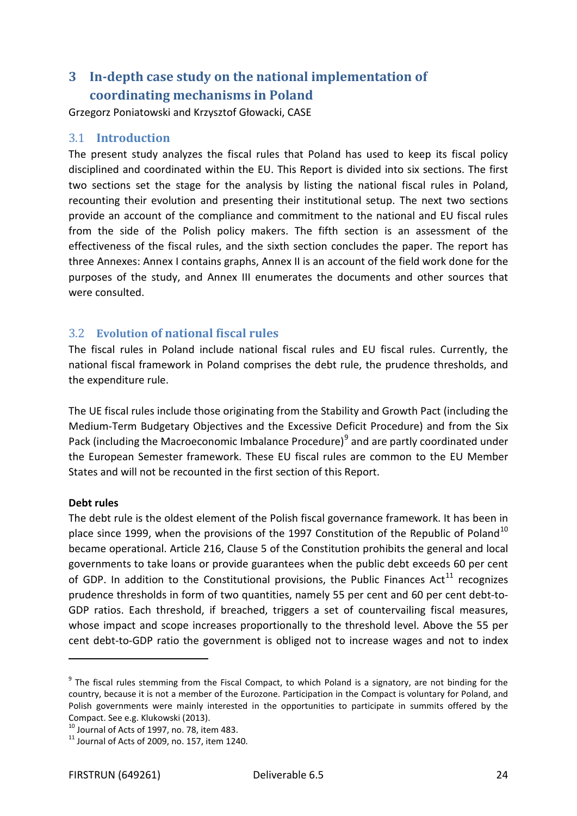## <span id="page-23-0"></span>**3 In-depth case study on the national implementation of coordinating mechanisms in Poland**

Grzegorz Poniatowski and Krzysztof Głowacki, CASE

#### <span id="page-23-1"></span>3.1 **Introduction**

The present study analyzes the fiscal rules that Poland has used to keep its fiscal policy disciplined and coordinated within the EU. This Report is divided into six sections. The first two sections set the stage for the analysis by listing the national fiscal rules in Poland, recounting their evolution and presenting their institutional setup. The next two sections provide an account of the compliance and commitment to the national and EU fiscal rules from the side of the Polish policy makers. The fifth section is an assessment of the effectiveness of the fiscal rules, and the sixth section concludes the paper. The report has three Annexes: Annex I contains graphs, Annex II is an account of the field work done for the purposes of the study, and Annex III enumerates the documents and other sources that were consulted.

#### <span id="page-23-2"></span>3.2 **Evolution of national fiscal rules**

The fiscal rules in Poland include national fiscal rules and EU fiscal rules. Currently, the national fiscal framework in Poland comprises the debt rule, the prudence thresholds, and the expenditure rule.

The UE fiscal rules include those originating from the Stability and Growth Pact (including the Medium-Term Budgetary Objectives and the Excessive Deficit Procedure) and from the Six Pack (including the Macroeconomic Imbalance Procedure)<sup>[9](#page-23-3)</sup> and are partly coordinated under the European Semester framework. These EU fiscal rules are common to the EU Member States and will not be recounted in the first section of this Report.

#### **Debt rules**

j

The debt rule is the oldest element of the Polish fiscal governance framework. It has been in place since 1999, when the provisions of the 1997 Constitution of the Republic of Poland<sup>[10](#page-23-4)</sup> became operational. Article 216, Clause 5 of the Constitution prohibits the general and local governments to take loans or provide guarantees when the public debt exceeds 60 per cent of GDP. In addition to the Constitutional provisions, the Public Finances Act<sup>[11](#page-23-5)</sup> recognizes prudence thresholds in form of two quantities, namely 55 per cent and 60 per cent debt-to-GDP ratios. Each threshold, if breached, triggers a set of countervailing fiscal measures, whose impact and scope increases proportionally to the threshold level. Above the 55 per cent debt-to-GDP ratio the government is obliged not to increase wages and not to index

<span id="page-23-3"></span> $9$  The fiscal rules stemming from the Fiscal Compact, to which Poland is a signatory, are not binding for the country, because it is not a member of the Eurozone. Participation in the Compact is voluntary for Poland, and Polish governments were mainly interested in the opportunities to participate in summits offered by the Compact. See e.g. Klukowski (2013).

<span id="page-23-5"></span><span id="page-23-4"></span> $^{10}$  Journal of Acts of 1997, no. 78, item 483.<br> $^{11}$  Journal of Acts of 2009, no. 157, item 1240.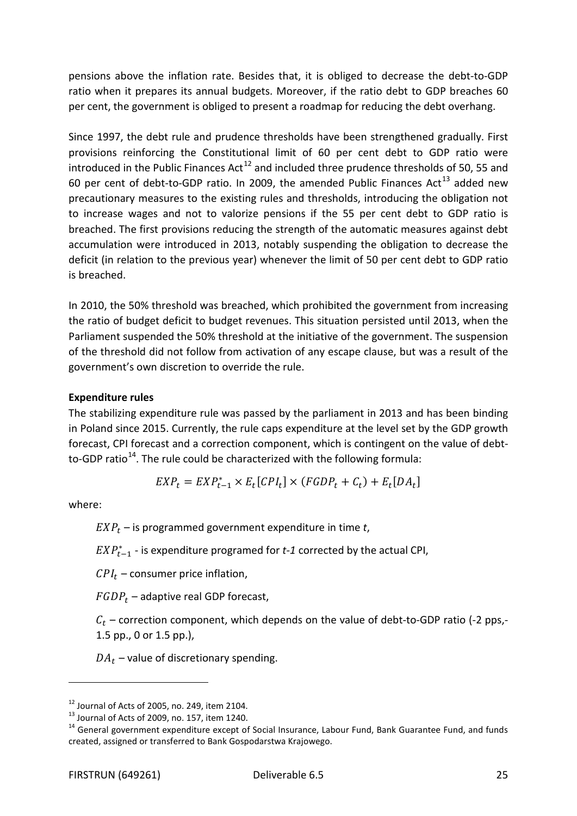pensions above the inflation rate. Besides that, it is obliged to decrease the debt-to-GDP ratio when it prepares its annual budgets. Moreover, if the ratio debt to GDP breaches 60 per cent, the government is obliged to present a roadmap for reducing the debt overhang.

Since 1997, the debt rule and prudence thresholds have been strengthened gradually. First provisions reinforcing the Constitutional limit of 60 per cent debt to GDP ratio were introduced in the Public Finances Act<sup>[12](#page-24-0)</sup> and included three prudence thresholds of 50, 55 and 60 per cent of debt-to-GDP ratio. In 2009, the amended Public Finances Act<sup>[13](#page-24-1)</sup> added new precautionary measures to the existing rules and thresholds, introducing the obligation not to increase wages and not to valorize pensions if the 55 per cent debt to GDP ratio is breached. The first provisions reducing the strength of the automatic measures against debt accumulation were introduced in 2013, notably suspending the obligation to decrease the deficit (in relation to the previous year) whenever the limit of 50 per cent debt to GDP ratio is breached.

In 2010, the 50% threshold was breached, which prohibited the government from increasing the ratio of budget deficit to budget revenues. This situation persisted until 2013, when the Parliament suspended the 50% threshold at the initiative of the government. The suspension of the threshold did not follow from activation of any escape clause, but was a result of the government's own discretion to override the rule.

#### **Expenditure rules**

The stabilizing expenditure rule was passed by the parliament in 2013 and has been binding in Poland since 2015. Currently, the rule caps expenditure at the level set by the GDP growth forecast, CPI forecast and a correction component, which is contingent on the value of debtto-GDP ratio $14$ . The rule could be characterized with the following formula:

$$
EXP_{t} = EXP_{t-1} \times E_{t}[CPI_{t}] \times (FGDP_{t} + C_{t}) + E_{t}[DA_{t}]
$$

where:

 $\overline{a}$ 

 $EXP<sub>t</sub>$  – is programmed government expenditure in time *t*,

 $EXP_{t-1}^*$  - is expenditure programed for *t-1* corrected by the actual CPI,

 $CPI_t$  – consumer price inflation,

 $FGDP<sub>t</sub>$  – adaptive real GDP forecast,

 $C_t$  – correction component, which depends on the value of debt-to-GDP ratio (-2 pps,-1.5 pp., 0 or 1.5 pp.),

 $DA_t$  – value of discretionary spending.

<span id="page-24-2"></span><span id="page-24-1"></span>

<span id="page-24-0"></span><sup>&</sup>lt;sup>12</sup> Journal of Acts of 2005, no. 249, item 2104.<br><sup>13</sup> Journal of Acts of 2009, no. 157, item 1240.<br><sup>14</sup> General government expenditure except of Social Insurance, Labour Fund, Bank Guarantee Fund, and funds created, assigned or transferred to Bank Gospodarstwa Krajowego.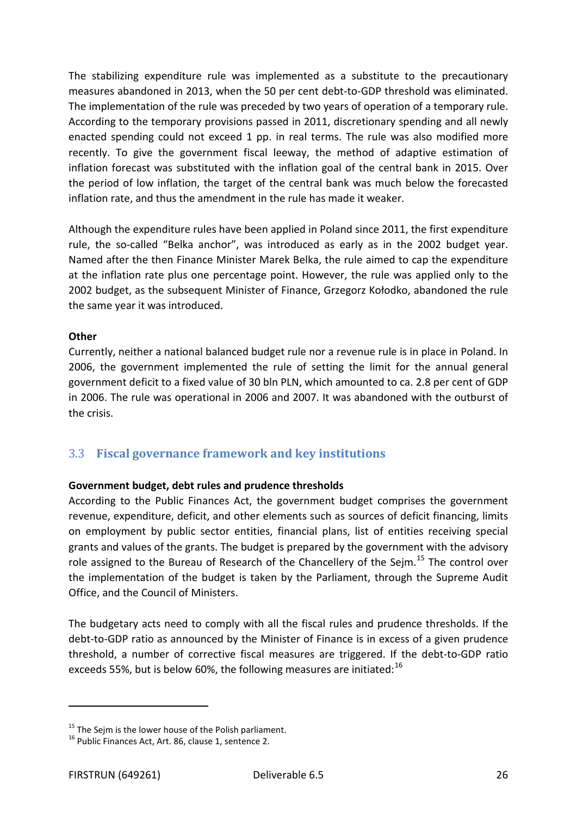The stabilizing expenditure rule was implemented as a substitute to the precautionary measures abandoned in 2013, when the 50 per cent debt-to-GDP threshold was eliminated. The implementation of the rule was preceded by two years of operation of a temporary rule. According to the temporary provisions passed in 2011, discretionary spending and all newly enacted spending could not exceed 1 pp. in real terms. The rule was also modified more recently. To give the government fiscal leeway, the method of adaptive estimation of inflation forecast was substituted with the inflation goal of the central bank in 2015. Over the period of low inflation, the target of the central bank was much below the forecasted inflation rate, and thus the amendment in the rule has made it weaker.

Although the expenditure rules have been applied in Poland since 2011, the first expenditure rule, the so-called "Belka anchor", was introduced as early as in the 2002 budget year. Named after the then Finance Minister Marek Belka, the rule aimed to cap the expenditure at the inflation rate plus one percentage point. However, the rule was applied only to the 2002 budget, as the subsequent Minister of Finance, Grzegorz Kołodko, abandoned the rule the same year it was introduced.

#### **Other**

Currently, neither a national balanced budget rule nor a revenue rule is in place in Poland. In 2006, the government implemented the rule of setting the limit for the annual general government deficit to a fixed value of 30 bln PLN, which amounted to ca. 2.8 per cent of GDP in 2006. The rule was operational in 2006 and 2007. It was abandoned with the outburst of the crisis.

#### <span id="page-25-0"></span>3.3 **Fiscal governance framework and key institutions**

#### **Government budget, debt rules and prudence thresholds**

According to the Public Finances Act, the government budget comprises the government revenue, expenditure, deficit, and other elements such as sources of deficit financing, limits on employment by public sector entities, financial plans, list of entities receiving special grants and values of the grants. The budget is prepared by the government with the advisory role assigned to the Bureau of Research of the Chancellery of the Sejm.<sup>[15](#page-25-1)</sup> The control over the implementation of the budget is taken by the Parliament, through the Supreme Audit Office, and the Council of Ministers.

The budgetary acts need to comply with all the fiscal rules and prudence thresholds. If the debt-to-GDP ratio as announced by the Minister of Finance is in excess of a given prudence threshold, a number of corrective fiscal measures are triggered. If the debt-to-GDP ratio exceeds 55%, but is below 60%, the following measures are initiated: $^{16}$  $^{16}$  $^{16}$ 

 $\overline{a}$ 

<span id="page-25-1"></span><sup>&</sup>lt;sup>15</sup> The Sejm is the lower house of the Polish parliament.<br><sup>16</sup> Public Finances Act, Art. 86, clause 1, sentence 2.

<span id="page-25-2"></span>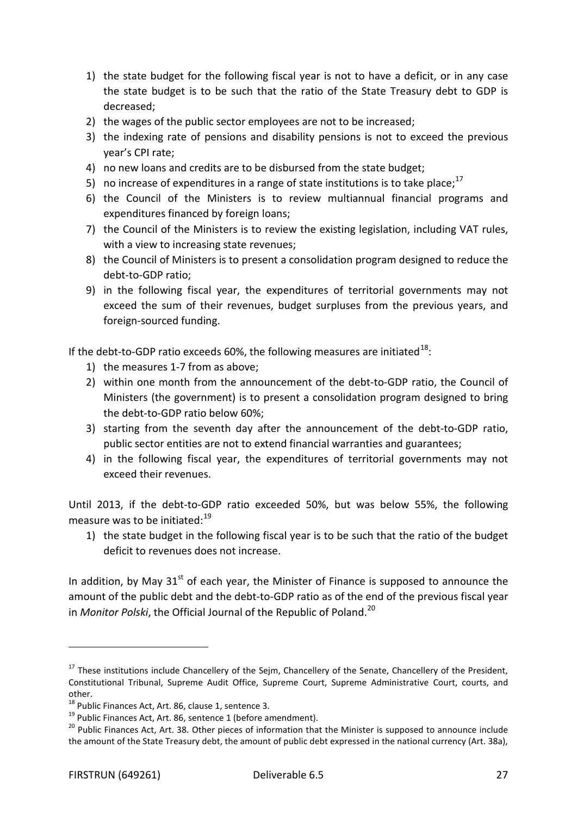- 1) the state budget for the following fiscal year is not to have a deficit, or in any case the state budget is to be such that the ratio of the State Treasury debt to GDP is decreased;
- 2) the wages of the public sector employees are not to be increased;
- 3) the indexing rate of pensions and disability pensions is not to exceed the previous year's CPI rate;
- 4) no new loans and credits are to be disbursed from the state budget;
- 5) no increase of expenditures in a range of state institutions is to take place;<sup>[17](#page-26-0)</sup>
- 6) the Council of the Ministers is to review multiannual financial programs and expenditures financed by foreign loans;
- 7) the Council of the Ministers is to review the existing legislation, including VAT rules, with a view to increasing state revenues;
- 8) the Council of Ministers is to present a consolidation program designed to reduce the debt-to-GDP ratio;
- 9) in the following fiscal year, the expenditures of territorial governments may not exceed the sum of their revenues, budget surpluses from the previous years, and foreign-sourced funding.

If the debt-to-GDP ratio exceeds 60%, the following measures are initiated<sup>[18](#page-26-1)</sup>:

- 1) the measures 1-7 from as above;
- 2) within one month from the announcement of the debt-to-GDP ratio, the Council of Ministers (the government) is to present a consolidation program designed to bring the debt-to-GDP ratio below 60%;
- 3) starting from the seventh day after the announcement of the debt-to-GDP ratio, public sector entities are not to extend financial warranties and guarantees;
- 4) in the following fiscal year, the expenditures of territorial governments may not exceed their revenues.

Until 2013, if the debt-to-GDP ratio exceeded 50%, but was below 55%, the following measure was to be initiated: $19$ 

1) the state budget in the following fiscal year is to be such that the ratio of the budget deficit to revenues does not increase.

In addition, by May  $31<sup>st</sup>$  of each year, the Minister of Finance is supposed to announce the amount of the public debt and the debt-to-GDP ratio as of the end of the previous fiscal year in *Monitor Polski*, the Official Journal of the Republic of Poland.<sup>[20](#page-26-3)</sup>

 $\overline{a}$ 

<span id="page-26-0"></span> $17$  These institutions include Chancellery of the Sejm, Chancellery of the Senate, Chancellery of the President, Constitutional Tribunal, Supreme Audit Office, Supreme Court, Supreme Administrative Court, courts, and

other.<br><sup>18</sup> Public Finances Act, Art. 86, clause 1, sentence 3.

<span id="page-26-3"></span><span id="page-26-2"></span><span id="page-26-1"></span><sup>&</sup>lt;sup>19</sup> Public Finances Act, Art. 86, sentence 1 (before amendment).<br><sup>20</sup> Public Finances Act, Art. 38. Other pieces of information that the Minister is supposed to announce include the amount of the State Treasury debt, the amount of public debt expressed in the national currency (Art. 38a),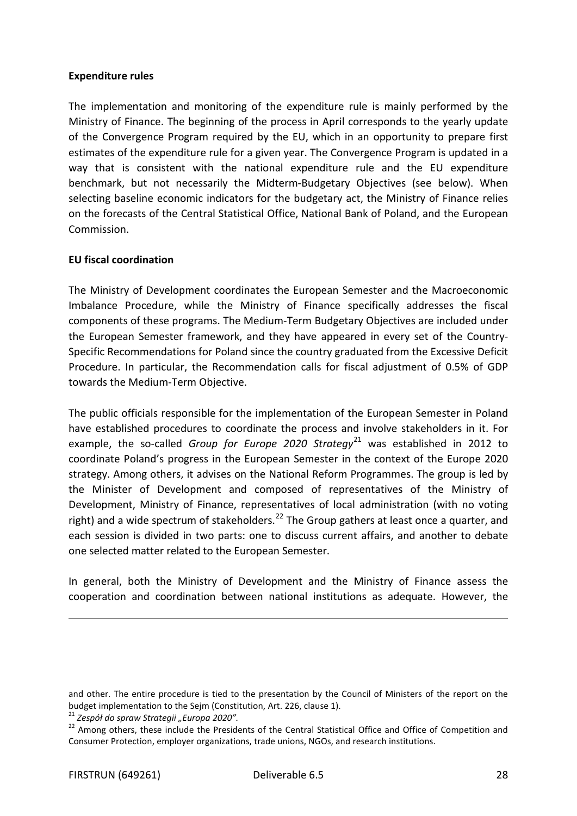#### **Expenditure rules**

The implementation and monitoring of the expenditure rule is mainly performed by the Ministry of Finance. The beginning of the process in April corresponds to the yearly update of the Convergence Program required by the EU, which in an opportunity to prepare first estimates of the expenditure rule for a given year. The Convergence Program is updated in a way that is consistent with the national expenditure rule and the EU expenditure benchmark, but not necessarily the Midterm-Budgetary Objectives (see below). When selecting baseline economic indicators for the budgetary act, the Ministry of Finance relies on the forecasts of the Central Statistical Office, National Bank of Poland, and the European Commission.

#### **EU fiscal coordination**

The Ministry of Development coordinates the European Semester and the Macroeconomic Imbalance Procedure, while the Ministry of Finance specifically addresses the fiscal components of these programs. The Medium-Term Budgetary Objectives are included under the European Semester framework, and they have appeared in every set of the Country-Specific Recommendations for Poland since the country graduated from the Excessive Deficit Procedure. In particular, the Recommendation calls for fiscal adjustment of 0.5% of GDP towards the Medium-Term Objective.

The public officials responsible for the implementation of the European Semester in Poland have established procedures to coordinate the process and involve stakeholders in it. For example, the so-called *Group for Europe 2020 Strategy*<sup>[21](#page-27-0)</sup> was established in 2012 to coordinate Poland's progress in the European Semester in the context of the Europe 2020 strategy. Among others, it advises on the National Reform Programmes. The group is led by the Minister of Development and composed of representatives of the Ministry of Development, Ministry of Finance, representatives of local administration (with no voting right) and a wide spectrum of stakeholders.<sup>[22](#page-27-1)</sup> The Group gathers at least once a quarter, and each session is divided in two parts: one to discuss current affairs, and another to debate one selected matter related to the European Semester.

In general, both the Ministry of Development and the Ministry of Finance assess the cooperation and coordination between national institutions as adequate. However, the

.

and other. The entire procedure is tied to the presentation by the Council of Ministers of the report on the budget implementation to the Sejm (Constitution, Art. 226, clause 1).

<span id="page-27-0"></span><sup>21</sup> *Zespół do spraw Strategii "Europa 2020".*

<span id="page-27-1"></span><sup>&</sup>lt;sup>22</sup> Among others, these include the Presidents of the Central Statistical Office and Office of Competition and Consumer Protection, employer organizations, trade unions, NGOs, and research institutions.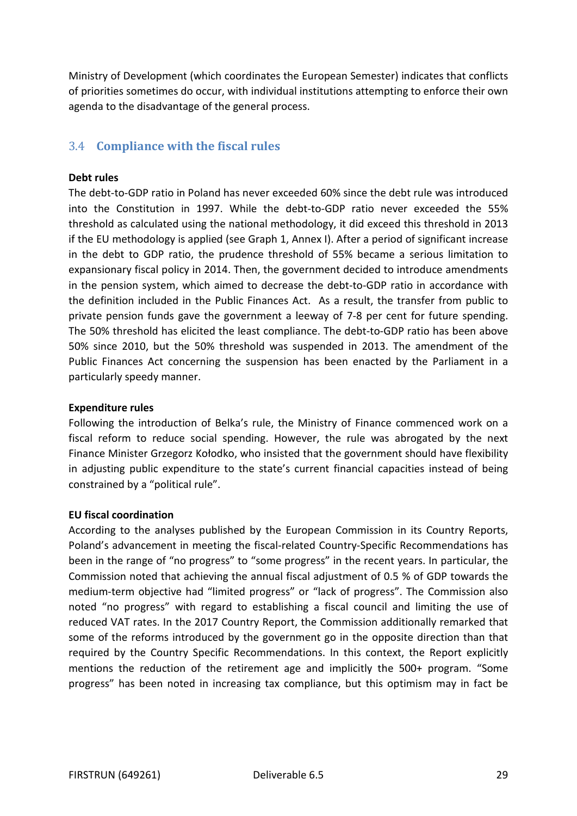Ministry of Development (which coordinates the European Semester) indicates that conflicts of priorities sometimes do occur, with individual institutions attempting to enforce their own agenda to the disadvantage of the general process.

## <span id="page-28-0"></span>3.4 **Compliance with the fiscal rules**

#### **Debt rules**

The debt-to-GDP ratio in Poland has never exceeded 60% since the debt rule was introduced into the Constitution in 1997. While the debt-to-GDP ratio never exceeded the 55% threshold as calculated using the national methodology, it did exceed this threshold in 2013 if the EU methodology is applied (see Graph 1, Annex I). After a period of significant increase in the debt to GDP ratio, the prudence threshold of 55% became a serious limitation to expansionary fiscal policy in 2014. Then, the government decided to introduce amendments in the pension system, which aimed to decrease the debt-to-GDP ratio in accordance with the definition included in the Public Finances Act. As a result, the transfer from public to private pension funds gave the government a leeway of 7-8 per cent for future spending. The 50% threshold has elicited the least compliance. The debt-to-GDP ratio has been above 50% since 2010, but the 50% threshold was suspended in 2013. The amendment of the Public Finances Act concerning the suspension has been enacted by the Parliament in a particularly speedy manner.

#### **Expenditure rules**

Following the introduction of Belka's rule, the Ministry of Finance commenced work on a fiscal reform to reduce social spending. However, the rule was abrogated by the next Finance Minister Grzegorz Kołodko, who insisted that the government should have flexibility in adjusting public expenditure to the state's current financial capacities instead of being constrained by a "political rule".

#### **EU fiscal coordination**

According to the analyses published by the European Commission in its Country Reports, Poland's advancement in meeting the fiscal-related Country-Specific Recommendations has been in the range of "no progress" to "some progress" in the recent years. In particular, the Commission noted that achieving the annual fiscal adjustment of 0.5 % of GDP towards the medium-term objective had "limited progress" or "lack of progress". The Commission also noted "no progress" with regard to establishing a fiscal council and limiting the use of reduced VAT rates. In the 2017 Country Report, the Commission additionally remarked that some of the reforms introduced by the government go in the opposite direction than that required by the Country Specific Recommendations. In this context, the Report explicitly mentions the reduction of the retirement age and implicitly the 500+ program. "Some progress" has been noted in increasing tax compliance, but this optimism may in fact be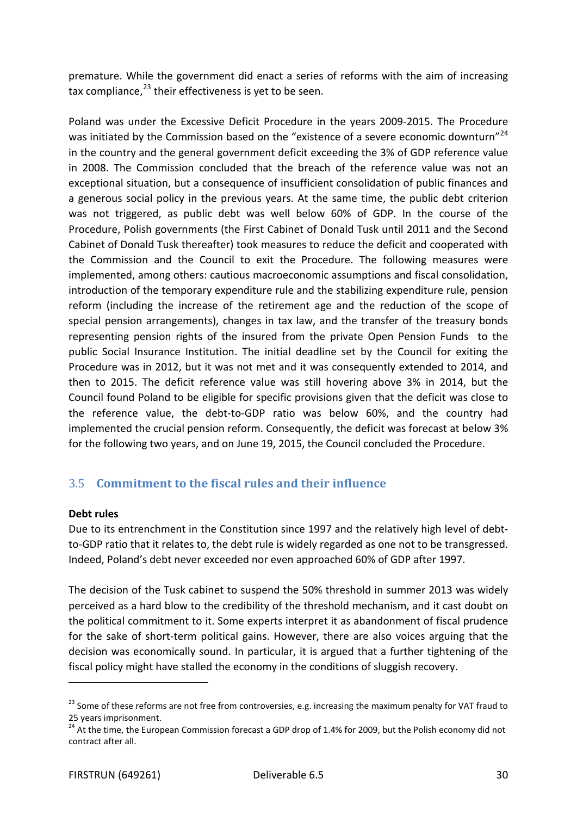premature. While the government did enact a series of reforms with the aim of increasing tax compliance, $^{23}$  $^{23}$  $^{23}$  their effectiveness is yet to be seen.

Poland was under the Excessive Deficit Procedure in the years 2009-2015. The Procedure was initiated by the Commission based on the "existence of a severe economic downturn"<sup>[24](#page-29-2)</sup> in the country and the general government deficit exceeding the 3% of GDP reference value in 2008. The Commission concluded that the breach of the reference value was not an exceptional situation, but a consequence of insufficient consolidation of public finances and a generous social policy in the previous years. At the same time, the public debt criterion was not triggered, as public debt was well below 60% of GDP. In the course of the Procedure, Polish governments (the First Cabinet of Donald Tusk until 2011 and the Second Cabinet of Donald Tusk thereafter) took measures to reduce the deficit and cooperated with the Commission and the Council to exit the Procedure. The following measures were implemented, among others: cautious macroeconomic assumptions and fiscal consolidation, introduction of the temporary expenditure rule and the stabilizing expenditure rule, pension reform (including the increase of the retirement age and the reduction of the scope of special pension arrangements), changes in tax law, and the transfer of the treasury bonds representing pension rights of the insured from the private Open Pension Funds to the public Social Insurance Institution. The initial deadline set by the Council for exiting the Procedure was in 2012, but it was not met and it was consequently extended to 2014, and then to 2015. The deficit reference value was still hovering above 3% in 2014, but the Council found Poland to be eligible for specific provisions given that the deficit was close to the reference value, the debt-to-GDP ratio was below 60%, and the country had implemented the crucial pension reform. Consequently, the deficit was forecast at below 3% for the following two years, and on June 19, 2015, the Council concluded the Procedure.

## <span id="page-29-0"></span>3.5 **Commitment to the fiscal rules and their influence**

#### **Debt rules**

 $\overline{a}$ 

Due to its entrenchment in the Constitution since 1997 and the relatively high level of debtto-GDP ratio that it relates to, the debt rule is widely regarded as one not to be transgressed. Indeed, Poland's debt never exceeded nor even approached 60% of GDP after 1997.

The decision of the Tusk cabinet to suspend the 50% threshold in summer 2013 was widely perceived as a hard blow to the credibility of the threshold mechanism, and it cast doubt on the political commitment to it. Some experts interpret it as abandonment of fiscal prudence for the sake of short-term political gains. However, there are also voices arguing that the decision was economically sound. In particular, it is argued that a further tightening of the fiscal policy might have stalled the economy in the conditions of sluggish recovery.

<span id="page-29-1"></span><sup>&</sup>lt;sup>23</sup> Some of these reforms are not free from controversies, e.g. increasing the maximum penalty for VAT fraud to 25 years imprisonment.

<span id="page-29-2"></span><sup>&</sup>lt;sup>24</sup> At the time, the European Commission forecast a GDP drop of 1.4% for 2009, but the Polish economy did not contract after all.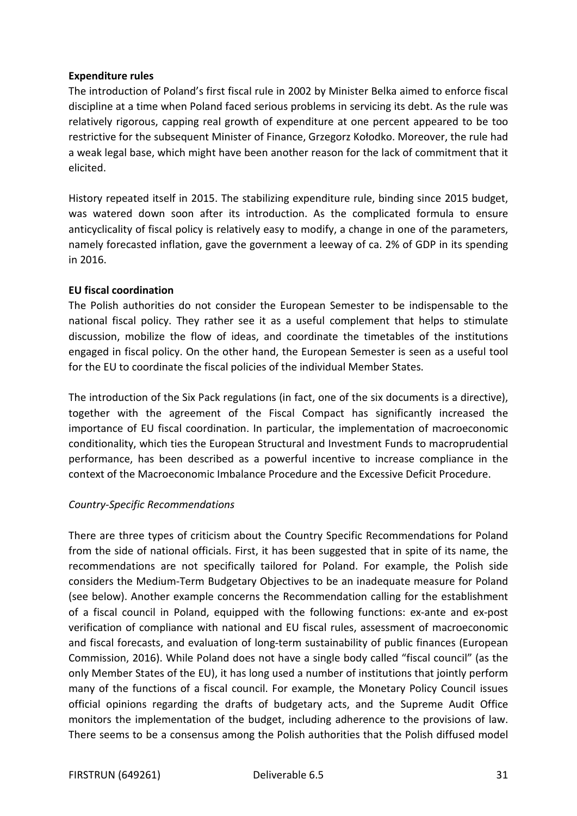#### **Expenditure rules**

The introduction of Poland's first fiscal rule in 2002 by Minister Belka aimed to enforce fiscal discipline at a time when Poland faced serious problems in servicing its debt. As the rule was relatively rigorous, capping real growth of expenditure at one percent appeared to be too restrictive for the subsequent Minister of Finance, Grzegorz Kołodko. Moreover, the rule had a weak legal base, which might have been another reason for the lack of commitment that it elicited.

History repeated itself in 2015. The stabilizing expenditure rule, binding since 2015 budget, was watered down soon after its introduction. As the complicated formula to ensure anticyclicality of fiscal policy is relatively easy to modify, a change in one of the parameters, namely forecasted inflation, gave the government a leeway of ca. 2% of GDP in its spending in 2016.

#### **EU fiscal coordination**

The Polish authorities do not consider the European Semester to be indispensable to the national fiscal policy. They rather see it as a useful complement that helps to stimulate discussion, mobilize the flow of ideas, and coordinate the timetables of the institutions engaged in fiscal policy. On the other hand, the European Semester is seen as a useful tool for the EU to coordinate the fiscal policies of the individual Member States.

The introduction of the Six Pack regulations (in fact, one of the six documents is a directive), together with the agreement of the Fiscal Compact has significantly increased the importance of EU fiscal coordination. In particular, the implementation of macroeconomic conditionality, which ties the European Structural and Investment Funds to macroprudential performance, has been described as a powerful incentive to increase compliance in the context of the Macroeconomic Imbalance Procedure and the Excessive Deficit Procedure.

#### *Country-Specific Recommendations*

There are three types of criticism about the Country Specific Recommendations for Poland from the side of national officials. First, it has been suggested that in spite of its name, the recommendations are not specifically tailored for Poland. For example, the Polish side considers the Medium-Term Budgetary Objectives to be an inadequate measure for Poland (see below). Another example concerns the Recommendation calling for the establishment of a fiscal council in Poland, equipped with the following functions: ex-ante and ex-post verification of compliance with national and EU fiscal rules, assessment of macroeconomic and fiscal forecasts, and evaluation of long-term sustainability of public finances (European Commission, 2016). While Poland does not have a single body called "fiscal council" (as the only Member States of the EU), it has long used a number of institutions that jointly perform many of the functions of a fiscal council. For example, the Monetary Policy Council issues official opinions regarding the drafts of budgetary acts, and the Supreme Audit Office monitors the implementation of the budget, including adherence to the provisions of law. There seems to be a consensus among the Polish authorities that the Polish diffused model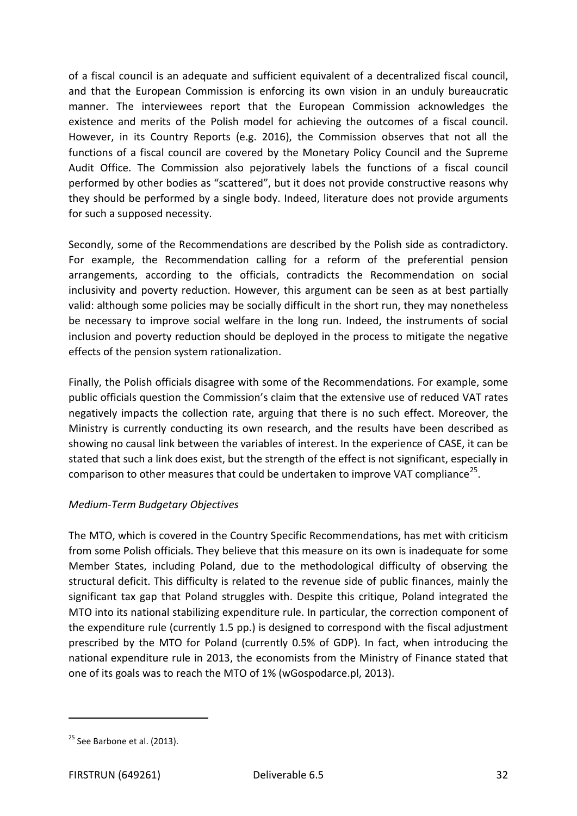of a fiscal council is an adequate and sufficient equivalent of a decentralized fiscal council, and that the European Commission is enforcing its own vision in an unduly bureaucratic manner. The interviewees report that the European Commission acknowledges the existence and merits of the Polish model for achieving the outcomes of a fiscal council. However, in its Country Reports (e.g. 2016), the Commission observes that not all the functions of a fiscal council are covered by the Monetary Policy Council and the Supreme Audit Office. The Commission also pejoratively labels the functions of a fiscal council performed by other bodies as "scattered", but it does not provide constructive reasons why they should be performed by a single body. Indeed, literature does not provide arguments for such a supposed necessity.

Secondly, some of the Recommendations are described by the Polish side as contradictory. For example, the Recommendation calling for a reform of the preferential pension arrangements, according to the officials, contradicts the Recommendation on social inclusivity and poverty reduction. However, this argument can be seen as at best partially valid: although some policies may be socially difficult in the short run, they may nonetheless be necessary to improve social welfare in the long run. Indeed, the instruments of social inclusion and poverty reduction should be deployed in the process to mitigate the negative effects of the pension system rationalization.

Finally, the Polish officials disagree with some of the Recommendations. For example, some public officials question the Commission's claim that the extensive use of reduced VAT rates negatively impacts the collection rate, arguing that there is no such effect. Moreover, the Ministry is currently conducting its own research, and the results have been described as showing no causal link between the variables of interest. In the experience of CASE, it can be stated that such a link does exist, but the strength of the effect is not significant, especially in comparison to other measures that could be undertaken to improve VAT compliance<sup>[25](#page-31-0)</sup>.

#### *Medium-Term Budgetary Objectives*

The MTO, which is covered in the Country Specific Recommendations, has met with criticism from some Polish officials. They believe that this measure on its own is inadequate for some Member States, including Poland, due to the methodological difficulty of observing the structural deficit. This difficulty is related to the revenue side of public finances, mainly the significant tax gap that Poland struggles with. Despite this critique, Poland integrated the MTO into its national stabilizing expenditure rule. In particular, the correction component of the expenditure rule (currently 1.5 pp.) is designed to correspond with the fiscal adjustment prescribed by the MTO for Poland (currently 0.5% of GDP). In fact, when introducing the national expenditure rule in 2013, the economists from the Ministry of Finance stated that one of its goals was to reach the MTO of 1% (wGospodarce.pl, 2013).

 $\overline{a}$ 

<span id="page-31-0"></span> $25$  See Barbone et al. (2013).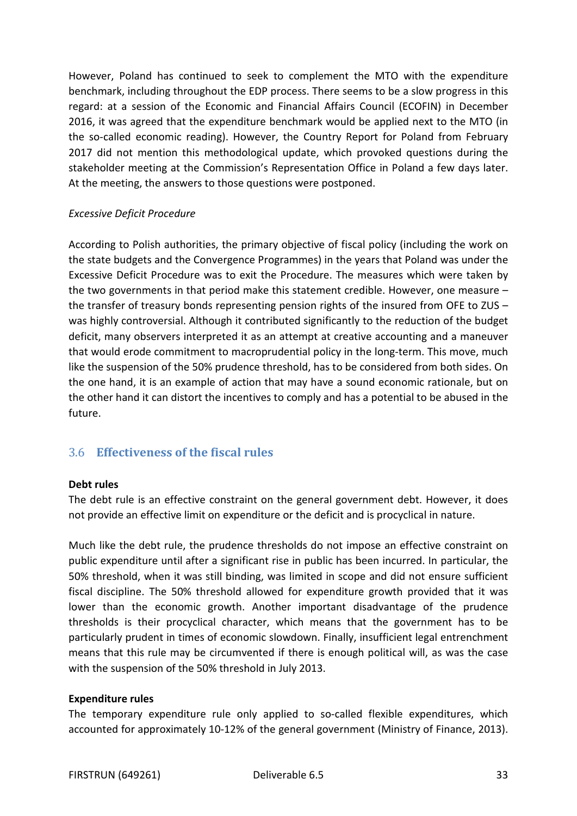However, Poland has continued to seek to complement the MTO with the expenditure benchmark, including throughout the EDP process. There seems to be a slow progress in this regard: at a session of the Economic and Financial Affairs Council (ECOFIN) in December 2016, it was agreed that the expenditure benchmark would be applied next to the MTO (in the so-called economic reading). However, the Country Report for Poland from February 2017 did not mention this methodological update, which provoked questions during the stakeholder meeting at the Commission's Representation Office in Poland a few days later. At the meeting, the answers to those questions were postponed.

#### *Excessive Deficit Procedure*

According to Polish authorities, the primary objective of fiscal policy (including the work on the state budgets and the Convergence Programmes) in the years that Poland was under the Excessive Deficit Procedure was to exit the Procedure. The measures which were taken by the two governments in that period make this statement credible. However, one measure – the transfer of treasury bonds representing pension rights of the insured from OFE to ZUS – was highly controversial. Although it contributed significantly to the reduction of the budget deficit, many observers interpreted it as an attempt at creative accounting and a maneuver that would erode commitment to macroprudential policy in the long-term. This move, much like the suspension of the 50% prudence threshold, has to be considered from both sides. On the one hand, it is an example of action that may have a sound economic rationale, but on the other hand it can distort the incentives to comply and has a potential to be abused in the future.

#### <span id="page-32-0"></span>3.6 **Effectiveness of the fiscal rules**

#### **Debt rules**

The debt rule is an effective constraint on the general government debt. However, it does not provide an effective limit on expenditure or the deficit and is procyclical in nature.

Much like the debt rule, the prudence thresholds do not impose an effective constraint on public expenditure until after a significant rise in public has been incurred. In particular, the 50% threshold, when it was still binding, was limited in scope and did not ensure sufficient fiscal discipline. The 50% threshold allowed for expenditure growth provided that it was lower than the economic growth. Another important disadvantage of the prudence thresholds is their procyclical character, which means that the government has to be particularly prudent in times of economic slowdown. Finally, insufficient legal entrenchment means that this rule may be circumvented if there is enough political will, as was the case with the suspension of the 50% threshold in July 2013.

#### **Expenditure rules**

The temporary expenditure rule only applied to so-called flexible expenditures, which accounted for approximately 10-12% of the general government (Ministry of Finance, 2013).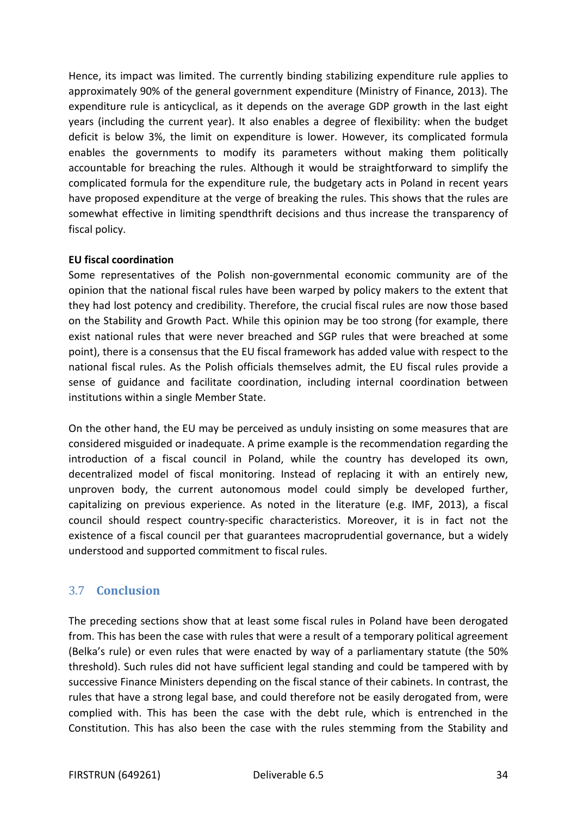Hence, its impact was limited. The currently binding stabilizing expenditure rule applies to approximately 90% of the general government expenditure (Ministry of Finance, 2013). The expenditure rule is anticyclical, as it depends on the average GDP growth in the last eight years (including the current year). It also enables a degree of flexibility: when the budget deficit is below 3%, the limit on expenditure is lower. However, its complicated formula enables the governments to modify its parameters without making them politically accountable for breaching the rules. Although it would be straightforward to simplify the complicated formula for the expenditure rule, the budgetary acts in Poland in recent years have proposed expenditure at the verge of breaking the rules. This shows that the rules are somewhat effective in limiting spendthrift decisions and thus increase the transparency of fiscal policy.

#### **EU fiscal coordination**

Some representatives of the Polish non-governmental economic community are of the opinion that the national fiscal rules have been warped by policy makers to the extent that they had lost potency and credibility. Therefore, the crucial fiscal rules are now those based on the Stability and Growth Pact. While this opinion may be too strong (for example, there exist national rules that were never breached and SGP rules that were breached at some point), there is a consensus that the EU fiscal framework has added value with respect to the national fiscal rules. As the Polish officials themselves admit, the EU fiscal rules provide a sense of guidance and facilitate coordination, including internal coordination between institutions within a single Member State.

On the other hand, the EU may be perceived as unduly insisting on some measures that are considered misguided or inadequate. A prime example is the recommendation regarding the introduction of a fiscal council in Poland, while the country has developed its own, decentralized model of fiscal monitoring. Instead of replacing it with an entirely new, unproven body, the current autonomous model could simply be developed further, capitalizing on previous experience. As noted in the literature (e.g. IMF, 2013), a fiscal council should respect country-specific characteristics. Moreover, it is in fact not the existence of a fiscal council per that guarantees macroprudential governance, but a widely understood and supported commitment to fiscal rules.

#### <span id="page-33-0"></span>3.7 **Conclusion**

The preceding sections show that at least some fiscal rules in Poland have been derogated from. This has been the case with rules that were a result of a temporary political agreement (Belka's rule) or even rules that were enacted by way of a parliamentary statute (the 50% threshold). Such rules did not have sufficient legal standing and could be tampered with by successive Finance Ministers depending on the fiscal stance of their cabinets. In contrast, the rules that have a strong legal base, and could therefore not be easily derogated from, were complied with. This has been the case with the debt rule, which is entrenched in the Constitution. This has also been the case with the rules stemming from the Stability and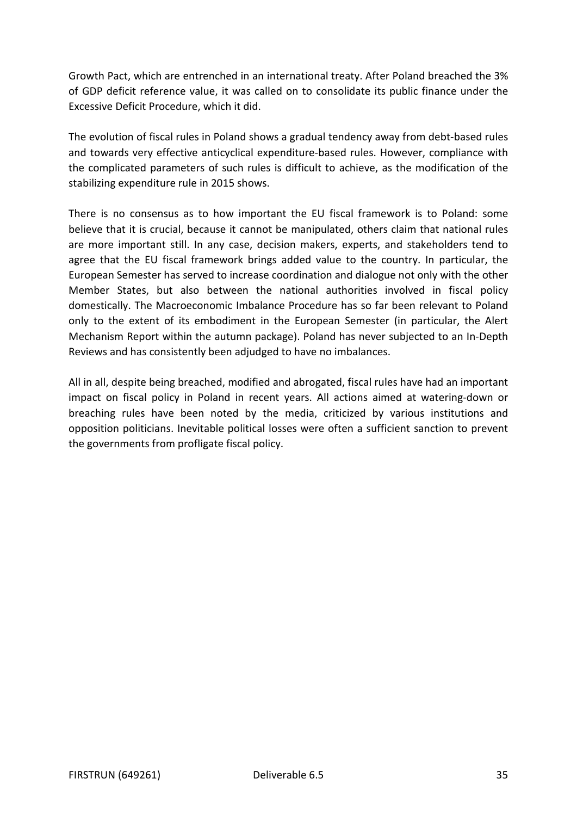Growth Pact, which are entrenched in an international treaty. After Poland breached the 3% of GDP deficit reference value, it was called on to consolidate its public finance under the Excessive Deficit Procedure, which it did.

The evolution of fiscal rules in Poland shows a gradual tendency away from debt-based rules and towards very effective anticyclical expenditure-based rules. However, compliance with the complicated parameters of such rules is difficult to achieve, as the modification of the stabilizing expenditure rule in 2015 shows.

There is no consensus as to how important the EU fiscal framework is to Poland: some believe that it is crucial, because it cannot be manipulated, others claim that national rules are more important still. In any case, decision makers, experts, and stakeholders tend to agree that the EU fiscal framework brings added value to the country. In particular, the European Semester has served to increase coordination and dialogue not only with the other Member States, but also between the national authorities involved in fiscal policy domestically. The Macroeconomic Imbalance Procedure has so far been relevant to Poland only to the extent of its embodiment in the European Semester (in particular, the Alert Mechanism Report within the autumn package). Poland has never subjected to an In-Depth Reviews and has consistently been adjudged to have no imbalances.

All in all, despite being breached, modified and abrogated, fiscal rules have had an important impact on fiscal policy in Poland in recent years. All actions aimed at watering-down or breaching rules have been noted by the media, criticized by various institutions and opposition politicians. Inevitable political losses were often a sufficient sanction to prevent the governments from profligate fiscal policy.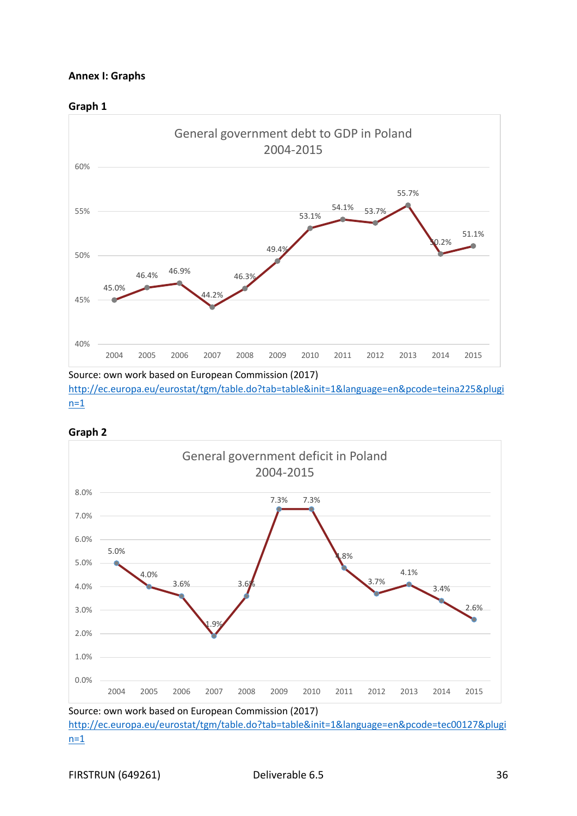#### **Annex I: Graphs**





Source: own work based on European Commission (2017) [http://ec.europa.eu/eurostat/tgm/table.do?tab=table&init=1&language=en&pcode=teina225&plugi](http://ec.europa.eu/eurostat/tgm/table.do?tab=table&init=1&language=en&pcode=teina225&plugin=1)  $n=1$ 





Source: own work based on European Commission (2017)

[http://ec.europa.eu/eurostat/tgm/table.do?tab=table&init=1&language=en&pcode=tec00127&plugi](http://ec.europa.eu/eurostat/tgm/table.do?tab=table&init=1&language=en&pcode=tec00127&plugin=1)  $n=1$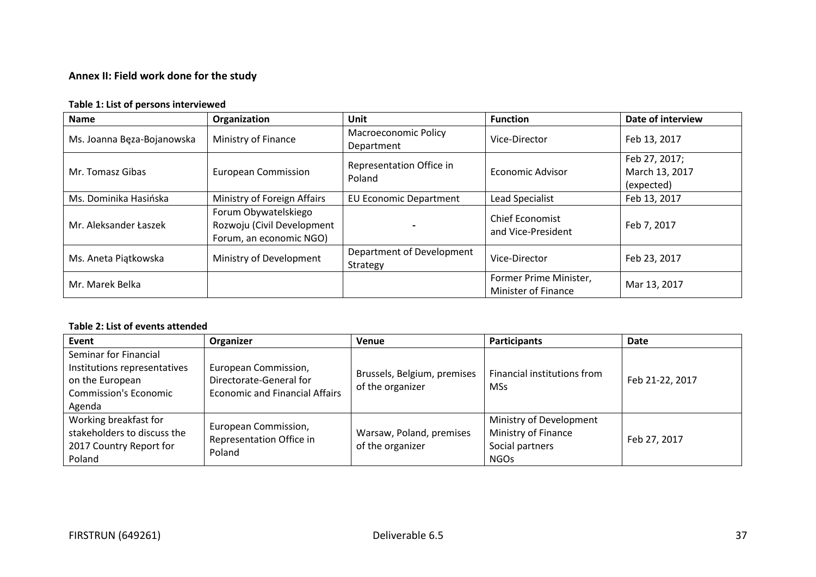# **Annex II: Field work done for the study**

### **Table 1: List of persons interviewed**

| <b>Name</b>                | Organization                                                                  | Unit                                      | <b>Function</b>                               | Date of interview                             |
|----------------------------|-------------------------------------------------------------------------------|-------------------------------------------|-----------------------------------------------|-----------------------------------------------|
| Ms. Joanna Bęza-Bojanowska | Ministry of Finance                                                           | <b>Macroeconomic Policy</b><br>Department | Vice-Director                                 | Feb 13, 2017                                  |
| Mr. Tomasz Gibas           | <b>European Commission</b>                                                    | Representation Office in<br>Poland        | <b>Economic Advisor</b>                       | Feb 27, 2017;<br>March 13, 2017<br>(expected) |
| Ms. Dominika Hasińska      | Ministry of Foreign Affairs                                                   | <b>EU Economic Department</b>             | <b>Lead Specialist</b>                        | Feb 13, 2017                                  |
| Mr. Aleksander Łaszek      | Forum Obywatelskiego<br>Rozwoju (Civil Development<br>Forum, an economic NGO) |                                           | <b>Chief Economist</b><br>and Vice-President  | Feb 7, 2017                                   |
| Ms. Aneta Piątkowska       | Ministry of Development                                                       | Department of Development<br>Strategy     | Vice-Director                                 | Feb 23, 2017                                  |
| Mr. Marek Belka            |                                                                               |                                           | Former Prime Minister,<br>Minister of Finance | Mar 13, 2017                                  |

## **Table 2: List of events attended**

| Event                                                                                                              | Organizer                                                                                | Venue                                           | <b>Participants</b>                                                              | Date            |
|--------------------------------------------------------------------------------------------------------------------|------------------------------------------------------------------------------------------|-------------------------------------------------|----------------------------------------------------------------------------------|-----------------|
| Seminar for Financial<br>Institutions representatives<br>on the European<br><b>Commission's Economic</b><br>Agenda | European Commission,<br>Directorate-General for<br><b>Economic and Financial Affairs</b> | Brussels, Belgium, premises<br>of the organizer | Financial institutions from<br><b>MSs</b>                                        | Feb 21-22, 2017 |
| Working breakfast for<br>stakeholders to discuss the<br>2017 Country Report for<br>Poland                          | European Commission,<br>Representation Office in<br>Poland                               | Warsaw, Poland, premises<br>of the organizer    | Ministry of Development<br>Ministry of Finance<br>Social partners<br><b>NGOs</b> | Feb 27, 2017    |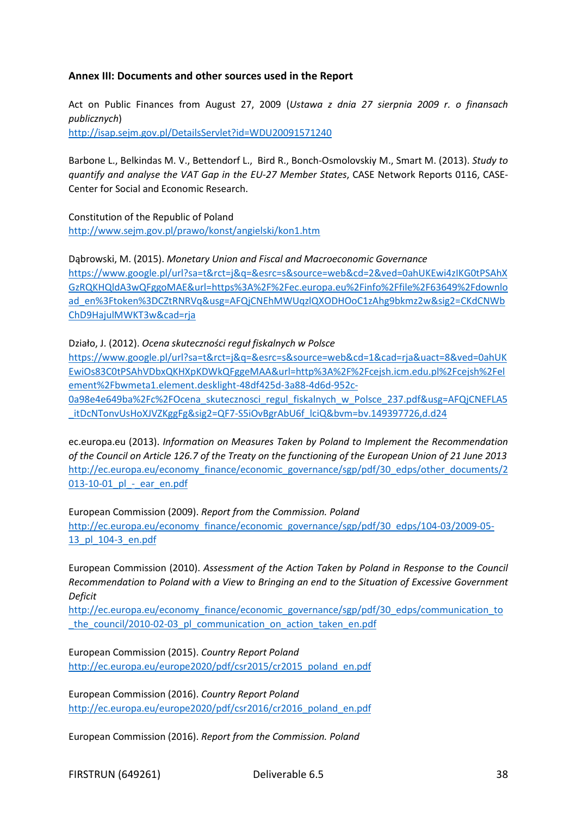### **Annex III: Documents and other sources used in the Report**

Act on Public Finances from August 27, 2009 (*Ustawa z dnia 27 sierpnia 2009 r. o finansach publicznych*) <http://isap.sejm.gov.pl/DetailsServlet?id=WDU20091571240>

Barbone L., Belkindas M. V., Bettendorf L., Bird R., Bonch-Osmolovskiy M., Smart M. (2013). *Study to quantify and analyse the VAT Gap in the EU-27 Member States*, CASE Network Reports 0116, CASE-Center for Social and Economic Research.

Constitution of the Republic of Poland <http://www.sejm.gov.pl/prawo/konst/angielski/kon1.htm>

Dąbrowski, M. (2015). *Monetary Union and Fiscal and Macroeconomic Governance* [https://www.google.pl/url?sa=t&rct=j&q=&esrc=s&source=web&cd=2&ved=0ahUKEwi4zIKG0tPSAhX](https://www.google.pl/url?sa=t&rct=j&q=&esrc=s&source=web&cd=2&ved=0ahUKEwi4zIKG0tPSAhXGzRQKHQldA3wQFggoMAE&url=https%3A%2F%2Fec.europa.eu%2Finfo%2Ffile%2F63649%2Fdownload_en%3Ftoken%3DCZtRNRVq&usg=AFQjCNEhMWUqzlQXODHOoC1zAhg9bkmz2w&sig2=CKdCNWbChD9HajulMWKT3w&cad=rja) [GzRQKHQldA3wQFggoMAE&url=https%3A%2F%2Fec.europa.eu%2Finfo%2Ffile%2F63649%2Fdownlo](https://www.google.pl/url?sa=t&rct=j&q=&esrc=s&source=web&cd=2&ved=0ahUKEwi4zIKG0tPSAhXGzRQKHQldA3wQFggoMAE&url=https%3A%2F%2Fec.europa.eu%2Finfo%2Ffile%2F63649%2Fdownload_en%3Ftoken%3DCZtRNRVq&usg=AFQjCNEhMWUqzlQXODHOoC1zAhg9bkmz2w&sig2=CKdCNWbChD9HajulMWKT3w&cad=rja) [ad\\_en%3Ftoken%3DCZtRNRVq&usg=AFQjCNEhMWUqzlQXODHOoC1zAhg9bkmz2w&sig2=CKdCNWb](https://www.google.pl/url?sa=t&rct=j&q=&esrc=s&source=web&cd=2&ved=0ahUKEwi4zIKG0tPSAhXGzRQKHQldA3wQFggoMAE&url=https%3A%2F%2Fec.europa.eu%2Finfo%2Ffile%2F63649%2Fdownload_en%3Ftoken%3DCZtRNRVq&usg=AFQjCNEhMWUqzlQXODHOoC1zAhg9bkmz2w&sig2=CKdCNWbChD9HajulMWKT3w&cad=rja) [ChD9HajulMWKT3w&cad=rja](https://www.google.pl/url?sa=t&rct=j&q=&esrc=s&source=web&cd=2&ved=0ahUKEwi4zIKG0tPSAhXGzRQKHQldA3wQFggoMAE&url=https%3A%2F%2Fec.europa.eu%2Finfo%2Ffile%2F63649%2Fdownload_en%3Ftoken%3DCZtRNRVq&usg=AFQjCNEhMWUqzlQXODHOoC1zAhg9bkmz2w&sig2=CKdCNWbChD9HajulMWKT3w&cad=rja)

Działo, J. (2012). *Ocena skuteczności reguł fiskalnych w Polsce*

[https://www.google.pl/url?sa=t&rct=j&q=&esrc=s&source=web&cd=1&cad=rja&uact=8&ved=0ahUK](https://www.google.pl/url?sa=t&rct=j&q=&esrc=s&source=web&cd=1&cad=rja&uact=8&ved=0ahUKEwiOs83C0tPSAhVDbxQKHXpKDWkQFggeMAA&url=http%3A%2F%2Fcejsh.icm.edu.pl%2Fcejsh%2Felement%2Fbwmeta1.element.desklight-48df425d-3a88-4d6d-952c-0a98e4e649ba%2Fc%2FOcena_skutecznosci_regul_fiskalnych_w_Polsce_237.pdf&usg=AFQjCNEFLA5_itDcNTonvUsHoXJVZKggFg&sig2=QF7-S5iOvBgrAbU6f_lciQ&bvm=bv.149397726,d.d24) [EwiOs83C0tPSAhVDbxQKHXpKDWkQFggeMAA&url=http%3A%2F%2Fcejsh.icm.edu.pl%2Fcejsh%2Fel](https://www.google.pl/url?sa=t&rct=j&q=&esrc=s&source=web&cd=1&cad=rja&uact=8&ved=0ahUKEwiOs83C0tPSAhVDbxQKHXpKDWkQFggeMAA&url=http%3A%2F%2Fcejsh.icm.edu.pl%2Fcejsh%2Felement%2Fbwmeta1.element.desklight-48df425d-3a88-4d6d-952c-0a98e4e649ba%2Fc%2FOcena_skutecznosci_regul_fiskalnych_w_Polsce_237.pdf&usg=AFQjCNEFLA5_itDcNTonvUsHoXJVZKggFg&sig2=QF7-S5iOvBgrAbU6f_lciQ&bvm=bv.149397726,d.d24) [ement%2Fbwmeta1.element.desklight-48df425d-3a88-4d6d-952c-](https://www.google.pl/url?sa=t&rct=j&q=&esrc=s&source=web&cd=1&cad=rja&uact=8&ved=0ahUKEwiOs83C0tPSAhVDbxQKHXpKDWkQFggeMAA&url=http%3A%2F%2Fcejsh.icm.edu.pl%2Fcejsh%2Felement%2Fbwmeta1.element.desklight-48df425d-3a88-4d6d-952c-0a98e4e649ba%2Fc%2FOcena_skutecznosci_regul_fiskalnych_w_Polsce_237.pdf&usg=AFQjCNEFLA5_itDcNTonvUsHoXJVZKggFg&sig2=QF7-S5iOvBgrAbU6f_lciQ&bvm=bv.149397726,d.d24)[0a98e4e649ba%2Fc%2FOcena\\_skutecznosci\\_regul\\_fiskalnych\\_w\\_Polsce\\_237.pdf&usg=AFQjCNEFLA5](https://www.google.pl/url?sa=t&rct=j&q=&esrc=s&source=web&cd=1&cad=rja&uact=8&ved=0ahUKEwiOs83C0tPSAhVDbxQKHXpKDWkQFggeMAA&url=http%3A%2F%2Fcejsh.icm.edu.pl%2Fcejsh%2Felement%2Fbwmeta1.element.desklight-48df425d-3a88-4d6d-952c-0a98e4e649ba%2Fc%2FOcena_skutecznosci_regul_fiskalnych_w_Polsce_237.pdf&usg=AFQjCNEFLA5_itDcNTonvUsHoXJVZKggFg&sig2=QF7-S5iOvBgrAbU6f_lciQ&bvm=bv.149397726,d.d24) itDcNTonvUsHoXJVZKggFg&sig2=QF7-S5iOvBgrAbU6f\_lciQ&bvm=bv.149397726,d.d24

ec.europa.eu (2013). *Information on Measures Taken by Poland to Implement the Recommendation of the Council on Article 126.7 of the Treaty on the functioning of the European Union of 21 June 2013* [http://ec.europa.eu/economy\\_finance/economic\\_governance/sgp/pdf/30\\_edps/other\\_documents/2](http://ec.europa.eu/economy_finance/economic_governance/sgp/pdf/30_edps/other_documents/2013-10-01_pl_-_ear_en.pdf) 013-10-01 pl - ear en.pdf

European Commission (2009). *Report from the Commission. Poland*

[http://ec.europa.eu/economy\\_finance/economic\\_governance/sgp/pdf/30\\_edps/104-03/2009-05-](http://ec.europa.eu/economy_finance/economic_governance/sgp/pdf/30_edps/104-03/2009-05-13_pl_104-3_en.pdf) [13\\_pl\\_104-3\\_en.pdf](http://ec.europa.eu/economy_finance/economic_governance/sgp/pdf/30_edps/104-03/2009-05-13_pl_104-3_en.pdf)

European Commission (2010). *Assessment of the Action Taken by Poland in Response to the Council Recommendation to Poland with a View to Bringing an end to the Situation of Excessive Government Deficit*

[http://ec.europa.eu/economy\\_finance/economic\\_governance/sgp/pdf/30\\_edps/communication\\_to](http://ec.europa.eu/economy_finance/economic_governance/sgp/pdf/30_edps/communication_to_the_council/2010-02-03_pl_communication_on_action_taken_en.pdf) the council/2010-02-03 pl communication on action taken en.pdf

European Commission (2015). *Country Report Poland* [http://ec.europa.eu/europe2020/pdf/csr2015/cr2015\\_poland\\_en.pdf](http://ec.europa.eu/europe2020/pdf/csr2015/cr2015_poland_en.pdf)

European Commission (2016). *Country Report Poland* [http://ec.europa.eu/europe2020/pdf/csr2016/cr2016\\_poland\\_en.pdf](http://ec.europa.eu/europe2020/pdf/csr2016/cr2016_poland_en.pdf)

European Commission (2016). *Report from the Commission. Poland*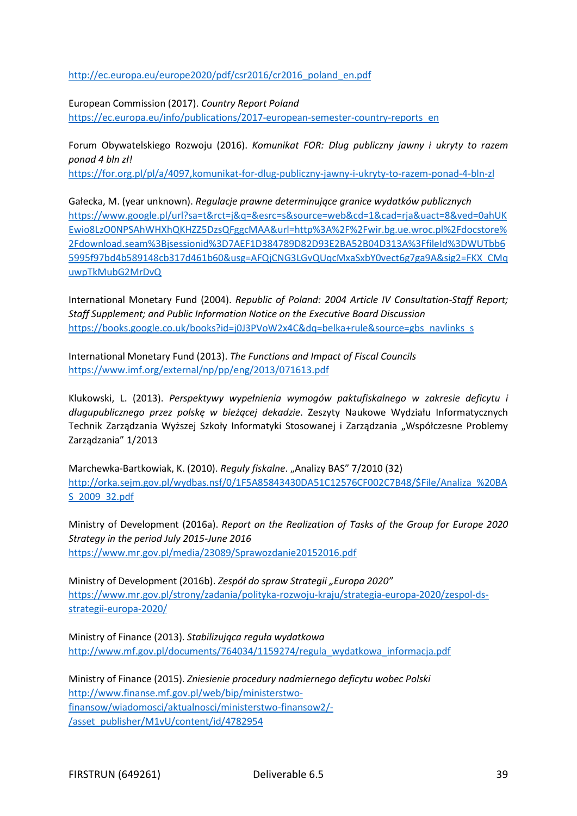[http://ec.europa.eu/europe2020/pdf/csr2016/cr2016\\_poland\\_en.pdf](http://ec.europa.eu/europe2020/pdf/csr2016/cr2016_poland_en.pdf)

European Commission (2017). *Country Report Poland* [https://ec.europa.eu/info/publications/2017-european-semester-country-reports\\_en](https://ec.europa.eu/info/publications/2017-european-semester-country-reports_en)

Forum Obywatelskiego Rozwoju (2016). *Komunikat FOR: Dług publiczny jawny i ukryty to razem ponad 4 bln zł!*

<https://for.org.pl/pl/a/4097,komunikat-for-dlug-publiczny-jawny-i-ukryty-to-razem-ponad-4-bln-zl>

Gałecka, M. (year unknown). *Regulacje prawne determinujące granice wydatków publicznych* [https://www.google.pl/url?sa=t&rct=j&q=&esrc=s&source=web&cd=1&cad=rja&uact=8&ved=0ahUK](https://www.google.pl/url?sa=t&rct=j&q=&esrc=s&source=web&cd=1&cad=rja&uact=8&ved=0ahUKEwio8LzO0NPSAhWHXhQKHZZ5DzsQFggcMAA&url=http%3A%2F%2Fwir.bg.ue.wroc.pl%2Fdocstore%2Fdownload.seam%3Bjsessionid%3D7AEF1D384789D82D93E2BA52B04D313A%3FfileId%3DWUTbb65995f97bd4b589148cb317d461b60&usg=AFQjCNG3LGvQUqcMxaSxbY0vect6g7ga9A&sig2=FKX_CMquwpTkMubG2MrDvQ) [Ewio8LzO0NPSAhWHXhQKHZZ5DzsQFggcMAA&url=http%3A%2F%2Fwir.bg.ue.wroc.pl%2Fdocstore%](https://www.google.pl/url?sa=t&rct=j&q=&esrc=s&source=web&cd=1&cad=rja&uact=8&ved=0ahUKEwio8LzO0NPSAhWHXhQKHZZ5DzsQFggcMAA&url=http%3A%2F%2Fwir.bg.ue.wroc.pl%2Fdocstore%2Fdownload.seam%3Bjsessionid%3D7AEF1D384789D82D93E2BA52B04D313A%3FfileId%3DWUTbb65995f97bd4b589148cb317d461b60&usg=AFQjCNG3LGvQUqcMxaSxbY0vect6g7ga9A&sig2=FKX_CMquwpTkMubG2MrDvQ) [2Fdownload.seam%3Bjsessionid%3D7AEF1D384789D82D93E2BA52B04D313A%3FfileId%3DWUTbb6](https://www.google.pl/url?sa=t&rct=j&q=&esrc=s&source=web&cd=1&cad=rja&uact=8&ved=0ahUKEwio8LzO0NPSAhWHXhQKHZZ5DzsQFggcMAA&url=http%3A%2F%2Fwir.bg.ue.wroc.pl%2Fdocstore%2Fdownload.seam%3Bjsessionid%3D7AEF1D384789D82D93E2BA52B04D313A%3FfileId%3DWUTbb65995f97bd4b589148cb317d461b60&usg=AFQjCNG3LGvQUqcMxaSxbY0vect6g7ga9A&sig2=FKX_CMquwpTkMubG2MrDvQ) [5995f97bd4b589148cb317d461b60&usg=AFQjCNG3LGvQUqcMxaSxbY0vect6g7ga9A&sig2=FKX\\_CMq](https://www.google.pl/url?sa=t&rct=j&q=&esrc=s&source=web&cd=1&cad=rja&uact=8&ved=0ahUKEwio8LzO0NPSAhWHXhQKHZZ5DzsQFggcMAA&url=http%3A%2F%2Fwir.bg.ue.wroc.pl%2Fdocstore%2Fdownload.seam%3Bjsessionid%3D7AEF1D384789D82D93E2BA52B04D313A%3FfileId%3DWUTbb65995f97bd4b589148cb317d461b60&usg=AFQjCNG3LGvQUqcMxaSxbY0vect6g7ga9A&sig2=FKX_CMquwpTkMubG2MrDvQ) [uwpTkMubG2MrDvQ](https://www.google.pl/url?sa=t&rct=j&q=&esrc=s&source=web&cd=1&cad=rja&uact=8&ved=0ahUKEwio8LzO0NPSAhWHXhQKHZZ5DzsQFggcMAA&url=http%3A%2F%2Fwir.bg.ue.wroc.pl%2Fdocstore%2Fdownload.seam%3Bjsessionid%3D7AEF1D384789D82D93E2BA52B04D313A%3FfileId%3DWUTbb65995f97bd4b589148cb317d461b60&usg=AFQjCNG3LGvQUqcMxaSxbY0vect6g7ga9A&sig2=FKX_CMquwpTkMubG2MrDvQ)

International Monetary Fund (2004). *Republic of Poland: 2004 Article IV Consultation-Staff Report; Staff Supplement; and Public Information Notice on the Executive Board Discussion* [https://books.google.co.uk/books?id=j0J3PVoW2x4C&dq=belka+rule&source=gbs\\_navlinks\\_s](https://books.google.co.uk/books?id=j0J3PVoW2x4C&dq=belka+rule&source=gbs_navlinks_s)

International Monetary Fund (2013). *The Functions and Impact of Fiscal Councils* <https://www.imf.org/external/np/pp/eng/2013/071613.pdf>

Klukowski, L. (2013). *Perspektywy wypełnienia wymogów paktufiskalnego w zakresie deficytu i długupublicznego przez polskę w bieżącej dekadzie*. Zeszyty Naukowe Wydziału Informatycznych Technik Zarządzania Wyższej Szkoły Informatyki Stosowanej i Zarządzania "Współczesne Problemy Zarządzania" 1/2013

Marchewka-Bartkowiak, K. (2010). *Reguły fiskalne.* "Analizy BAS" 7/2010 (32) [http://orka.sejm.gov.pl/wydbas.nsf/0/1F5A85843430DA51C12576CF002C7B48/\\$File/Analiza\\_%20BA](http://orka.sejm.gov.pl/wydbas.nsf/0/1F5A85843430DA51C12576CF002C7B48/$File/Analiza_%20BAS_2009_32.pdf) [S\\_2009\\_32.pdf](http://orka.sejm.gov.pl/wydbas.nsf/0/1F5A85843430DA51C12576CF002C7B48/$File/Analiza_%20BAS_2009_32.pdf)

Ministry of Development (2016a). *Report on the Realization of Tasks of the Group for Europe 2020 Strategy in the period July 2015-June 2016* <https://www.mr.gov.pl/media/23089/Sprawozdanie20152016.pdf>

Ministry of Development (2016b). *Zespół do spraw Strategii "Europa 2020"* [https://www.mr.gov.pl/strony/zadania/polityka-rozwoju-kraju/strategia-europa-2020/zespol-ds](https://www.mr.gov.pl/strony/zadania/polityka-rozwoju-kraju/strategia-europa-2020/zespol-ds-strategii-europa-2020/)[strategii-europa-2020/](https://www.mr.gov.pl/strony/zadania/polityka-rozwoju-kraju/strategia-europa-2020/zespol-ds-strategii-europa-2020/)

Ministry of Finance (2013). *Stabilizująca reguła wydatkowa* [http://www.mf.gov.pl/documents/764034/1159274/regula\\_wydatkowa\\_informacja.pdf](http://www.mf.gov.pl/documents/764034/1159274/regula_wydatkowa_informacja.pdf)

Ministry of Finance (2015). *Zniesienie procedury nadmiernego deficytu wobec Polski* [http://www.finanse.mf.gov.pl/web/bip/ministerstwo](http://www.finanse.mf.gov.pl/web/bip/ministerstwo-finansow/wiadomosci/aktualnosci/ministerstwo-finansow2/-/asset_publisher/M1vU/content/id/4782954)[finansow/wiadomosci/aktualnosci/ministerstwo-finansow2/-](http://www.finanse.mf.gov.pl/web/bip/ministerstwo-finansow/wiadomosci/aktualnosci/ministerstwo-finansow2/-/asset_publisher/M1vU/content/id/4782954) [/asset\\_publisher/M1vU/content/id/4782954](http://www.finanse.mf.gov.pl/web/bip/ministerstwo-finansow/wiadomosci/aktualnosci/ministerstwo-finansow2/-/asset_publisher/M1vU/content/id/4782954)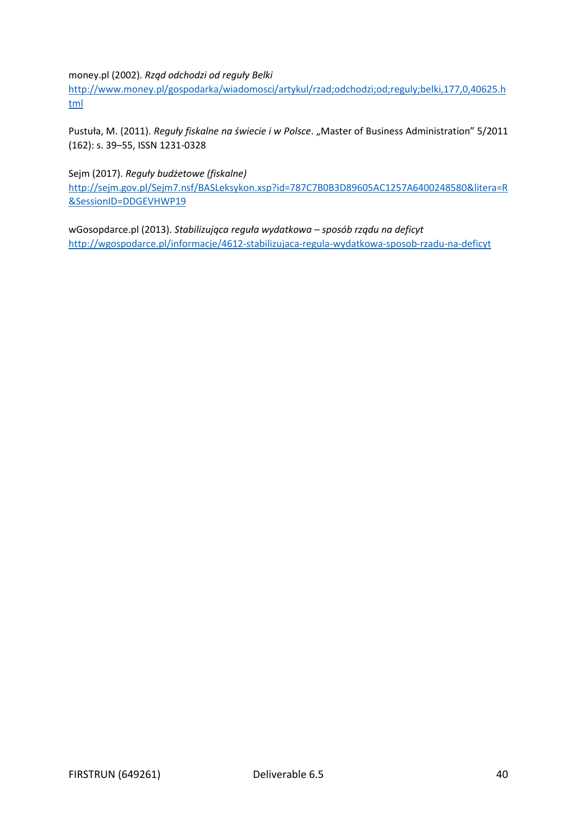money.pl (2002). *Rząd odchodzi od reguły Belki*

[http://www.money.pl/gospodarka/wiadomosci/artykul/rzad;odchodzi;od;reguly;belki,177,0,40625.h](http://www.money.pl/gospodarka/wiadomosci/artykul/rzad;odchodzi;od;reguly;belki,177,0,40625.html) [tml](http://www.money.pl/gospodarka/wiadomosci/artykul/rzad;odchodzi;od;reguly;belki,177,0,40625.html)

Pustuła, M. (2011). *Reguły fiskalne na świecie i w Polsce. "Master of Business Administration" 5/2011* (162): s. 39–55, ISSN 1231-0328

Sejm (2017). *Reguły budżetowe (fiskalne)* [http://sejm.gov.pl/Sejm7.nsf/BASLeksykon.xsp?id=787C7B0B3D89605AC1257A6400248580&litera=R](http://sejm.gov.pl/Sejm7.nsf/BASLeksykon.xsp?id=787C7B0B3D89605AC1257A6400248580&litera=R&SessionID=DDGEVHWP19) [&SessionID=DDGEVHWP19](http://sejm.gov.pl/Sejm7.nsf/BASLeksykon.xsp?id=787C7B0B3D89605AC1257A6400248580&litera=R&SessionID=DDGEVHWP19)

wGosopdarce.pl (2013). *Stabilizująca reguła wydatkowa – sposób rządu na deficyt* <http://wgospodarce.pl/informacje/4612-stabilizujaca-regula-wydatkowa-sposob-rzadu-na-deficyt>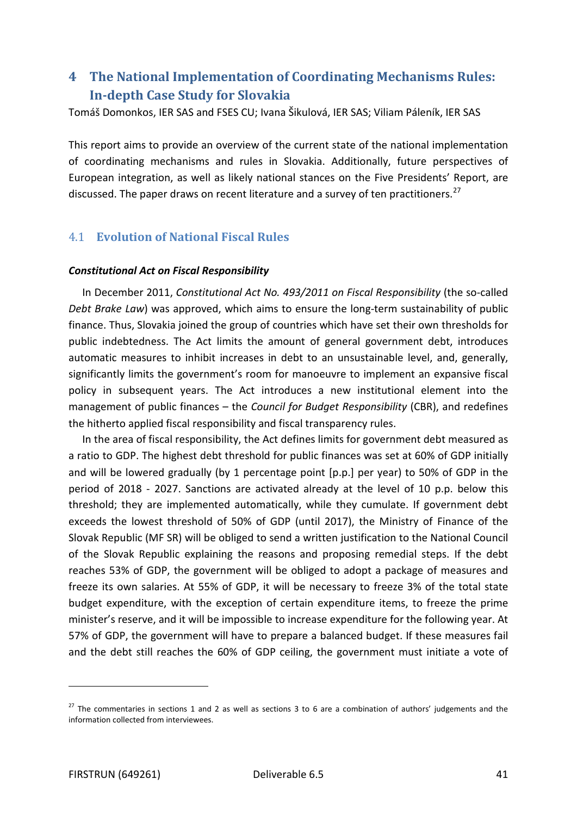# **4 The National Implementation of Coordinating Mechanisms Rules: In-depth Case Study for Slovakia**

Tomáš Domonkos, IER SAS and FSES CU; Ivana Šikulová, IER SAS; Viliam Páleník, IER SAS

This report aims to provide an overview of the current state of the national implementation of coordinating mechanisms and rules in Slovakia. Additionally, future perspectives of European integration, as well as likely national stances on the Five Presidents' Report, are discussed. The paper draws on recent literature and a survey of ten practitioners.<sup>27</sup>

## 4.1 **Evolution of National Fiscal Rules**

#### *Constitutional Act on Fiscal Responsibility*

In December 2011, *Constitutional Act No. 493/2011 on Fiscal Responsibility* (the so-called *Debt Brake Law*) was approved, which aims to ensure the long-term sustainability of public finance. Thus, Slovakia joined the group of countries which have set their own thresholds for public indebtedness. The Act limits the amount of general government debt, introduces automatic measures to inhibit increases in debt to an unsustainable level, and, generally, significantly limits the government's room for manoeuvre to implement an expansive fiscal policy in subsequent years. The Act introduces a new institutional element into the management of public finances – the *Council for Budget Responsibility* (CBR), and redefines the hitherto applied fiscal responsibility and fiscal transparency rules.

In the area of fiscal responsibility, the Act defines limits for government debt measured as a ratio to GDP. The highest debt threshold for public finances was set at 60% of GDP initially and will be lowered gradually (by 1 percentage point [p.p.] per year) to 50% of GDP in the period of 2018 - 2027. Sanctions are activated already at the level of 10 p.p. below this threshold; they are implemented automatically, while they cumulate. If government debt exceeds the lowest threshold of 50% of GDP (until 2017), the Ministry of Finance of the Slovak Republic (MF SR) will be obliged to send a written justification to the National Council of the Slovak Republic explaining the reasons and proposing remedial steps. If the debt reaches 53% of GDP, the government will be obliged to adopt a package of measures and freeze its own salaries. At 55% of GDP, it will be necessary to freeze 3% of the total state budget expenditure, with the exception of certain expenditure items, to freeze the prime minister's reserve, and it will be impossible to increase expenditure for the following year. At 57% of GDP, the government will have to prepare a balanced budget. If these measures fail and the debt still reaches the 60% of GDP ceiling, the government must initiate a vote of

<span id="page-40-0"></span> $27$  The commentaries in sections 1 and 2 as well as sections 3 to 6 are a combination of authors' judgements and the information collected from interviewees.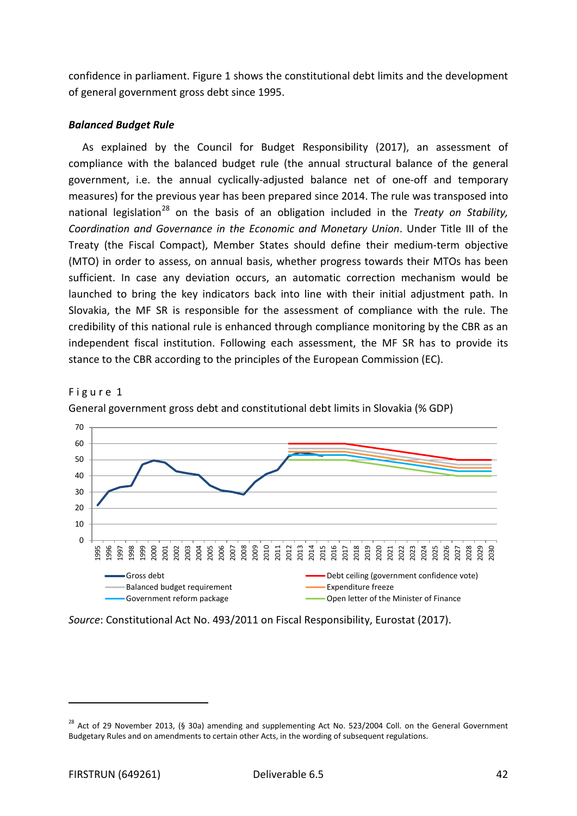confidence in parliament. Figure 1 shows the constitutional debt limits and the development of general government gross debt since 1995.

### *Balanced Budget Rule*

As explained by the Council for Budget Responsibility (2017), an assessment of compliance with the balanced budget rule (the annual structural balance of the general government, i.e. the annual cyclically-adjusted balance net of one-off and temporary measures) for the previous year has been prepared since 2014. The rule was transposed into national legislation<sup>[28](#page-41-0)</sup> on the basis of an obligation included in the *Treaty on Stability*, *Coordination and Governance in the Economic and Monetary Union*. Under Title III of the Treaty (the Fiscal Compact), Member States should define their medium-term objective (MTO) in order to assess, on annual basis, whether progress towards their MTOs has been sufficient. In case any deviation occurs, an automatic correction mechanism would be launched to bring the key indicators back into line with their initial adjustment path. In Slovakia, the MF SR is responsible for the assessment of compliance with the rule. The credibility of this national rule is enhanced through compliance monitoring by the CBR as an independent fiscal institution. Following each assessment, the MF SR has to provide its stance to the CBR according to the principles of the European Commission (EC).





General government gross debt and constitutional debt limits in Slovakia (% GDP)

*Source*: Constitutional Act No. 493/2011 on Fiscal Responsibility, Eurostat (2017).

j

<span id="page-41-0"></span><sup>&</sup>lt;sup>28</sup> Act of 29 November 2013, (§ 30a) amending and supplementing Act No. 523/2004 Coll. on the General Government Budgetary Rules and on amendments to certain other Acts, in the wording of subsequent regulations.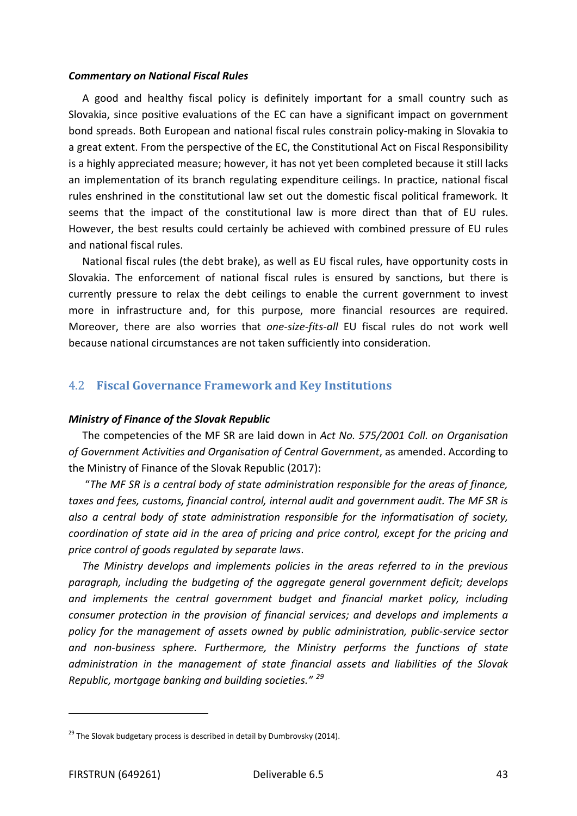#### *Commentary on National Fiscal Rules*

A good and healthy fiscal policy is definitely important for a small country such as Slovakia, since positive evaluations of the EC can have a significant impact on government bond spreads. Both European and national fiscal rules constrain policy-making in Slovakia to a great extent. From the perspective of the EC, the Constitutional Act on Fiscal Responsibility is a highly appreciated measure; however, it has not yet been completed because it still lacks an implementation of its branch regulating expenditure ceilings. In practice, national fiscal rules enshrined in the constitutional law set out the domestic fiscal political framework. It seems that the impact of the constitutional law is more direct than that of EU rules. However, the best results could certainly be achieved with combined pressure of EU rules and national fiscal rules.

National fiscal rules (the debt brake), as well as EU fiscal rules, have opportunity costs in Slovakia. The enforcement of national fiscal rules is ensured by sanctions, but there is currently pressure to relax the debt ceilings to enable the current government to invest more in infrastructure and, for this purpose, more financial resources are required. Moreover, there are also worries that *one-size-fits-all* EU fiscal rules do not work well because national circumstances are not taken sufficiently into consideration.

## 4.2 **Fiscal Governance Framework and Key Institutions**

#### *Ministry of Finance of the Slovak Republic*

The competencies of the MF SR are laid down in *Act No. 575/2001 Coll. on Organisation of Government Activities and Organisation of Central Government*, as amended. According to the Ministry of Finance of the Slovak Republic (2017):

"*The MF SR is a central body of state administration responsible for the areas of finance, taxes and fees, customs, financial control, internal audit and government audit. The MF SR is also a central body of state administration responsible for the informatisation of society, coordination of state aid in the area of pricing and price control, except for the pricing and price control of goods regulated by separate laws*.

*The Ministry develops and implements policies in the areas referred to in the previous paragraph, including the budgeting of the aggregate general government deficit; develops and implements the central government budget and financial market policy, including consumer protection in the provision of financial services; and develops and implements a policy for the management of assets owned by public administration, public-service sector and non-business sphere. Furthermore, the Ministry performs the functions of state administration in the management of state financial assets and liabilities of the Slovak Republic, mortgage banking and building societies." [29](#page-42-0)*

<span id="page-42-0"></span> $29$  The Slovak budgetary process is described in detail by Dumbrovsky (2014).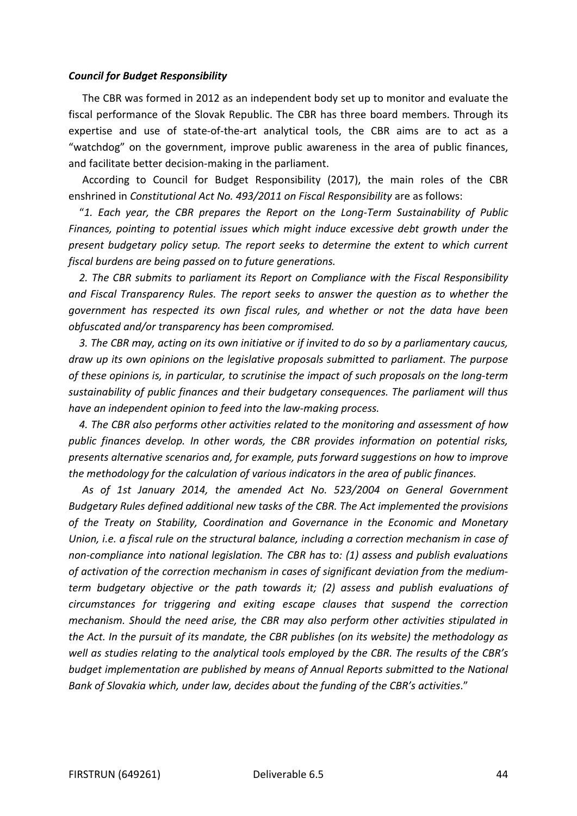#### *Council for Budget Responsibility*

The CBR was formed in 2012 as an independent body set up to monitor and evaluate the fiscal performance of the Slovak Republic. The CBR has three board members. Through its expertise and use of state-of-the-art analytical tools, the CBR aims are to act as a "watchdog" on the government, improve public awareness in the area of public finances, and facilitate better decision-making in the parliament.

According to Council for Budget Responsibility (2017), the main roles of the CBR enshrined in *Constitutional Act No. 493/2011 on Fiscal Responsibility* are as follows:

 "*1. Each year, the CBR prepares the Report on the Long-Term Sustainability of Public Finances, pointing to potential issues which might induce excessive debt growth under the present budgetary policy setup. The report seeks to determine the extent to which current fiscal burdens are being passed on to future generations.*

 *2. The CBR submits to parliament its Report on Compliance with the Fiscal Responsibility and Fiscal Transparency Rules. The report seeks to answer the question as to whether the government has respected its own fiscal rules, and whether or not the data have been obfuscated and/or transparency has been compromised.*

 *3. The CBR may, acting on its own initiative or if invited to do so by a parliamentary caucus, draw up its own opinions on the legislative proposals submitted to parliament. The purpose of these opinions is, in particular, to scrutinise the impact of such proposals on the long-term sustainability of public finances and their budgetary consequences. The parliament will thus have an independent opinion to feed into the law-making process.*

 *4. The CBR also performs other activities related to the monitoring and assessment of how public finances develop. In other words, the CBR provides information on potential risks, presents alternative scenarios and, for example, puts forward suggestions on how to improve the methodology for the calculation of various indicators in the area of public finances.*

*As of 1st January 2014, the amended Act No. 523/2004 on General Government Budgetary Rules defined additional new tasks of the CBR. The Act implemented the provisions of the Treaty on Stability, Coordination and Governance in the Economic and Monetary Union, i.e. a fiscal rule on the structural balance, including a correction mechanism in case of non-compliance into national legislation. The CBR has to: (1) assess and publish evaluations of activation of the correction mechanism in cases of significant deviation from the mediumterm budgetary objective or the path towards it; (2) assess and publish evaluations of circumstances for triggering and exiting escape clauses that suspend the correction mechanism. Should the need arise, the CBR may also perform other activities stipulated in the Act. In the pursuit of its mandate, the CBR publishes (on its website) the methodology as well as studies relating to the analytical tools employed by the CBR. The results of the CBR's budget implementation are published by means of Annual Reports submitted to the National Bank of Slovakia which, under law, decides about the funding of the CBR's activities*."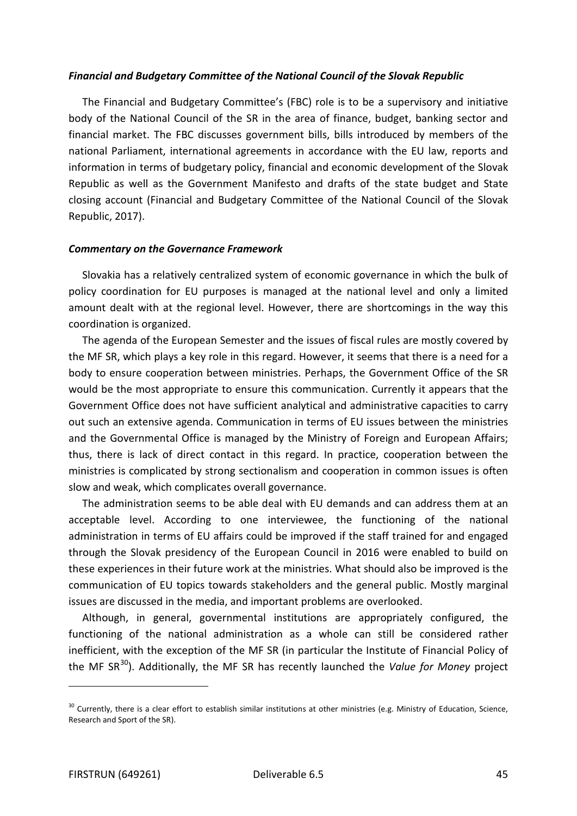#### *Financial and Budgetary Committee of the National Council of the Slovak Republic*

The Financial and Budgetary Committee's (FBC) role is to be a supervisory and initiative body of the National Council of the SR in the area of finance, budget, banking sector and financial market. The FBC discusses government bills, bills introduced by members of the national Parliament, international agreements in accordance with the EU law, reports and information in terms of budgetary policy, financial and economic development of the Slovak Republic as well as the Government Manifesto and drafts of the state budget and State closing account (Financial and Budgetary Committee of the National Council of the Slovak Republic, 2017).

### *Commentary on the Governance Framework*

Slovakia has a relatively centralized system of economic governance in which the bulk of policy coordination for EU purposes is managed at the national level and only a limited amount dealt with at the regional level. However, there are shortcomings in the way this coordination is organized.

The agenda of the European Semester and the issues of fiscal rules are mostly covered by the MF SR, which plays a key role in this regard. However, it seems that there is a need for a body to ensure cooperation between ministries. Perhaps, the Government Office of the SR would be the most appropriate to ensure this communication. Currently it appears that the Government Office does not have sufficient analytical and administrative capacities to carry out such an extensive agenda. Communication in terms of EU issues between the ministries and the Governmental Office is managed by the Ministry of Foreign and European Affairs; thus, there is lack of direct contact in this regard. In practice, cooperation between the ministries is complicated by strong sectionalism and cooperation in common issues is often slow and weak, which complicates overall governance.

The administration seems to be able deal with EU demands and can address them at an acceptable level. According to one interviewee, the functioning of the national administration in terms of EU affairs could be improved if the staff trained for and engaged through the Slovak presidency of the European Council in 2016 were enabled to build on these experiences in their future work at the ministries. What should also be improved is the communication of EU topics towards stakeholders and the general public. Mostly marginal issues are discussed in the media, and important problems are overlooked.

Although, in general, governmental institutions are appropriately configured, the functioning of the national administration as a whole can still be considered rather inefficient, with the exception of the MF SR (in particular the Institute of Financial Policy of the MF SR<sup>[30](#page-44-0)</sup>). Additionally, the MF SR has recently launched the *Value for Money* project

<span id="page-44-0"></span><sup>&</sup>lt;sup>30</sup> Currently, there is a clear effort to establish similar institutions at other ministries (e.g. Ministry of Education, Science, Research and Sport of the SR).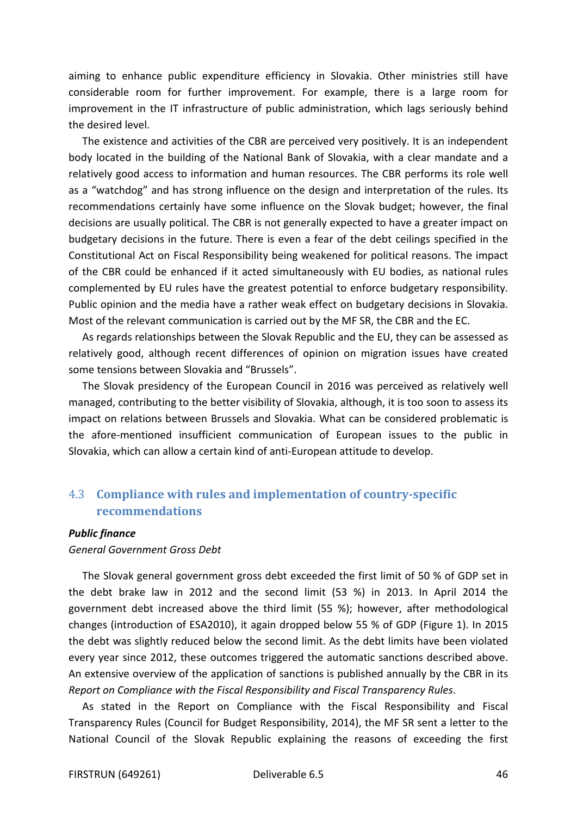aiming to enhance public expenditure efficiency in Slovakia. Other ministries still have considerable room for further improvement. For example, there is a large room for improvement in the IT infrastructure of public administration, which lags seriously behind the desired level.

The existence and activities of the CBR are perceived very positively. It is an independent body located in the building of the National Bank of Slovakia, with a clear mandate and a relatively good access to information and human resources. The CBR performs its role well as a "watchdog" and has strong influence on the design and interpretation of the rules. Its recommendations certainly have some influence on the Slovak budget; however, the final decisions are usually political. The CBR is not generally expected to have a greater impact on budgetary decisions in the future. There is even a fear of the debt ceilings specified in the Constitutional Act on Fiscal Responsibility being weakened for political reasons. The impact of the CBR could be enhanced if it acted simultaneously with EU bodies, as national rules complemented by EU rules have the greatest potential to enforce budgetary responsibility. Public opinion and the media have a rather weak effect on budgetary decisions in Slovakia. Most of the relevant communication is carried out by the MF SR, the CBR and the EC.

As regards relationships between the Slovak Republic and the EU, they can be assessed as relatively good, although recent differences of opinion on migration issues have created some tensions between Slovakia and "Brussels".

The Slovak presidency of the European Council in 2016 was perceived as relatively well managed, contributing to the better visibility of Slovakia, although, it is too soon to assess its impact on relations between Brussels and Slovakia. What can be considered problematic is the afore-mentioned insufficient communication of European issues to the public in Slovakia, which can allow a certain kind of anti-European attitude to develop.

## 4.3 **Compliance with rules and implementation of country-specific recommendations**

#### *Public finance*

*General Government Gross Debt*

The Slovak general government gross debt exceeded the first limit of 50 % of GDP set in the debt brake law in 2012 and the second limit (53 %) in 2013. In April 2014 the government debt increased above the third limit (55 %); however, after methodological changes (introduction of ESA2010), it again dropped below 55 % of GDP (Figure 1). In 2015 the debt was slightly reduced below the second limit. As the debt limits have been violated every year since 2012, these outcomes triggered the automatic sanctions described above. An extensive overview of the application of sanctions is published annually by the CBR in its *Report on Compliance with the Fiscal Responsibility and Fiscal Transparency Rules*.

As stated in the Report on Compliance with the Fiscal Responsibility and Fiscal Transparency Rules (Council for Budget Responsibility, 2014), the MF SR sent a letter to the National Council of the Slovak Republic explaining the reasons of exceeding the first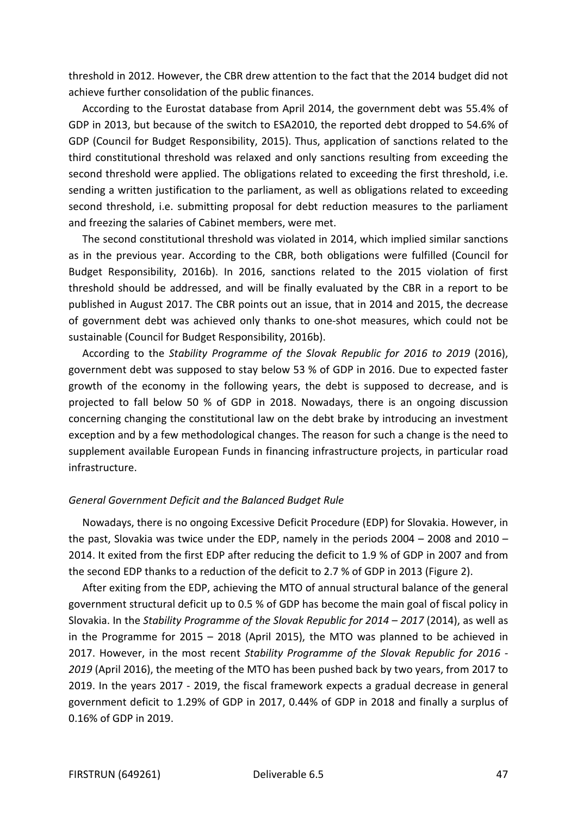threshold in 2012. However, the CBR drew attention to the fact that the 2014 budget did not achieve further consolidation of the public finances.

According to the Eurostat database from April 2014, the government debt was 55.4% of GDP in 2013, but because of the switch to ESA2010, the reported debt dropped to 54.6% of GDP (Council for Budget Responsibility, 2015). Thus, application of sanctions related to the third constitutional threshold was relaxed and only sanctions resulting from exceeding the second threshold were applied. The obligations related to exceeding the first threshold, i.e. sending a written justification to the parliament, as well as obligations related to exceeding second threshold, i.e. submitting proposal for debt reduction measures to the parliament and freezing the salaries of Cabinet members, were met.

The second constitutional threshold was violated in 2014, which implied similar sanctions as in the previous year. According to the CBR, both obligations were fulfilled (Council for Budget Responsibility, 2016b). In 2016, sanctions related to the 2015 violation of first threshold should be addressed, and will be finally evaluated by the CBR in a report to be published in August 2017. The CBR points out an issue, that in 2014 and 2015, the decrease of government debt was achieved only thanks to one-shot measures, which could not be sustainable (Council for Budget Responsibility, 2016b).

According to the *Stability Programme of the Slovak Republic for 2016 to 2019* (2016), government debt was supposed to stay below 53 % of GDP in 2016. Due to expected faster growth of the economy in the following years, the debt is supposed to decrease, and is projected to fall below 50 % of GDP in 2018. Nowadays, there is an ongoing discussion concerning changing the constitutional law on the debt brake by introducing an investment exception and by a few methodological changes. The reason for such a change is the need to supplement available European Funds in financing infrastructure projects, in particular road infrastructure.

#### *General Government Deficit and the Balanced Budget Rule*

Nowadays, there is no ongoing Excessive Deficit Procedure (EDP) for Slovakia. However, in the past, Slovakia was twice under the EDP, namely in the periods 2004 – 2008 and 2010 – 2014. It exited from the first EDP after reducing the deficit to 1.9 % of GDP in 2007 and from the second EDP thanks to a reduction of the deficit to 2.7 % of GDP in 2013 (Figure 2).

After exiting from the EDP, achieving the MTO of annual structural balance of the general government structural deficit up to 0.5 % of GDP has become the main goal of fiscal policy in Slovakia. In the *Stability Programme of the Slovak Republic for 2014 – 2017* (2014), as well as in the Programme for 2015 – 2018 (April 2015), the MTO was planned to be achieved in 2017. However, in the most recent *Stability Programme of the Slovak Republic for 2016 - 2019* (April 2016), the meeting of the MTO has been pushed back by two years, from 2017 to 2019. In the years 2017 - 2019, the fiscal framework expects a gradual decrease in general government deficit to 1.29% of GDP in 2017, 0.44% of GDP in 2018 and finally a surplus of 0.16% of GDP in 2019.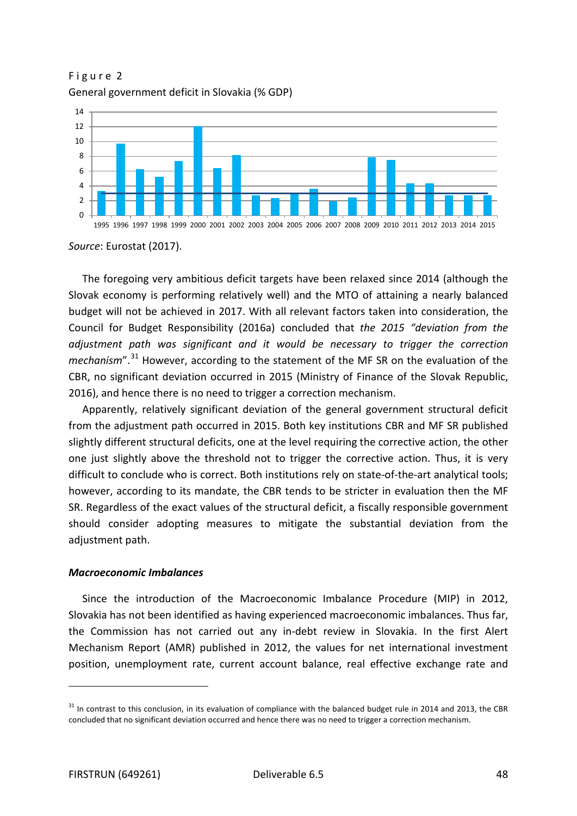Figure 2 General government deficit in Slovakia (% GDP)



*Source*: Eurostat (2017).

The foregoing very ambitious deficit targets have been relaxed since 2014 (although the Slovak economy is performing relatively well) and the MTO of attaining a nearly balanced budget will not be achieved in 2017. With all relevant factors taken into consideration, the Council for Budget Responsibility (2016a) concluded that *the 2015 "deviation from the adjustment path was significant and it would be necessary to trigger the correction mechanism*".<sup>[31](#page-47-0)</sup> However, according to the statement of the MF SR on the evaluation of the CBR, no significant deviation occurred in 2015 (Ministry of Finance of the Slovak Republic, 2016), and hence there is no need to trigger a correction mechanism.

Apparently, relatively significant deviation of the general government structural deficit from the adjustment path occurred in 2015. Both key institutions CBR and MF SR published slightly different structural deficits, one at the level requiring the corrective action, the other one just slightly above the threshold not to trigger the corrective action. Thus, it is very difficult to conclude who is correct. Both institutions rely on state-of-the-art analytical tools; however, according to its mandate, the CBR tends to be stricter in evaluation then the MF SR. Regardless of the exact values of the structural deficit, a fiscally responsible government should consider adopting measures to mitigate the substantial deviation from the adjustment path.

### *Macroeconomic Imbalances*

Since the introduction of the Macroeconomic Imbalance Procedure (MIP) in 2012, Slovakia has not been identified as having experienced macroeconomic imbalances. Thus far, the Commission has not carried out any in-debt review in Slovakia. In the first Alert Mechanism Report (AMR) published in 2012, the values for net international investment position, unemployment rate, current account balance, real effective exchange rate and

<span id="page-47-0"></span> $31$  In contrast to this conclusion, in its evaluation of compliance with the balanced budget rule in 2014 and 2013, the CBR concluded that no significant deviation occurred and hence there was no need to trigger a correction mechanism.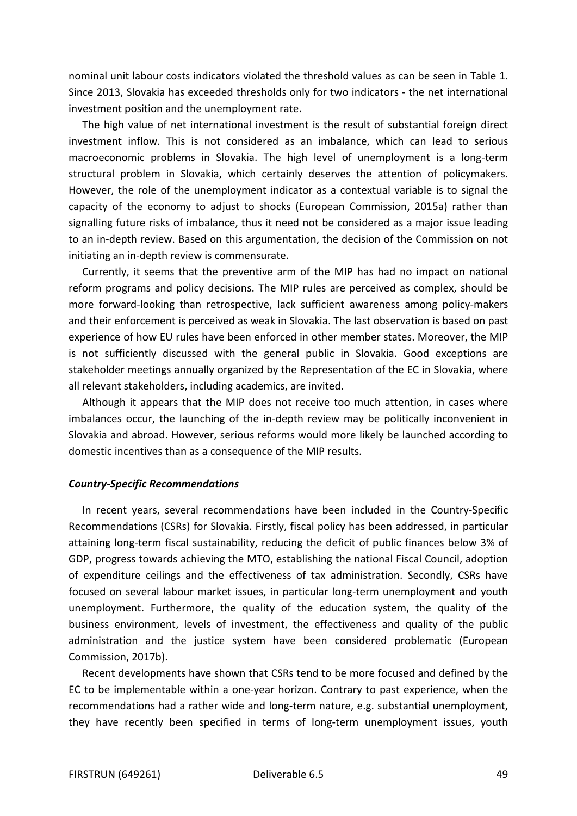nominal unit labour costs indicators violated the threshold values as can be seen in Table 1. Since 2013, Slovakia has exceeded thresholds only for two indicators - the net international investment position and the unemployment rate.

The high value of net international investment is the result of substantial foreign direct investment inflow. This is not considered as an imbalance, which can lead to serious macroeconomic problems in Slovakia. The high level of unemployment is a long-term structural problem in Slovakia, which certainly deserves the attention of policymakers. However, the role of the unemployment indicator as a contextual variable is to signal the capacity of the economy to adjust to shocks (European Commission, 2015a) rather than signalling future risks of imbalance, thus it need not be considered as a major issue leading to an in-depth review. Based on this argumentation, the decision of the Commission on not initiating an in-depth review is commensurate.

Currently, it seems that the preventive arm of the MIP has had no impact on national reform programs and policy decisions. The MIP rules are perceived as complex, should be more forward-looking than retrospective, lack sufficient awareness among policy-makers and their enforcement is perceived as weak in Slovakia. The last observation is based on past experience of how EU rules have been enforced in other member states. Moreover, the MIP is not sufficiently discussed with the general public in Slovakia. Good exceptions are stakeholder meetings annually organized by the Representation of the EC in Slovakia, where all relevant stakeholders, including academics, are invited.

Although it appears that the MIP does not receive too much attention, in cases where imbalances occur, the launching of the in-depth review may be politically inconvenient in Slovakia and abroad. However, serious reforms would more likely be launched according to domestic incentives than as a consequence of the MIP results.

#### *Country-Specific Recommendations*

In recent years, several recommendations have been included in the Country-Specific Recommendations (CSRs) for Slovakia. Firstly, fiscal policy has been addressed, in particular attaining long-term fiscal sustainability, reducing the deficit of public finances below 3% of GDP, progress towards achieving the MTO, establishing the national Fiscal Council, adoption of expenditure ceilings and the effectiveness of tax administration. Secondly, CSRs have focused on several labour market issues, in particular long-term unemployment and youth unemployment. Furthermore, the quality of the education system, the quality of the business environment, levels of investment, the effectiveness and quality of the public administration and the justice system have been considered problematic (European Commission, 2017b).

Recent developments have shown that CSRs tend to be more focused and defined by the EC to be implementable within a one-year horizon. Contrary to past experience, when the recommendations had a rather wide and long-term nature, e.g. substantial unemployment, they have recently been specified in terms of long-term unemployment issues, youth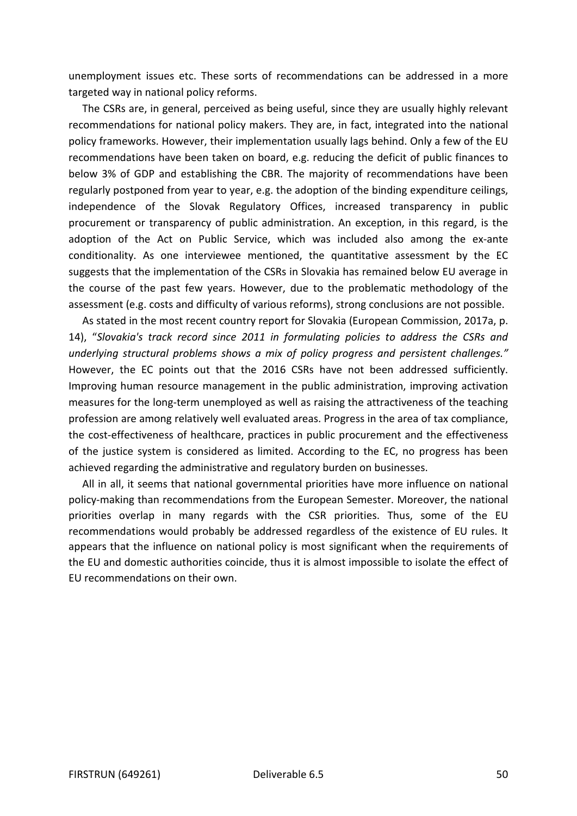unemployment issues etc. These sorts of recommendations can be addressed in a more targeted way in national policy reforms.

The CSRs are, in general, perceived as being useful, since they are usually highly relevant recommendations for national policy makers. They are, in fact, integrated into the national policy frameworks. However, their implementation usually lags behind. Only a few of the EU recommendations have been taken on board, e.g. reducing the deficit of public finances to below 3% of GDP and establishing the CBR. The majority of recommendations have been regularly postponed from year to year, e.g. the adoption of the binding expenditure ceilings, independence of the Slovak Regulatory Offices, increased transparency in public procurement or transparency of public administration. An exception, in this regard, is the adoption of the Act on Public Service, which was included also among the ex-ante conditionality. As one interviewee mentioned, the quantitative assessment by the EC suggests that the implementation of the CSRs in Slovakia has remained below EU average in the course of the past few years. However, due to the problematic methodology of the assessment (e.g. costs and difficulty of various reforms), strong conclusions are not possible.

As stated in the most recent country report for Slovakia (European Commission, 2017a, p. 14), "*Slovakia's track record since 2011 in formulating policies to address the CSRs and underlying structural problems shows a mix of policy progress and persistent challenges."*  However, the EC points out that the 2016 CSRs have not been addressed sufficiently. Improving human resource management in the public administration, improving activation measures for the long-term unemployed as well as raising the attractiveness of the teaching profession are among relatively well evaluated areas. Progress in the area of tax compliance, the cost-effectiveness of healthcare, practices in public procurement and the effectiveness of the justice system is considered as limited. According to the EC, no progress has been achieved regarding the administrative and regulatory burden on businesses.

All in all, it seems that national governmental priorities have more influence on national policy-making than recommendations from the European Semester. Moreover, the national priorities overlap in many regards with the CSR priorities. Thus, some of the EU recommendations would probably be addressed regardless of the existence of EU rules. It appears that the influence on national policy is most significant when the requirements of the EU and domestic authorities coincide, thus it is almost impossible to isolate the effect of EU recommendations on their own.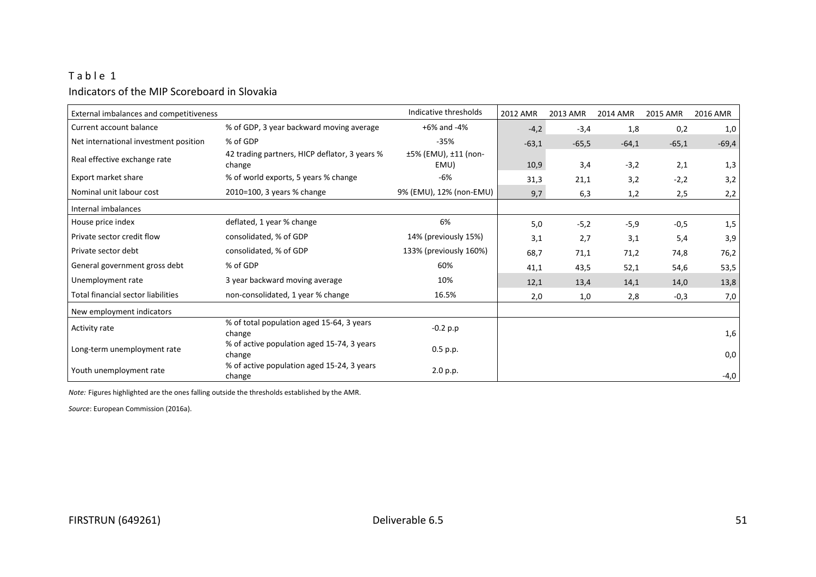## Table 1 Indicators of the MIP Scoreboard in Slovakia

| External imbalances and competitiveness |                                                         | Indicative thresholds        | 2012 AMR | 2013 AMR | 2014 AMR | 2015 AMR | 2016 AMR |
|-----------------------------------------|---------------------------------------------------------|------------------------------|----------|----------|----------|----------|----------|
| Current account balance                 | % of GDP, 3 year backward moving average                | +6% and -4%                  | $-4,2$   | $-3,4$   | 1,8      | 0,2      | 1,0      |
| Net international investment position   | % of GDP                                                | $-35%$                       | $-63,1$  | $-65,5$  | $-64,1$  | $-65,1$  | $-69,4$  |
| Real effective exchange rate            | 42 trading partners, HICP deflator, 3 years %<br>change | ±5% (EMU), ±11 (non-<br>EMU) | 10,9     | 3,4      | $-3,2$   | 2,1      | 1,3      |
| Export market share                     | % of world exports, 5 years % change                    | $-6%$                        | 31,3     | 21,1     | 3,2      | $-2,2$   | 3,2      |
| Nominal unit labour cost                | 2010=100, 3 years % change                              | 9% (EMU), 12% (non-EMU)      | 9,7      | 6,3      | 1,2      | 2,5      | 2,2      |
| Internal imbalances                     |                                                         |                              |          |          |          |          |          |
| House price index                       | deflated, 1 year % change                               | 6%                           | 5,0      | $-5,2$   | $-5,9$   | $-0,5$   | 1,5      |
| Private sector credit flow              | consolidated, % of GDP                                  | 14% (previously 15%)         | 3,1      | 2,7      | 3,1      | 5,4      | 3,9      |
| Private sector debt                     | consolidated, % of GDP                                  | 133% (previously 160%)       | 68,7     | 71,1     | 71,2     | 74,8     | 76,2     |
| General government gross debt           | % of GDP                                                | 60%                          | 41,1     | 43,5     | 52,1     | 54,6     | 53,5     |
| Unemployment rate                       | 3 year backward moving average                          | 10%                          | 12,1     | 13,4     | 14,1     | 14,0     | 13,8     |
| Total financial sector liabilities      | non-consolidated, 1 year % change                       | 16.5%                        | 2,0      | 1,0      | 2,8      | $-0,3$   | 7,0      |
| New employment indicators               |                                                         |                              |          |          |          |          |          |
| Activity rate                           | % of total population aged 15-64, 3 years<br>change     | $-0.2 p.p$                   |          |          |          |          | 1,6      |
| Long-term unemployment rate             | % of active population aged 15-74, 3 years<br>change    | $0.5$ p.p.                   |          |          |          |          | 0,0      |
| Youth unemployment rate                 | % of active population aged 15-24, 3 years<br>change    | 2.0 p.p.                     |          |          |          |          | $-4,0$   |

*Note:* Figures highlighted are the ones falling outside the thresholds established by the AMR.

*Source*: European Commission (2016a).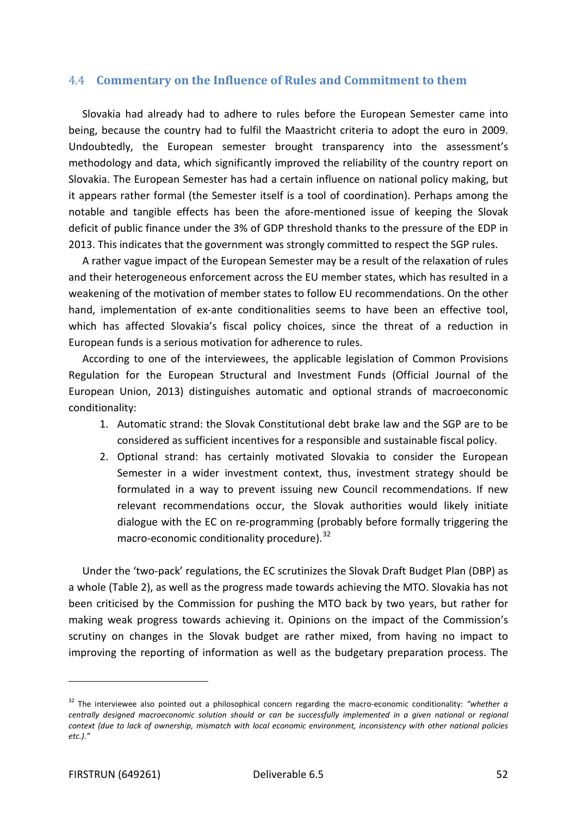### 4.4 **Commentary on the Influence of Rules and Commitment to them**

Slovakia had already had to adhere to rules before the European Semester came into being, because the country had to fulfil the Maastricht criteria to adopt the euro in 2009. Undoubtedly, the European semester brought transparency into the assessment's methodology and data, which significantly improved the reliability of the country report on Slovakia. The European Semester has had a certain influence on national policy making, but it appears rather formal (the Semester itself is a tool of coordination). Perhaps among the notable and tangible effects has been the afore-mentioned issue of keeping the Slovak deficit of public finance under the 3% of GDP threshold thanks to the pressure of the EDP in 2013. This indicates that the government was strongly committed to respect the SGP rules.

A rather vague impact of the European Semester may be a result of the relaxation of rules and their heterogeneous enforcement across the EU member states, which has resulted in a weakening of the motivation of member states to follow EU recommendations. On the other hand, implementation of ex-ante conditionalities seems to have been an effective tool, which has affected Slovakia's fiscal policy choices, since the threat of a reduction in European funds is a serious motivation for adherence to rules.

According to one of the interviewees, the applicable legislation of Common Provisions Regulation for the European Structural and Investment Funds (Official Journal of the European Union, 2013) distinguishes automatic and optional strands of macroeconomic conditionality:

- 1. Automatic strand: the Slovak Constitutional debt brake law and the SGP are to be considered as sufficient incentives for a responsible and sustainable fiscal policy.
- 2. Optional strand: has certainly motivated Slovakia to consider the European Semester in a wider investment context, thus, investment strategy should be formulated in a way to prevent issuing new Council recommendations. If new relevant recommendations occur, the Slovak authorities would likely initiate dialogue with the EC on re-programming (probably before formally triggering the macro-economic conditionality procedure).<sup>[32](#page-51-0)</sup>

Under the 'two-pack' regulations, the EC scrutinizes the Slovak Draft Budget Plan (DBP) as a whole (Table 2), as well as the progress made towards achieving the MTO. Slovakia has not been criticised by the Commission for pushing the MTO back by two years, but rather for making weak progress towards achieving it. Opinions on the impact of the Commission's scrutiny on changes in the Slovak budget are rather mixed, from having no impact to improving the reporting of information as well as the budgetary preparation process. The

<span id="page-51-0"></span><sup>32</sup> The interviewee also pointed out a philosophical concern regarding the macro-economic conditionality: *"whether a centrally designed macroeconomic solution should or can be successfully implemented in a given national or regional context (due to lack of ownership, mismatch with local economic environment, inconsistency with other national policies etc.)."*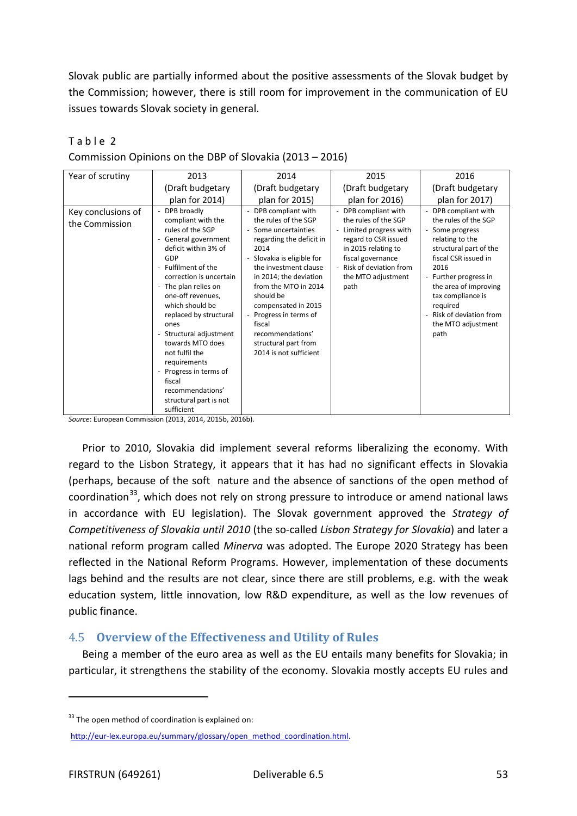Slovak public are partially informed about the positive assessments of the Slovak budget by the Commission; however, there is still room for improvement in the communication of EU issues towards Slovak society in general.

| Year of scrutiny                     | 2013                                                                                                                                                                                                                                                                                                                                                                                                                                  | 2014                                                                                                                                                                                                                                                                                                                                                          | 2015                                                                                                                                                                                                  | 2016                                                                                                                                                                                                                                                                                  |
|--------------------------------------|---------------------------------------------------------------------------------------------------------------------------------------------------------------------------------------------------------------------------------------------------------------------------------------------------------------------------------------------------------------------------------------------------------------------------------------|---------------------------------------------------------------------------------------------------------------------------------------------------------------------------------------------------------------------------------------------------------------------------------------------------------------------------------------------------------------|-------------------------------------------------------------------------------------------------------------------------------------------------------------------------------------------------------|---------------------------------------------------------------------------------------------------------------------------------------------------------------------------------------------------------------------------------------------------------------------------------------|
|                                      | (Draft budgetary                                                                                                                                                                                                                                                                                                                                                                                                                      | (Draft budgetary                                                                                                                                                                                                                                                                                                                                              | (Draft budgetary                                                                                                                                                                                      | (Draft budgetary                                                                                                                                                                                                                                                                      |
|                                      | plan for 2014)                                                                                                                                                                                                                                                                                                                                                                                                                        | plan for 2015)                                                                                                                                                                                                                                                                                                                                                | plan for 2016)                                                                                                                                                                                        | plan for 2017)                                                                                                                                                                                                                                                                        |
| Key conclusions of<br>the Commission | - DPB broadly<br>compliant with the<br>rules of the SGP<br>- General government<br>deficit within 3% of<br>GDP<br>- Fulfilment of the<br>correction is uncertain<br>- The plan relies on<br>one-off revenues,<br>which should be<br>replaced by structural<br>ones<br>- Structural adjustment<br>towards MTO does<br>not fulfil the<br>requirements<br>- Progress in terms of<br>fiscal<br>recommendations'<br>structural part is not | - DPB compliant with<br>the rules of the SGP<br>- Some uncertainties<br>regarding the deficit in<br>2014<br>- Slovakia is eligible for<br>the investment clause<br>in 2014; the deviation<br>from the MTO in 2014<br>should be<br>compensated in 2015<br>Progress in terms of<br>fiscal<br>recommendations'<br>structural part from<br>2014 is not sufficient | - DPB compliant with<br>the rules of the SGP<br>- Limited progress with<br>regard to CSR issued<br>in 2015 relating to<br>fiscal governance<br>- Risk of deviation from<br>the MTO adjustment<br>path | - DPB compliant with<br>the rules of the SGP<br>Some progress<br>relating to the<br>structural part of the<br>fiscal CSR issued in<br>2016<br>- Further progress in<br>the area of improving<br>tax compliance is<br>required<br>Risk of deviation from<br>the MTO adjustment<br>path |
|                                      | sufficient                                                                                                                                                                                                                                                                                                                                                                                                                            |                                                                                                                                                                                                                                                                                                                                                               |                                                                                                                                                                                                       |                                                                                                                                                                                                                                                                                       |

Table 2

Commission Opinions on the DBP of Slovakia (2013 – 2016)

*Source*: European Commission (2013, 2014, 2015b, 2016b).

Prior to 2010, Slovakia did implement several reforms liberalizing the economy. With regard to the Lisbon Strategy, it appears that it has had no significant effects in Slovakia (perhaps, because of the soft nature and the absence of sanctions of the open method of coordination<sup>33</sup>, which does not rely on strong pressure to introduce or amend national laws in accordance with EU legislation). The Slovak government approved the *Strategy of Competitiveness of Slovakia until 2010* (the so-called *Lisbon Strategy for Slovakia*) and later a national reform program called *Minerva* was adopted. The Europe 2020 Strategy has been reflected in the National Reform Programs. However, implementation of these documents lags behind and the results are not clear, since there are still problems, e.g. with the weak education system, little innovation, low R&D expenditure, as well as the low revenues of public finance.

## 4.5 **Overview of the Effectiveness and Utility of Rules**

Being a member of the euro area as well as the EU entails many benefits for Slovakia; in particular, it strengthens the stability of the economy. Slovakia mostly accepts EU rules and

<span id="page-52-0"></span> $33$  The open method of coordination is explained on:

[http://eur-lex.europa.eu/summary/glossary/open\\_method\\_coordination.html.](http://eur-lex.europa.eu/summary/glossary/open_method_coordination.html)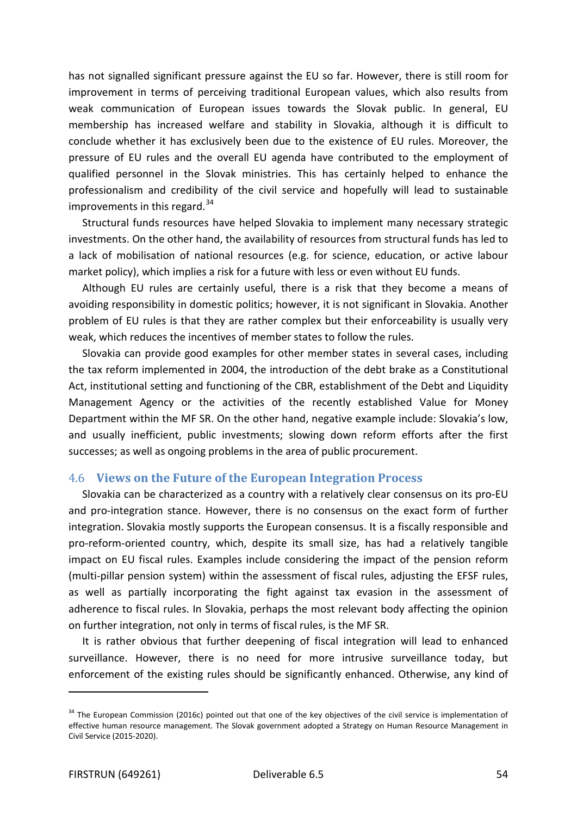has not signalled significant pressure against the EU so far. However, there is still room for improvement in terms of perceiving traditional European values, which also results from weak communication of European issues towards the Slovak public. In general, EU membership has increased welfare and stability in Slovakia, although it is difficult to conclude whether it has exclusively been due to the existence of EU rules. Moreover, the pressure of EU rules and the overall EU agenda have contributed to the employment of qualified personnel in the Slovak ministries. This has certainly helped to enhance the professionalism and credibility of the civil service and hopefully will lead to sustainable improvements in this regard.<sup>[34](#page-53-0)</sup>

Structural funds resources have helped Slovakia to implement many necessary strategic investments. On the other hand, the availability of resources from structural funds has led to a lack of mobilisation of national resources (e.g. for science, education, or active labour market policy), which implies a risk for a future with less or even without EU funds.

Although EU rules are certainly useful, there is a risk that they become a means of avoiding responsibility in domestic politics; however, it is not significant in Slovakia. Another problem of EU rules is that they are rather complex but their enforceability is usually very weak, which reduces the incentives of member states to follow the rules.

Slovakia can provide good examples for other member states in several cases, including the tax reform implemented in 2004, the introduction of the debt brake as a Constitutional Act, institutional setting and functioning of the CBR, establishment of the Debt and Liquidity Management Agency or the activities of the recently established Value for Money Department within the MF SR. On the other hand, negative example include: Slovakia's low, and usually inefficient, public investments; slowing down reform efforts after the first successes; as well as ongoing problems in the area of public procurement.

#### 4.6 **Views on the Future of the European Integration Process**

Slovakia can be characterized as a country with a relatively clear consensus on its pro-EU and pro-integration stance. However, there is no consensus on the exact form of further integration. Slovakia mostly supports the European consensus. It is a fiscally responsible and pro-reform-oriented country, which, despite its small size, has had a relatively tangible impact on EU fiscal rules. Examples include considering the impact of the pension reform (multi-pillar pension system) within the assessment of fiscal rules, adjusting the EFSF rules, as well as partially incorporating the fight against tax evasion in the assessment of adherence to fiscal rules. In Slovakia, perhaps the most relevant body affecting the opinion on further integration, not only in terms of fiscal rules, is the MF SR.

It is rather obvious that further deepening of fiscal integration will lead to enhanced surveillance. However, there is no need for more intrusive surveillance today, but enforcement of the existing rules should be significantly enhanced. Otherwise, any kind of

<span id="page-53-0"></span> $34$  The European Commission (2016c) pointed out that one of the key objectives of the civil service is implementation of effective human resource management. The Slovak government adopted a Strategy on Human Resource Management in Civil Service (2015-2020).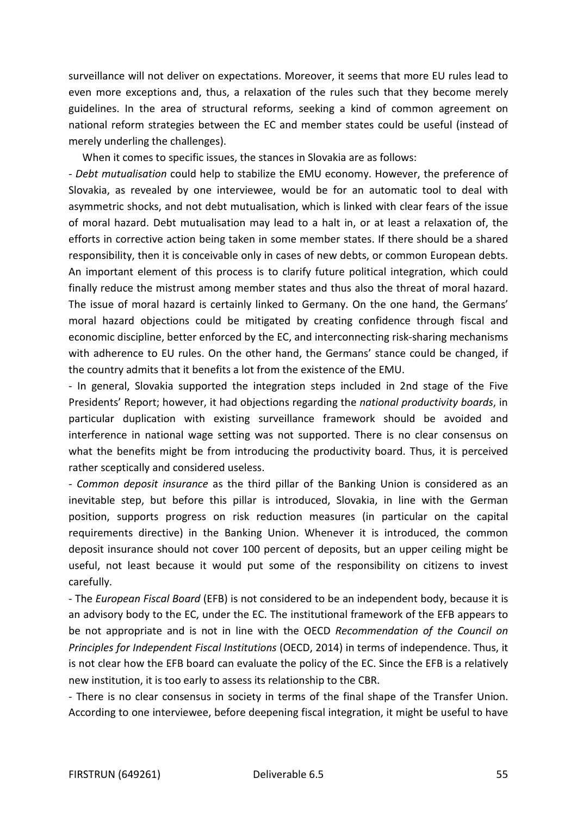surveillance will not deliver on expectations. Moreover, it seems that more EU rules lead to even more exceptions and, thus, a relaxation of the rules such that they become merely guidelines. In the area of structural reforms, seeking a kind of common agreement on national reform strategies between the EC and member states could be useful (instead of merely underling the challenges).

When it comes to specific issues, the stances in Slovakia are as follows:

*- Debt mutualisation* could help to stabilize the EMU economy. However, the preference of Slovakia, as revealed by one interviewee, would be for an automatic tool to deal with asymmetric shocks, and not debt mutualisation, which is linked with clear fears of the issue of moral hazard. Debt mutualisation may lead to a halt in, or at least a relaxation of, the efforts in corrective action being taken in some member states. If there should be a shared responsibility, then it is conceivable only in cases of new debts, or common European debts. An important element of this process is to clarify future political integration, which could finally reduce the mistrust among member states and thus also the threat of moral hazard. The issue of moral hazard is certainly linked to Germany. On the one hand, the Germans' moral hazard objections could be mitigated by creating confidence through fiscal and economic discipline, better enforced by the EC, and interconnecting risk-sharing mechanisms with adherence to EU rules. On the other hand, the Germans' stance could be changed, if the country admits that it benefits a lot from the existence of the EMU.

- In general, Slovakia supported the integration steps included in 2nd stage of the Five Presidents' Report; however, it had objections regarding the *national productivity boards*, in particular duplication with existing surveillance framework should be avoided and interference in national wage setting was not supported. There is no clear consensus on what the benefits might be from introducing the productivity board. Thus, it is perceived rather sceptically and considered useless.

*- Common deposit insurance* as the third pillar of the Banking Union is considered as an inevitable step, but before this pillar is introduced, Slovakia, in line with the German position, supports progress on risk reduction measures (in particular on the capital requirements directive) in the Banking Union. Whenever it is introduced, the common deposit insurance should not cover 100 percent of deposits, but an upper ceiling might be useful, not least because it would put some of the responsibility on citizens to invest carefully.

- The *European Fiscal Board* (EFB) is not considered to be an independent body, because it is an advisory body to the EC, under the EC. The institutional framework of the EFB appears to be not appropriate and is not in line with the OECD *Recommendation of the Council on Principles for Independent Fiscal Institutions* (OECD, 2014) in terms of independence. Thus, it is not clear how the EFB board can evaluate the policy of the EC. Since the EFB is a relatively new institution, it is too early to assess its relationship to the CBR.

- There is no clear consensus in society in terms of the final shape of the Transfer Union. According to one interviewee, before deepening fiscal integration, it might be useful to have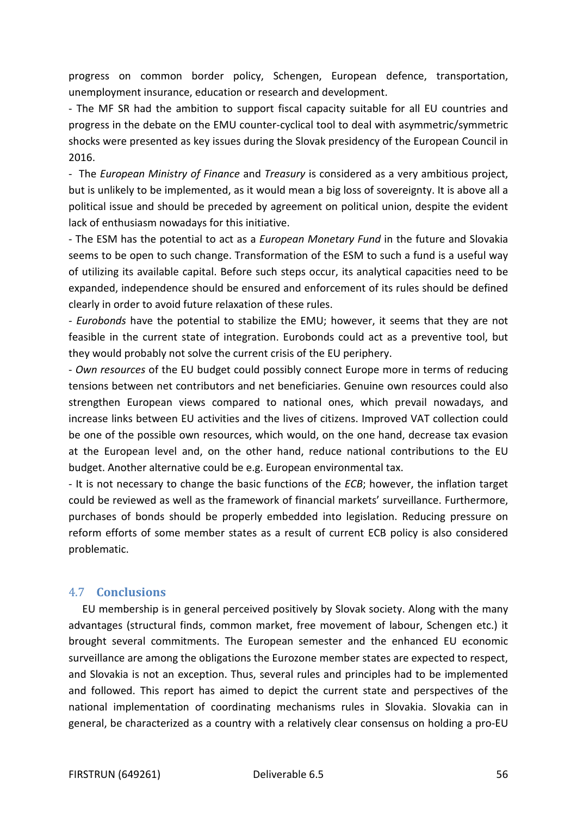progress on common border policy, Schengen, European defence, transportation, unemployment insurance, education or research and development.

- The MF SR had the ambition to support fiscal capacity suitable for all EU countries and progress in the debate on the EMU counter-cyclical tool to deal with asymmetric/symmetric shocks were presented as key issues during the Slovak presidency of the European Council in 2016.

- The *European Ministry of Finance* and *Treasury* is considered as a very ambitious project, but is unlikely to be implemented, as it would mean a big loss of sovereignty. It is above all a political issue and should be preceded by agreement on political union, despite the evident lack of enthusiasm nowadays for this initiative.

- The ESM has the potential to act as a *European Monetary Fund* in the future and Slovakia seems to be open to such change. Transformation of the ESM to such a fund is a useful way of utilizing its available capital. Before such steps occur, its analytical capacities need to be expanded, independence should be ensured and enforcement of its rules should be defined clearly in order to avoid future relaxation of these rules.

*- Eurobonds* have the potential to stabilize the EMU; however, it seems that they are not feasible in the current state of integration. Eurobonds could act as a preventive tool, but they would probably not solve the current crisis of the EU periphery.

- *Own resources* of the EU budget could possibly connect Europe more in terms of reducing tensions between net contributors and net beneficiaries. Genuine own resources could also strengthen European views compared to national ones, which prevail nowadays, and increase links between EU activities and the lives of citizens. Improved VAT collection could be one of the possible own resources, which would, on the one hand, decrease tax evasion at the European level and, on the other hand, reduce national contributions to the EU budget. Another alternative could be e.g. European environmental tax.

- It is not necessary to change the basic functions of the *ECB*; however, the inflation target could be reviewed as well as the framework of financial markets' surveillance. Furthermore, purchases of bonds should be properly embedded into legislation. Reducing pressure on reform efforts of some member states as a result of current ECB policy is also considered problematic.

## 4.7 **Conclusions**

EU membership is in general perceived positively by Slovak society. Along with the many advantages (structural finds, common market, free movement of labour, Schengen etc.) it brought several commitments. The European semester and the enhanced EU economic surveillance are among the obligations the Eurozone member states are expected to respect, and Slovakia is not an exception. Thus, several rules and principles had to be implemented and followed. This report has aimed to depict the current state and perspectives of the national implementation of coordinating mechanisms rules in Slovakia. Slovakia can in general, be characterized as a country with a relatively clear consensus on holding a pro-EU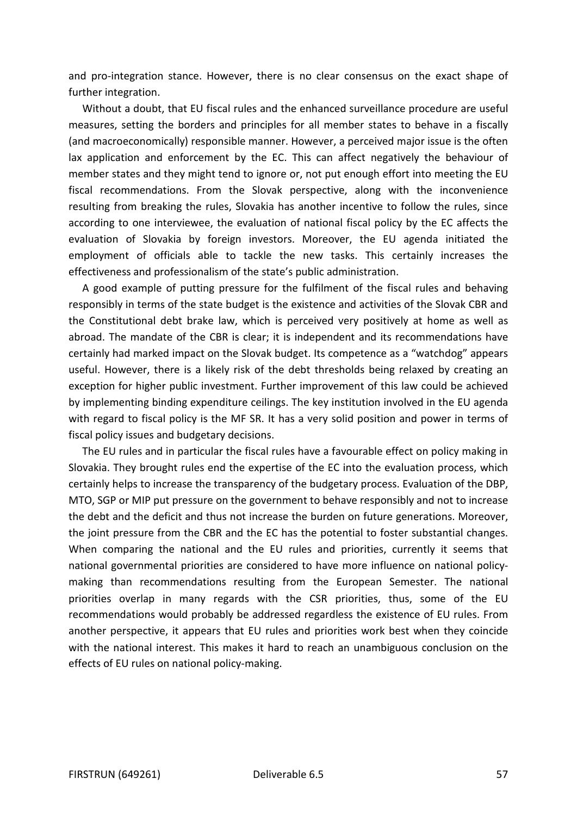and pro-integration stance. However, there is no clear consensus on the exact shape of further integration.

Without a doubt, that EU fiscal rules and the enhanced surveillance procedure are useful measures, setting the borders and principles for all member states to behave in a fiscally (and macroeconomically) responsible manner. However, a perceived major issue is the often lax application and enforcement by the EC. This can affect negatively the behaviour of member states and they might tend to ignore or, not put enough effort into meeting the EU fiscal recommendations. From the Slovak perspective, along with the inconvenience resulting from breaking the rules, Slovakia has another incentive to follow the rules, since according to one interviewee, the evaluation of national fiscal policy by the EC affects the evaluation of Slovakia by foreign investors. Moreover, the EU agenda initiated the employment of officials able to tackle the new tasks. This certainly increases the effectiveness and professionalism of the state's public administration.

A good example of putting pressure for the fulfilment of the fiscal rules and behaving responsibly in terms of the state budget is the existence and activities of the Slovak CBR and the Constitutional debt brake law, which is perceived very positively at home as well as abroad. The mandate of the CBR is clear; it is independent and its recommendations have certainly had marked impact on the Slovak budget. Its competence as a "watchdog" appears useful. However, there is a likely risk of the debt thresholds being relaxed by creating an exception for higher public investment. Further improvement of this law could be achieved by implementing binding expenditure ceilings. The key institution involved in the EU agenda with regard to fiscal policy is the MF SR. It has a very solid position and power in terms of fiscal policy issues and budgetary decisions.

The EU rules and in particular the fiscal rules have a favourable effect on policy making in Slovakia. They brought rules end the expertise of the EC into the evaluation process, which certainly helps to increase the transparency of the budgetary process. Evaluation of the DBP, MTO, SGP or MIP put pressure on the government to behave responsibly and not to increase the debt and the deficit and thus not increase the burden on future generations. Moreover, the joint pressure from the CBR and the EC has the potential to foster substantial changes. When comparing the national and the EU rules and priorities, currently it seems that national governmental priorities are considered to have more influence on national policymaking than recommendations resulting from the European Semester. The national priorities overlap in many regards with the CSR priorities, thus, some of the EU recommendations would probably be addressed regardless the existence of EU rules. From another perspective, it appears that EU rules and priorities work best when they coincide with the national interest. This makes it hard to reach an unambiguous conclusion on the effects of EU rules on national policy-making.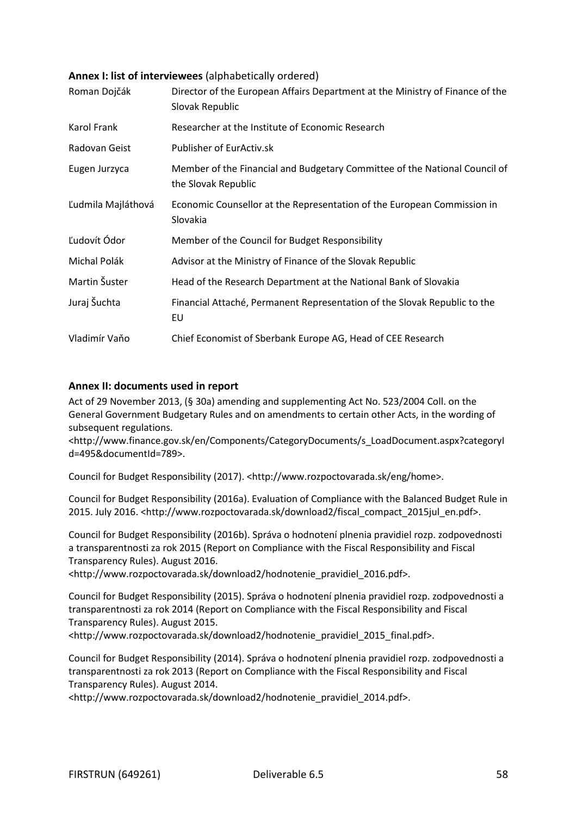### **Annex I: list of interviewees** (alphabetically ordered)

| Roman Dojčák       | Director of the European Affairs Department at the Ministry of Finance of the<br>Slovak Republic  |
|--------------------|---------------------------------------------------------------------------------------------------|
| Karol Frank        | Researcher at the Institute of Economic Research                                                  |
| Radovan Geist      | Publisher of EurActiv.sk                                                                          |
| Eugen Jurzyca      | Member of the Financial and Budgetary Committee of the National Council of<br>the Slovak Republic |
| Ľudmila Majláthová | Economic Counsellor at the Representation of the European Commission in<br>Slovakia               |
| Ľudovít Ódor       | Member of the Council for Budget Responsibility                                                   |
| Michal Polák       | Advisor at the Ministry of Finance of the Slovak Republic                                         |
| Martin Šuster      | Head of the Research Department at the National Bank of Slovakia                                  |
| Juraj Šuchta       | Financial Attaché, Permanent Representation of the Slovak Republic to the<br>EU                   |
| Vladimír Vaňo      | Chief Economist of Sberbank Europe AG, Head of CEE Research                                       |

### **Annex II: documents used in report**

Act of 29 November 2013, (§ 30a) amending and supplementing Act No. 523/2004 Coll. on the General Government Budgetary Rules and on amendments to certain other Acts, in the wording of subsequent regulations.

<http://www.finance.gov.sk/en/Components/CategoryDocuments/s\_LoadDocument.aspx?categoryI d=495&documentId=789>.

Council for Budget Responsibility (2017). <http://www.rozpoctovarada.sk/eng/home>.

Council for Budget Responsibility (2016a). Evaluation of Compliance with the Balanced Budget Rule in 2015. July 2016. <http://www.rozpoctovarada.sk/download2/fiscal\_compact\_2015jul\_en.pdf>.

Council for Budget Responsibility (2016b). Správa o hodnotení plnenia pravidiel rozp. zodpovednosti a transparentnosti za rok 2015 (Report on Compliance with the Fiscal Responsibility and Fiscal Transparency Rules). August 2016.

<http://www.rozpoctovarada.sk/download2/hodnotenie\_pravidiel\_2016.pdf>.

Council for Budget Responsibility (2015). Správa o hodnotení plnenia pravidiel rozp. zodpovednosti a transparentnosti za rok 2014 (Report on Compliance with the Fiscal Responsibility and Fiscal Transparency Rules). August 2015.

<http://www.rozpoctovarada.sk/download2/hodnotenie\_pravidiel\_2015\_final.pdf>.

Council for Budget Responsibility (2014). Správa o hodnotení plnenia pravidiel rozp. zodpovednosti a transparentnosti za rok 2013 (Report on Compliance with the Fiscal Responsibility and Fiscal Transparency Rules). August 2014.

<http://www.rozpoctovarada.sk/download2/hodnotenie\_pravidiel\_2014.pdf>.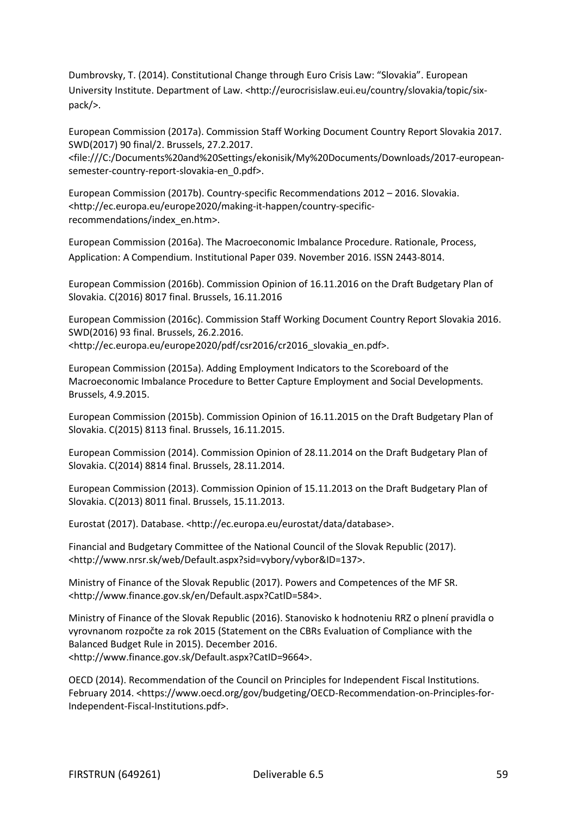Dumbrovsky, T. (2014). Constitutional Change through Euro Crisis Law: "Slovakia". European University Institute. Department of Law. [<http://eurocrisislaw.eui.eu/country/slovakia/topic/six](http://eurocrisislaw.eui.eu/country/slovakia/topic/six-pack/)[pack/>](http://eurocrisislaw.eui.eu/country/slovakia/topic/six-pack/).

European Commission (2017a). Commission Staff Working Document Country Report Slovakia 2017. SWD(2017) 90 final/2. Brussels, 27.2.2017.

<file:///C:/Documents%20and%20Settings/ekonisik/My%20Documents/Downloads/2017-europeansemester-country-report-slovakia-en\_0.pdf>.

European Commission (2017b). Country-specific Recommendations 2012 – 2016. Slovakia. <http://ec.europa.eu/europe2020/making-it-happen/country-specificrecommendations/index\_en.htm>.

European Commission (2016a). The Macroeconomic Imbalance Procedure. Rationale, Process, Application: A Compendium. Institutional Paper 039. November 2016. ISSN 2443-8014.

European Commission (2016b). Commission Opinion of 16.11.2016 on the Draft Budgetary Plan of Slovakia. C(2016) 8017 final. Brussels, 16.11.2016

European Commission (2016c). Commission Staff Working Document Country Report Slovakia 2016. SWD(2016) 93 final. Brussels, 26.2.2016. <http://ec.europa.eu/europe2020/pdf/csr2016/cr2016\_slovakia\_en.pdf>.

European Commission (2015a). Adding Employment Indicators to the Scoreboard of the Macroeconomic Imbalance Procedure to Better Capture Employment and Social Developments. Brussels, 4.9.2015.

European Commission (2015b). Commission Opinion of 16.11.2015 on the Draft Budgetary Plan of Slovakia. C(2015) 8113 final. Brussels, 16.11.2015.

European Commission (2014). Commission Opinion of 28.11.2014 on the Draft Budgetary Plan of Slovakia. C(2014) 8814 final. Brussels, 28.11.2014.

European Commission (2013). Commission Opinion of 15.11.2013 on the Draft Budgetary Plan of Slovakia. C(2013) 8011 final. Brussels, 15.11.2013.

Eurostat (2017). Database. <http://ec.europa.eu/eurostat/data/database>.

Financial and Budgetary Committee of the National Council of the Slovak Republic (2017). <http://www.nrsr.sk/web/Default.aspx?sid=vybory/vybor&ID=137>.

Ministry of Finance of the Slovak Republic (2017). Powers and Competences of the MF SR. <http://www.finance.gov.sk/en/Default.aspx?CatID=584>.

Ministry of Finance of the Slovak Republic (2016). Stanovisko k hodnoteniu RRZ o plnení pravidla o vyrovnanom rozpočte za rok 2015 (Statement on the CBRs Evaluation of Compliance with the Balanced Budget Rule in 2015). December 2016. <http://www.finance.gov.sk/Default.aspx?CatID=9664>.

OECD (2014). Recommendation of the Council on Principles for Independent Fiscal Institutions. February 2014. <https://www.oecd.org/gov/budgeting/OECD-Recommendation-on-Principles-for-Independent-Fiscal-Institutions.pdf>.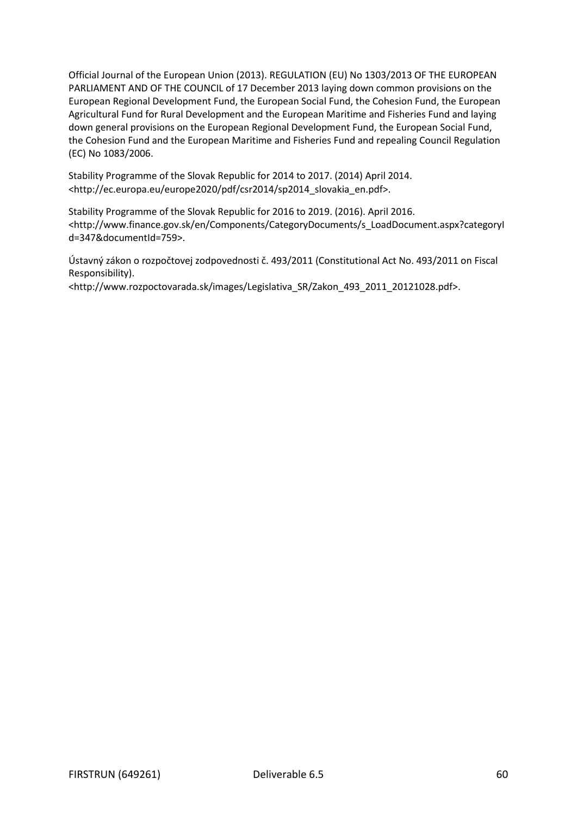Official Journal of the European Union (2013). REGULATION (EU) No 1303/2013 OF THE EUROPEAN PARLIAMENT AND OF THE COUNCIL of 17 December 2013 laying down common provisions on the European Regional Development Fund, the European Social Fund, the Cohesion Fund, the European Agricultural Fund for Rural Development and the European Maritime and Fisheries Fund and laying down general provisions on the European Regional Development Fund, the European Social Fund, the Cohesion Fund and the European Maritime and Fisheries Fund and repealing Council Regulation (EC) No 1083/2006.

Stability Programme of the Slovak Republic for 2014 to 2017. (2014) April 2014. <http://ec.europa.eu/europe2020/pdf/csr2014/sp2014\_slovakia\_en.pdf>.

Stability Programme of the Slovak Republic for 2016 to 2019. (2016). April 2016. <http://www.finance.gov.sk/en/Components/CategoryDocuments/s\_LoadDocument.aspx?categoryI d=347&documentId=759>.

Ústavný zákon o rozpočtovej zodpovednosti č. 493/2011 (Constitutional Act No. 493/2011 on Fiscal Responsibility).

<http://www.rozpoctovarada.sk/images/Legislativa\_SR/Zakon\_493\_2011\_20121028.pdf>.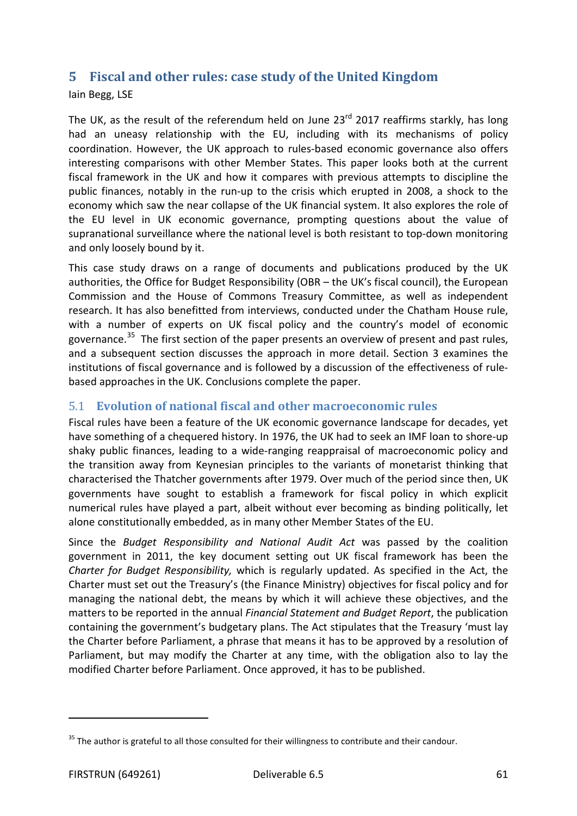## **5 Fiscal and other rules: case study of the United Kingdom**

Iain Begg, LSE

The UK, as the result of the referendum held on June  $23^{rd}$  2017 reaffirms starkly, has long had an uneasy relationship with the EU, including with its mechanisms of policy coordination. However, the UK approach to rules-based economic governance also offers interesting comparisons with other Member States. This paper looks both at the current fiscal framework in the UK and how it compares with previous attempts to discipline the public finances, notably in the run-up to the crisis which erupted in 2008, a shock to the economy which saw the near collapse of the UK financial system. It also explores the role of the EU level in UK economic governance, prompting questions about the value of supranational surveillance where the national level is both resistant to top-down monitoring and only loosely bound by it.

This case study draws on a range of documents and publications produced by the UK authorities, the Office for Budget Responsibility (OBR – the UK's fiscal council), the European Commission and the House of Commons Treasury Committee, as well as independent research. It has also benefitted from interviews, conducted under the Chatham House rule, with a number of experts on UK fiscal policy and the country's model of economic governance.<sup>[35](#page-60-0)</sup> The first section of the paper presents an overview of present and past rules, and a subsequent section discusses the approach in more detail. Section 3 examines the institutions of fiscal governance and is followed by a discussion of the effectiveness of rulebased approaches in the UK. Conclusions complete the paper.

## 5.1 **Evolution of national fiscal and other macroeconomic rules**

Fiscal rules have been a feature of the UK economic governance landscape for decades, yet have something of a chequered history. In 1976, the UK had to seek an IMF loan to shore-up shaky public finances, leading to a wide-ranging reappraisal of macroeconomic policy and the transition away from Keynesian principles to the variants of monetarist thinking that characterised the Thatcher governments after 1979. Over much of the period since then, UK governments have sought to establish a framework for fiscal policy in which explicit numerical rules have played a part, albeit without ever becoming as binding politically, let alone constitutionally embedded, as in many other Member States of the EU.

Since the *Budget Responsibility and National Audit Act* was passed by the coalition government in 2011, the key document setting out UK fiscal framework has been the *Charter for Budget Responsibility,* which is regularly updated. As specified in the Act, the Charter must set out the Treasury's (the Finance Ministry) objectives for fiscal policy and for managing the national debt, the means by which it will achieve these objectives, and the matters to be reported in the annual *Financial Statement and Budget Report*, the publication containing the government's budgetary plans. The Act stipulates that the Treasury 'must lay the Charter before Parliament, a phrase that means it has to be approved by a resolution of Parliament, but may modify the Charter at any time, with the obligation also to lay the modified Charter before Parliament. Once approved, it has to be published.

<span id="page-60-0"></span> $35$  The author is grateful to all those consulted for their willingness to contribute and their candour.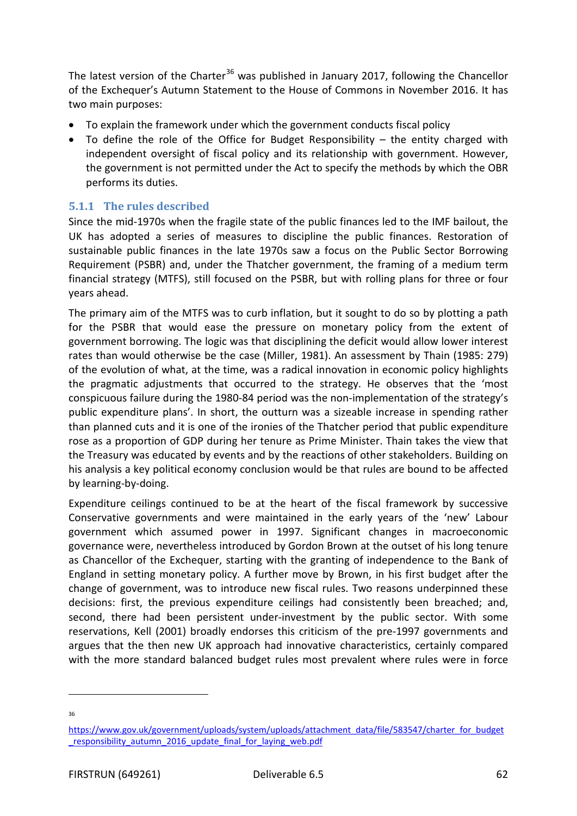The latest version of the Charter<sup>[36](#page-61-0)</sup> was published in January 2017, following the Chancellor of the Exchequer's Autumn Statement to the House of Commons in November 2016. It has two main purposes:

- To explain the framework under which the government conducts fiscal policy
- To define the role of the Office for Budget Responsibility the entity charged with independent oversight of fiscal policy and its relationship with government. However, the government is not permitted under the Act to specify the methods by which the OBR performs its duties.

## **5.1.1 The rules described**

Since the mid-1970s when the fragile state of the public finances led to the IMF bailout, the UK has adopted a series of measures to discipline the public finances. Restoration of sustainable public finances in the late 1970s saw a focus on the Public Sector Borrowing Requirement (PSBR) and, under the Thatcher government, the framing of a medium term financial strategy (MTFS), still focused on the PSBR, but with rolling plans for three or four years ahead.

The primary aim of the MTFS was to curb inflation, but it sought to do so by plotting a path for the PSBR that would ease the pressure on monetary policy from the extent of government borrowing. The logic was that disciplining the deficit would allow lower interest rates than would otherwise be the case (Miller, 1981). An assessment by Thain (1985: 279) of the evolution of what, at the time, was a radical innovation in economic policy highlights the pragmatic adjustments that occurred to the strategy. He observes that the 'most conspicuous failure during the 1980-84 period was the non-implementation of the strategy's public expenditure plans'. In short, the outturn was a sizeable increase in spending rather than planned cuts and it is one of the ironies of the Thatcher period that public expenditure rose as a proportion of GDP during her tenure as Prime Minister. Thain takes the view that the Treasury was educated by events and by the reactions of other stakeholders. Building on his analysis a key political economy conclusion would be that rules are bound to be affected by learning-by-doing.

Expenditure ceilings continued to be at the heart of the fiscal framework by successive Conservative governments and were maintained in the early years of the 'new' Labour government which assumed power in 1997. Significant changes in macroeconomic governance were, nevertheless introduced by Gordon Brown at the outset of his long tenure as Chancellor of the Exchequer, starting with the granting of independence to the Bank of England in setting monetary policy. A further move by Brown, in his first budget after the change of government, was to introduce new fiscal rules. Two reasons underpinned these decisions: first, the previous expenditure ceilings had consistently been breached; and, second, there had been persistent under-investment by the public sector. With some reservations, Kell (2001) broadly endorses this criticism of the pre-1997 governments and argues that the then new UK approach had innovative characteristics, certainly compared with the more standard balanced budget rules most prevalent where rules were in force

36

<span id="page-61-0"></span>[https://www.gov.uk/government/uploads/system/uploads/attachment\\_data/file/583547/charter\\_for\\_budget](https://www.gov.uk/government/uploads/system/uploads/attachment_data/file/583547/charter_for_budget_responsibility_autumn_2016_update_final_for_laying_web.pdf) [\\_responsibility\\_autumn\\_2016\\_update\\_final\\_for\\_laying\\_web.pdf](https://www.gov.uk/government/uploads/system/uploads/attachment_data/file/583547/charter_for_budget_responsibility_autumn_2016_update_final_for_laying_web.pdf)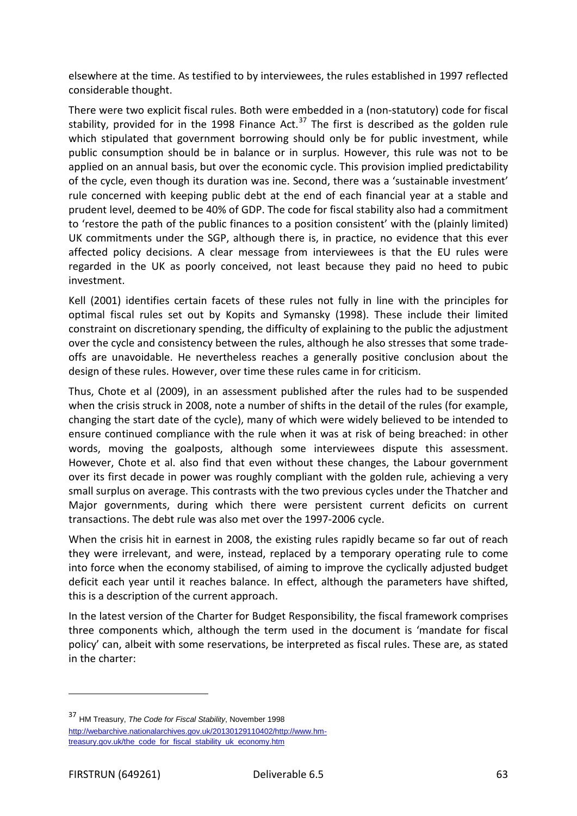elsewhere at the time. As testified to by interviewees, the rules established in 1997 reflected considerable thought.

There were two explicit fiscal rules. Both were embedded in a (non-statutory) code for fiscal stability, provided for in the 1998 Finance Act.<sup>[37](#page-62-0)</sup> The first is described as the golden rule which stipulated that government borrowing should only be for public investment, while public consumption should be in balance or in surplus. However, this rule was not to be applied on an annual basis, but over the economic cycle. This provision implied predictability of the cycle, even though its duration was ine. Second, there was a 'sustainable investment' rule concerned with keeping public debt at the end of each financial year at a stable and prudent level, deemed to be 40% of GDP. The code for fiscal stability also had a commitment to 'restore the path of the public finances to a position consistent' with the (plainly limited) UK commitments under the SGP, although there is, in practice, no evidence that this ever affected policy decisions. A clear message from interviewees is that the EU rules were regarded in the UK as poorly conceived, not least because they paid no heed to pubic investment.

Kell (2001) identifies certain facets of these rules not fully in line with the principles for optimal fiscal rules set out by Kopits and Symansky (1998). These include their limited constraint on discretionary spending, the difficulty of explaining to the public the adjustment over the cycle and consistency between the rules, although he also stresses that some tradeoffs are unavoidable. He nevertheless reaches a generally positive conclusion about the design of these rules. However, over time these rules came in for criticism.

Thus, Chote et al (2009), in an assessment published after the rules had to be suspended when the crisis struck in 2008, note a number of shifts in the detail of the rules (for example, changing the start date of the cycle), many of which were widely believed to be intended to ensure continued compliance with the rule when it was at risk of being breached: in other words, moving the goalposts, although some interviewees dispute this assessment. However, Chote et al. also find that even without these changes, the Labour government over its first decade in power was roughly compliant with the golden rule, achieving a very small surplus on average. This contrasts with the two previous cycles under the Thatcher and Major governments, during which there were persistent current deficits on current transactions. The debt rule was also met over the 1997-2006 cycle.

When the crisis hit in earnest in 2008, the existing rules rapidly became so far out of reach they were irrelevant, and were, instead, replaced by a temporary operating rule to come into force when the economy stabilised, of aiming to improve the cyclically adjusted budget deficit each year until it reaches balance. In effect, although the parameters have shifted, this is a description of the current approach.

In the latest version of the Charter for Budget Responsibility, the fiscal framework comprises three components which, although the term used in the document is 'mandate for fiscal policy' can, albeit with some reservations, be interpreted as fiscal rules. These are, as stated in the charter:

<span id="page-62-0"></span><sup>37</sup> HM Treasury, *The Code for Fiscal Stability*, November 1998 [http://webarchive.nationalarchives.gov.uk/20130129110402/http://www.hm](http://webarchive.nationalarchives.gov.uk/20130129110402/http:/www.hm-treasury.gov.uk/the_code_for_fiscal_stability_uk_economy.htm)[treasury.gov.uk/the\\_code\\_for\\_fiscal\\_stability\\_uk\\_economy.htm](http://webarchive.nationalarchives.gov.uk/20130129110402/http:/www.hm-treasury.gov.uk/the_code_for_fiscal_stability_uk_economy.htm)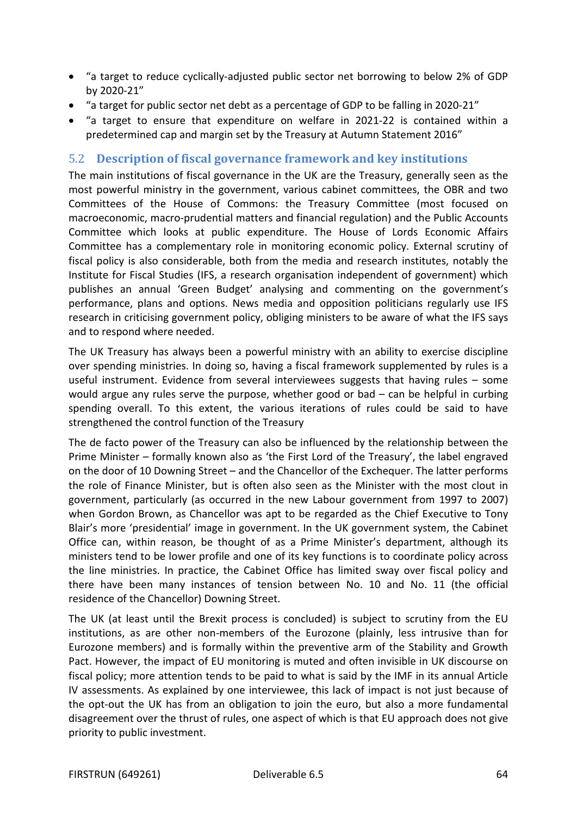- "a target to reduce cyclically-adjusted public sector net borrowing to below 2% of GDP by 2020-21"
- "a target for public sector net debt as a percentage of GDP to be falling in 2020-21"
- "a target to ensure that expenditure on welfare in 2021-22 is contained within a predetermined cap and margin set by the Treasury at Autumn Statement 2016"

## 5.2 **Description of fiscal governance framework and key institutions**

The main institutions of fiscal governance in the UK are the Treasury, generally seen as the most powerful ministry in the government, various cabinet committees, the OBR and two Committees of the House of Commons: the Treasury Committee (most focused on macroeconomic, macro-prudential matters and financial regulation) and the Public Accounts Committee which looks at public expenditure. The House of Lords Economic Affairs Committee has a complementary role in monitoring economic policy. External scrutiny of fiscal policy is also considerable, both from the media and research institutes, notably the Institute for Fiscal Studies (IFS, a research organisation independent of government) which publishes an annual 'Green Budget' analysing and commenting on the government's performance, plans and options. News media and opposition politicians regularly use IFS research in criticising government policy, obliging ministers to be aware of what the IFS says and to respond where needed.

The UK Treasury has always been a powerful ministry with an ability to exercise discipline over spending ministries. In doing so, having a fiscal framework supplemented by rules is a useful instrument. Evidence from several interviewees suggests that having rules – some would argue any rules serve the purpose, whether good or bad – can be helpful in curbing spending overall. To this extent, the various iterations of rules could be said to have strengthened the control function of the Treasury

The de facto power of the Treasury can also be influenced by the relationship between the Prime Minister – formally known also as 'the First Lord of the Treasury', the label engraved on the door of 10 Downing Street – and the Chancellor of the Exchequer. The latter performs the role of Finance Minister, but is often also seen as the Minister with the most clout in government, particularly (as occurred in the new Labour government from 1997 to 2007) when Gordon Brown, as Chancellor was apt to be regarded as the Chief Executive to Tony Blair's more 'presidential' image in government. In the UK government system, the Cabinet Office can, within reason, be thought of as a Prime Minister's department, although its ministers tend to be lower profile and one of its key functions is to coordinate policy across the line ministries. In practice, the Cabinet Office has limited sway over fiscal policy and there have been many instances of tension between No. 10 and No. 11 (the official residence of the Chancellor) Downing Street.

The UK (at least until the Brexit process is concluded) is subject to scrutiny from the EU institutions, as are other non-members of the Eurozone (plainly, less intrusive than for Eurozone members) and is formally within the preventive arm of the Stability and Growth Pact. However, the impact of EU monitoring is muted and often invisible in UK discourse on fiscal policy; more attention tends to be paid to what is said by the IMF in its annual Article IV assessments. As explained by one interviewee, this lack of impact is not just because of the opt-out the UK has from an obligation to join the euro, but also a more fundamental disagreement over the thrust of rules, one aspect of which is that EU approach does not give priority to public investment.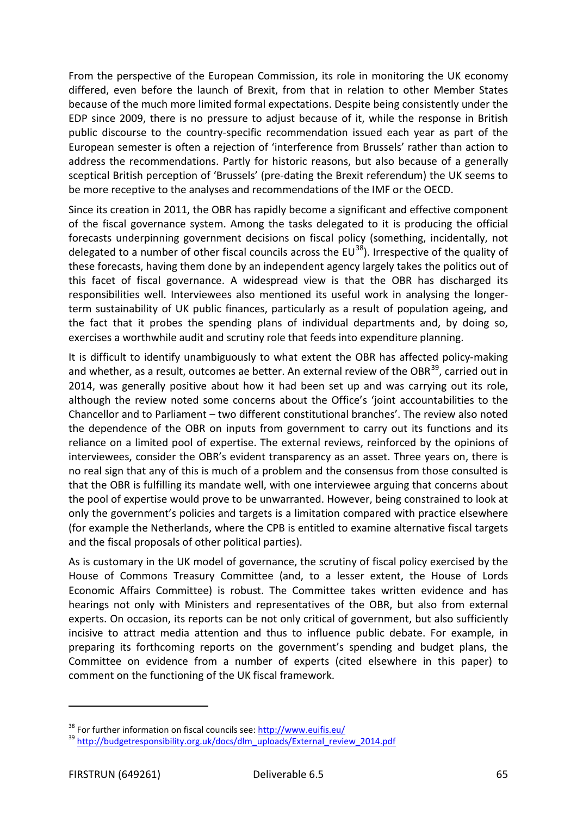From the perspective of the European Commission, its role in monitoring the UK economy differed, even before the launch of Brexit, from that in relation to other Member States because of the much more limited formal expectations. Despite being consistently under the EDP since 2009, there is no pressure to adjust because of it, while the response in British public discourse to the country-specific recommendation issued each year as part of the European semester is often a rejection of 'interference from Brussels' rather than action to address the recommendations. Partly for historic reasons, but also because of a generally sceptical British perception of 'Brussels' (pre-dating the Brexit referendum) the UK seems to be more receptive to the analyses and recommendations of the IMF or the OECD.

Since its creation in 2011, the OBR has rapidly become a significant and effective component of the fiscal governance system. Among the tasks delegated to it is producing the official forecasts underpinning government decisions on fiscal policy (something, incidentally, not delegated to a number of other fiscal councils across the  $EU^{38}$  $EU^{38}$  $EU^{38}$ ). Irrespective of the quality of these forecasts, having them done by an independent agency largely takes the politics out of this facet of fiscal governance. A widespread view is that the OBR has discharged its responsibilities well. Interviewees also mentioned its useful work in analysing the longerterm sustainability of UK public finances, particularly as a result of population ageing, and the fact that it probes the spending plans of individual departments and, by doing so, exercises a worthwhile audit and scrutiny role that feeds into expenditure planning.

It is difficult to identify unambiguously to what extent the OBR has affected policy-making and whether, as a result, outcomes ae better. An external review of the OBR $^{39}$  $^{39}$  $^{39}$ , carried out in 2014, was generally positive about how it had been set up and was carrying out its role, although the review noted some concerns about the Office's 'joint accountabilities to the Chancellor and to Parliament – two different constitutional branches'. The review also noted the dependence of the OBR on inputs from government to carry out its functions and its reliance on a limited pool of expertise. The external reviews, reinforced by the opinions of interviewees, consider the OBR's evident transparency as an asset. Three years on, there is no real sign that any of this is much of a problem and the consensus from those consulted is that the OBR is fulfilling its mandate well, with one interviewee arguing that concerns about the pool of expertise would prove to be unwarranted. However, being constrained to look at only the government's policies and targets is a limitation compared with practice elsewhere (for example the Netherlands, where the CPB is entitled to examine alternative fiscal targets and the fiscal proposals of other political parties).

As is customary in the UK model of governance, the scrutiny of fiscal policy exercised by the House of Commons Treasury Committee (and, to a lesser extent, the House of Lords Economic Affairs Committee) is robust. The Committee takes written evidence and has hearings not only with Ministers and representatives of the OBR, but also from external experts. On occasion, its reports can be not only critical of government, but also sufficiently incisive to attract media attention and thus to influence public debate. For example, in preparing its forthcoming reports on the government's spending and budget plans, the Committee on evidence from a number of experts (cited elsewhere in this paper) to comment on the functioning of the UK fiscal framework.

<span id="page-64-1"></span>

<span id="page-64-0"></span><sup>&</sup>lt;sup>38</sup> For further information on fiscal councils see:  $\frac{http://www.euifis.eu/}{http://bulgetresponsibility.org.uk/docs/dlm-uploads/External_review_2014.pdf}$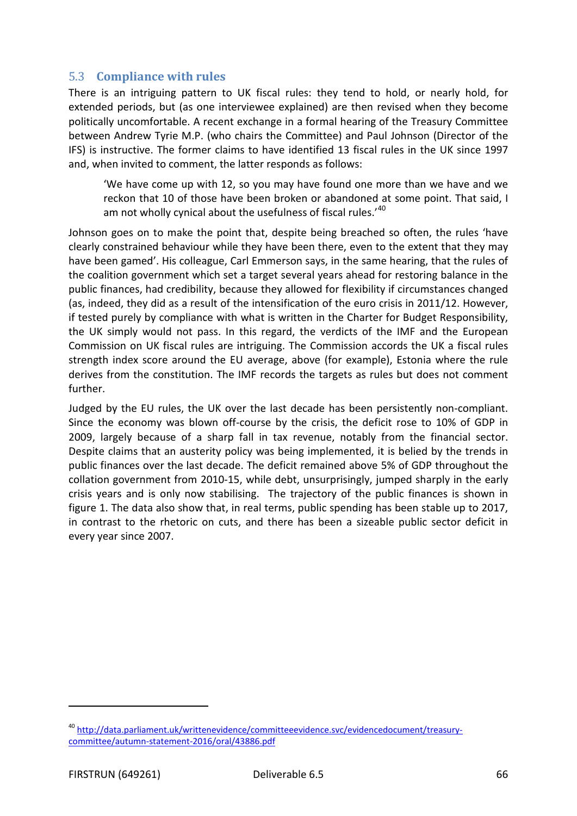## 5.3 **Compliance with rules**

There is an intriguing pattern to UK fiscal rules: they tend to hold, or nearly hold, for extended periods, but (as one interviewee explained) are then revised when they become politically uncomfortable. A recent exchange in a formal hearing of the Treasury Committee between Andrew Tyrie M.P. (who chairs the Committee) and Paul Johnson (Director of the IFS) is instructive. The former claims to have identified 13 fiscal rules in the UK since 1997 and, when invited to comment, the latter responds as follows:

'We have come up with 12, so you may have found one more than we have and we reckon that 10 of those have been broken or abandoned at some point. That said, I am not wholly cynical about the usefulness of fiscal rules.'[40](#page-65-0)

Johnson goes on to make the point that, despite being breached so often, the rules 'have clearly constrained behaviour while they have been there, even to the extent that they may have been gamed'. His colleague, Carl Emmerson says, in the same hearing, that the rules of the coalition government which set a target several years ahead for restoring balance in the public finances, had credibility, because they allowed for flexibility if circumstances changed (as, indeed, they did as a result of the intensification of the euro crisis in 2011/12. However, if tested purely by compliance with what is written in the Charter for Budget Responsibility, the UK simply would not pass. In this regard, the verdicts of the IMF and the European Commission on UK fiscal rules are intriguing. The Commission accords the UK a fiscal rules strength index score around the EU average, above (for example), Estonia where the rule derives from the constitution. The IMF records the targets as rules but does not comment further.

Judged by the EU rules, the UK over the last decade has been persistently non-compliant. Since the economy was blown off-course by the crisis, the deficit rose to 10% of GDP in 2009, largely because of a sharp fall in tax revenue, notably from the financial sector. Despite claims that an austerity policy was being implemented, it is belied by the trends in public finances over the last decade. The deficit remained above 5% of GDP throughout the collation government from 2010-15, while debt, unsurprisingly, jumped sharply in the early crisis years and is only now stabilising. The trajectory of the public finances is shown in figure 1. The data also show that, in real terms, public spending has been stable up to 2017, in contrast to the rhetoric on cuts, and there has been a sizeable public sector deficit in every year since 2007.

<span id="page-65-0"></span><sup>40</sup> [http://data.parliament.uk/writtenevidence/committeeevidence.svc/evidencedocument/treasury](http://data.parliament.uk/writtenevidence/committeeevidence.svc/evidencedocument/treasury-committee/autumn-statement-2016/oral/43886.pdf)[committee/autumn-statement-2016/oral/43886.pdf](http://data.parliament.uk/writtenevidence/committeeevidence.svc/evidencedocument/treasury-committee/autumn-statement-2016/oral/43886.pdf)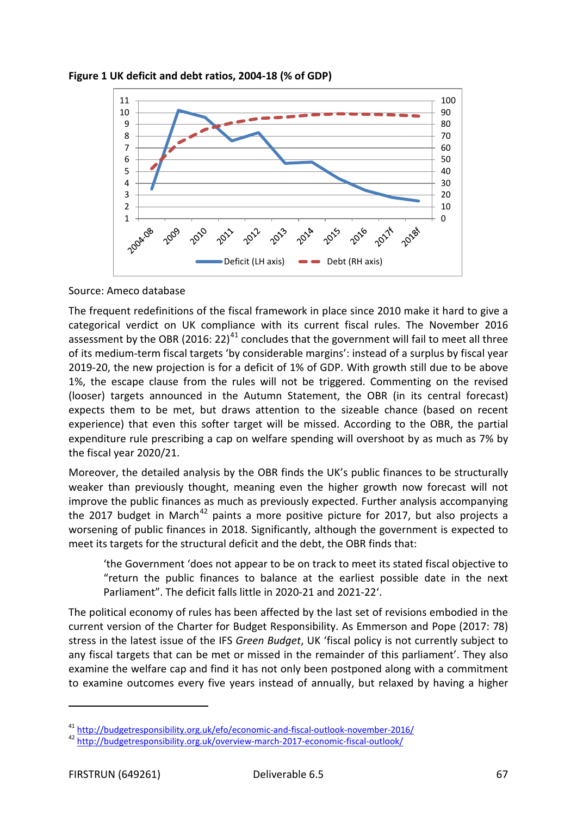



Source: Ameco database

The frequent redefinitions of the fiscal framework in place since 2010 make it hard to give a categorical verdict on UK compliance with its current fiscal rules. The November 2016 assessment by the OBR (2016: 22)<sup>[41](#page-66-0)</sup> concludes that the government will fail to meet all three of its medium-term fiscal targets 'by considerable margins': instead of a surplus by fiscal year 2019-20, the new projection is for a deficit of 1% of GDP. With growth still due to be above 1%, the escape clause from the rules will not be triggered. Commenting on the revised (looser) targets announced in the Autumn Statement, the OBR (in its central forecast) expects them to be met, but draws attention to the sizeable chance (based on recent experience) that even this softer target will be missed. According to the OBR, the partial expenditure rule prescribing a cap on welfare spending will overshoot by as much as 7% by the fiscal year 2020/21.

Moreover, the detailed analysis by the OBR finds the UK's public finances to be structurally weaker than previously thought, meaning even the higher growth now forecast will not improve the public finances as much as previously expected. Further analysis accompanying the 2017 budget in March<sup>[42](#page-66-1)</sup> paints a more positive picture for 2017, but also projects a worsening of public finances in 2018. Significantly, although the government is expected to meet its targets for the structural deficit and the debt, the OBR finds that:

'the Government 'does not appear to be on track to meet its stated fiscal objective to "return the public finances to balance at the earliest possible date in the next Parliament". The deficit falls little in 2020-21 and 2021-22'.

The political economy of rules has been affected by the last set of revisions embodied in the current version of the Charter for Budget Responsibility. As Emmerson and Pope (2017: 78) stress in the latest issue of the IFS *Green Budget*, UK 'fiscal policy is not currently subject to any fiscal targets that can be met or missed in the remainder of this parliament'. They also examine the welfare cap and find it has not only been postponed along with a commitment to examine outcomes every five years instead of annually, but relaxed by having a higher

<span id="page-66-0"></span><sup>&</sup>lt;sup>41</sup> <http://budgetresponsibility.org.uk/efo/economic-and-fiscal-outlook-november-2016/><br><sup>42</sup> <http://budgetresponsibility.org.uk/overview-march-2017-economic-fiscal-outlook/>

<span id="page-66-1"></span>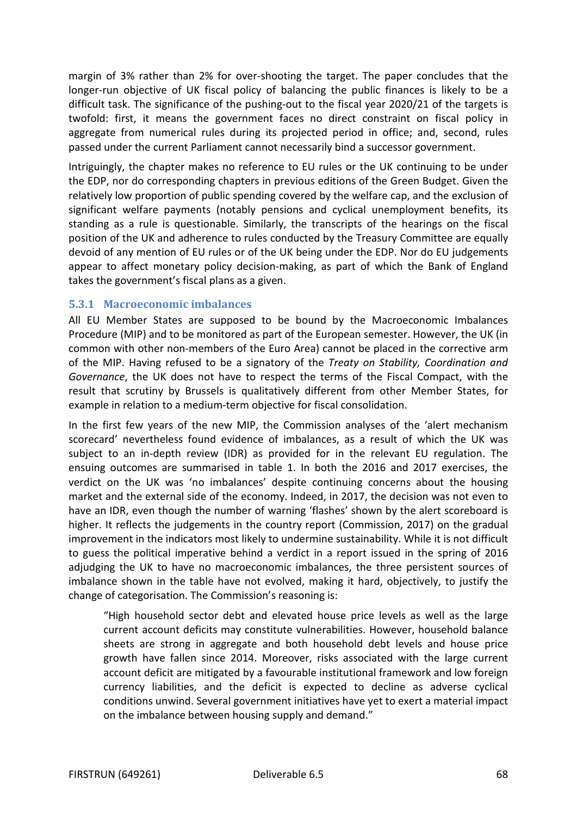margin of 3% rather than 2% for over-shooting the target. The paper concludes that the longer-run objective of UK fiscal policy of balancing the public finances is likely to be a difficult task. The significance of the pushing-out to the fiscal year 2020/21 of the targets is twofold: first, it means the government faces no direct constraint on fiscal policy in aggregate from numerical rules during its projected period in office; and, second, rules passed under the current Parliament cannot necessarily bind a successor government.

Intriguingly, the chapter makes no reference to EU rules or the UK continuing to be under the EDP, nor do corresponding chapters in previous editions of the Green Budget. Given the relatively low proportion of public spending covered by the welfare cap, and the exclusion of significant welfare payments (notably pensions and cyclical unemployment benefits, its standing as a rule is questionable. Similarly, the transcripts of the hearings on the fiscal position of the UK and adherence to rules conducted by the Treasury Committee are equally devoid of any mention of EU rules or of the UK being under the EDP. Nor do EU judgements appear to affect monetary policy decision-making, as part of which the Bank of England takes the government's fiscal plans as a given.

### **5.3.1 Macroeconomic imbalances**

All EU Member States are supposed to be bound by the Macroeconomic Imbalances Procedure (MIP) and to be monitored as part of the European semester. However, the UK (in common with other non-members of the Euro Area) cannot be placed in the corrective arm of the MIP. Having refused to be a signatory of the *Treaty on Stability, Coordination and Governance*, the UK does not have to respect the terms of the Fiscal Compact, with the result that scrutiny by Brussels is qualitatively different from other Member States, for example in relation to a medium-term objective for fiscal consolidation.

In the first few years of the new MIP, the Commission analyses of the 'alert mechanism scorecard' nevertheless found evidence of imbalances, as a result of which the UK was subject to an in-depth review (IDR) as provided for in the relevant EU regulation. The ensuing outcomes are summarised in table 1. In both the 2016 and 2017 exercises, the verdict on the UK was 'no imbalances' despite continuing concerns about the housing market and the external side of the economy. Indeed, in 2017, the decision was not even to have an IDR, even though the number of warning 'flashes' shown by the alert scoreboard is higher. It reflects the judgements in the country report (Commission, 2017) on the gradual improvement in the indicators most likely to undermine sustainability. While it is not difficult to guess the political imperative behind a verdict in a report issued in the spring of 2016 adjudging the UK to have no macroeconomic imbalances, the three persistent sources of imbalance shown in the table have not evolved, making it hard, objectively, to justify the change of categorisation. The Commission's reasoning is:

"High household sector debt and elevated house price levels as well as the large current account deficits may constitute vulnerabilities. However, household balance sheets are strong in aggregate and both household debt levels and house price growth have fallen since 2014. Moreover, risks associated with the large current account deficit are mitigated by a favourable institutional framework and low foreign currency liabilities, and the deficit is expected to decline as adverse cyclical conditions unwind. Several government initiatives have yet to exert a material impact on the imbalance between housing supply and demand."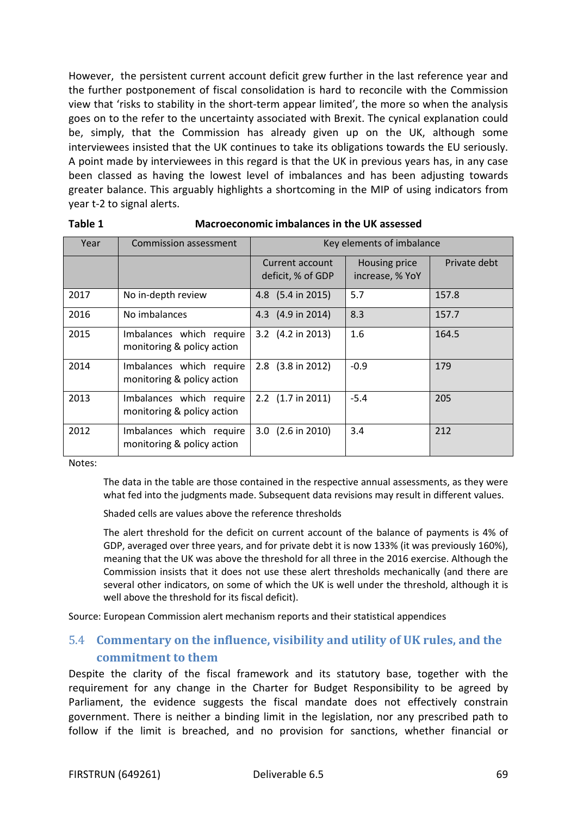However, the persistent current account deficit grew further in the last reference year and the further postponement of fiscal consolidation is hard to reconcile with the Commission view that 'risks to stability in the short-term appear limited', the more so when the analysis goes on to the refer to the uncertainty associated with Brexit. The cynical explanation could be, simply, that the Commission has already given up on the UK, although some interviewees insisted that the UK continues to take its obligations towards the EU seriously. A point made by interviewees in this regard is that the UK in previous years has, in any case been classed as having the lowest level of imbalances and has been adjusting towards greater balance. This arguably highlights a shortcoming in the MIP of using indicators from year t-2 to signal alerts.

| Year | Commission assessment                                  | Key elements of imbalance            |                                  |              |
|------|--------------------------------------------------------|--------------------------------------|----------------------------------|--------------|
|      |                                                        | Current account<br>deficit, % of GDP | Housing price<br>increase, % YoY | Private debt |
| 2017 | No in-depth review                                     | 4.8 (5.4 in 2015)                    | 5.7                              | 157.8        |
| 2016 | No imbalances                                          | 4.3 (4.9 in 2014)                    | 8.3                              | 157.7        |
| 2015 | Imbalances which require<br>monitoring & policy action | $3.2$ (4.2 in 2013)                  | 1.6                              | 164.5        |
| 2014 | Imbalances which require<br>monitoring & policy action | 2.8 (3.8 in 2012)                    | $-0.9$                           | 179          |
| 2013 | Imbalances which require<br>monitoring & policy action | 2.2 $(1.7 \text{ in } 2011)$         | $-5.4$                           | 205          |
| 2012 | Imbalances which require<br>monitoring & policy action | $3.0$ $(2.6 \text{ in } 2010)$       | 3.4                              | 212          |

#### **Table 1 Macroeconomic imbalances in the UK assessed**

Notes:

The data in the table are those contained in the respective annual assessments, as they were what fed into the judgments made. Subsequent data revisions may result in different values.

#### Shaded cells are values above the reference thresholds

The alert threshold for the deficit on current account of the balance of payments is 4% of GDP, averaged over three years, and for private debt it is now 133% (it was previously 160%), meaning that the UK was above the threshold for all three in the 2016 exercise. Although the Commission insists that it does not use these alert thresholds mechanically (and there are several other indicators, on some of which the UK is well under the threshold, although it is well above the threshold for its fiscal deficit).

Source: European Commission alert mechanism reports and their statistical appendices

## 5.4 **Commentary on the influence, visibility and utility of UK rules, and the commitment to them**

Despite the clarity of the fiscal framework and its statutory base, together with the requirement for any change in the Charter for Budget Responsibility to be agreed by Parliament, the evidence suggests the fiscal mandate does not effectively constrain government. There is neither a binding limit in the legislation, nor any prescribed path to follow if the limit is breached, and no provision for sanctions, whether financial or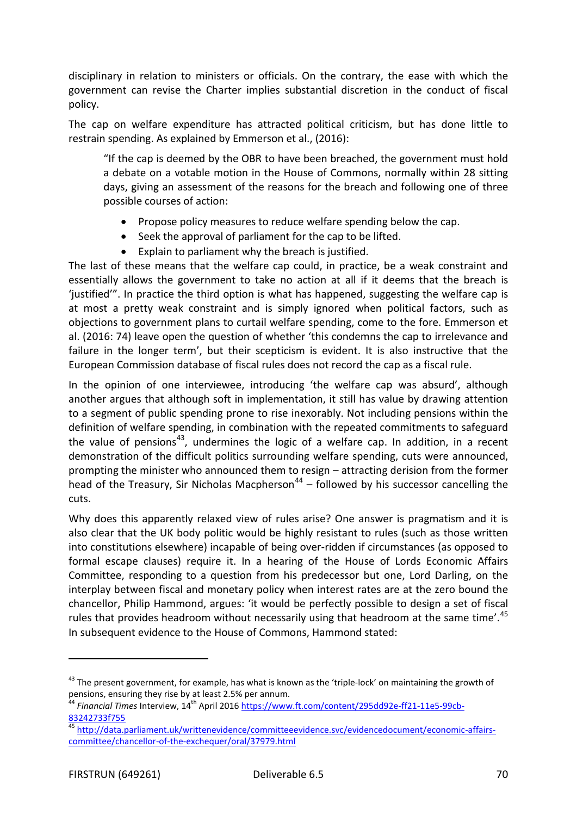disciplinary in relation to ministers or officials. On the contrary, the ease with which the government can revise the Charter implies substantial discretion in the conduct of fiscal policy.

The cap on welfare expenditure has attracted political criticism, but has done little to restrain spending. As explained by Emmerson et al., (2016):

"If the cap is deemed by the OBR to have been breached, the government must hold a debate on a votable motion in the House of Commons, normally within 28 sitting days, giving an assessment of the reasons for the breach and following one of three possible courses of action:

- Propose policy measures to reduce welfare spending below the cap.
- Seek the approval of parliament for the cap to be lifted.
- Explain to parliament why the breach is justified.

The last of these means that the welfare cap could, in practice, be a weak constraint and essentially allows the government to take no action at all if it deems that the breach is 'justified'". In practice the third option is what has happened, suggesting the welfare cap is at most a pretty weak constraint and is simply ignored when political factors, such as objections to government plans to curtail welfare spending, come to the fore. Emmerson et al. (2016: 74) leave open the question of whether 'this condemns the cap to irrelevance and failure in the longer term', but their scepticism is evident. It is also instructive that the European Commission database of fiscal rules does not record the cap as a fiscal rule.

In the opinion of one interviewee, introducing 'the welfare cap was absurd', although another argues that although soft in implementation, it still has value by drawing attention to a segment of public spending prone to rise inexorably. Not including pensions within the definition of welfare spending, in combination with the repeated commitments to safeguard the value of pensions<sup>43</sup>, undermines the logic of a welfare cap. In addition, in a recent demonstration of the difficult politics surrounding welfare spending, cuts were announced, prompting the minister who announced them to resign – attracting derision from the former head of the Treasury, Sir Nicholas Macpherson<sup>[44](#page-69-1)</sup> – followed by his successor cancelling the cuts.

Why does this apparently relaxed view of rules arise? One answer is pragmatism and it is also clear that the UK body politic would be highly resistant to rules (such as those written into constitutions elsewhere) incapable of being over-ridden if circumstances (as opposed to formal escape clauses) require it. In a hearing of the House of Lords Economic Affairs Committee, responding to a question from his predecessor but one, Lord Darling, on the interplay between fiscal and monetary policy when interest rates are at the zero bound the chancellor, Philip Hammond, argues: 'it would be perfectly possible to design a set of fiscal rules that provides headroom without necessarily using that headroom at the same time'.<sup>[45](#page-69-2)</sup> In subsequent evidence to the House of Commons, Hammond stated:

j

<span id="page-69-0"></span> $43$  The present government, for example, has what is known as the 'triple-lock' on maintaining the growth of pensions, ensuring they rise by at least 2.5% per annum.

<span id="page-69-1"></span><sup>&</sup>lt;sup>44</sup> Financial Times Interview, 14<sup>th</sup> April 2016 <u>https://www.ft.com/content/295dd92e-ff21-11e5-99cb-</u> [83242733f755](https://www.ft.com/content/295dd92e-ff21-11e5-99cb-83242733f755)

<span id="page-69-2"></span>[http://data.parliament.uk/writtenevidence/committeeevidence.svc/evidencedocument/economic-affairs](http://data.parliament.uk/writtenevidence/committeeevidence.svc/evidencedocument/economic-affairs-committee/chancellor-of-the-exchequer/oral/37979.html)[committee/chancellor-of-the-exchequer/oral/37979.html](http://data.parliament.uk/writtenevidence/committeeevidence.svc/evidencedocument/economic-affairs-committee/chancellor-of-the-exchequer/oral/37979.html)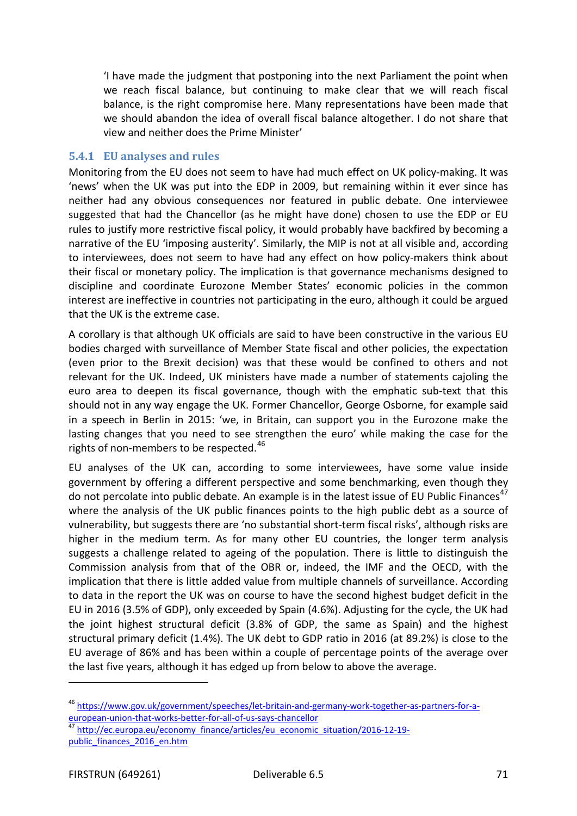'I have made the judgment that postponing into the next Parliament the point when we reach fiscal balance, but continuing to make clear that we will reach fiscal balance, is the right compromise here. Many representations have been made that we should abandon the idea of overall fiscal balance altogether. I do not share that view and neither does the Prime Minister'

### **5.4.1 EU analyses and rules**

Monitoring from the EU does not seem to have had much effect on UK policy-making. It was 'news' when the UK was put into the EDP in 2009, but remaining within it ever since has neither had any obvious consequences nor featured in public debate. One interviewee suggested that had the Chancellor (as he might have done) chosen to use the EDP or EU rules to justify more restrictive fiscal policy, it would probably have backfired by becoming a narrative of the EU 'imposing austerity'. Similarly, the MIP is not at all visible and, according to interviewees, does not seem to have had any effect on how policy-makers think about their fiscal or monetary policy. The implication is that governance mechanisms designed to discipline and coordinate Eurozone Member States' economic policies in the common interest are ineffective in countries not participating in the euro, although it could be argued that the UK is the extreme case.

A corollary is that although UK officials are said to have been constructive in the various EU bodies charged with surveillance of Member State fiscal and other policies, the expectation (even prior to the Brexit decision) was that these would be confined to others and not relevant for the UK. Indeed, UK ministers have made a number of statements cajoling the euro area to deepen its fiscal governance, though with the emphatic sub-text that this should not in any way engage the UK. Former Chancellor, George Osborne, for example said in a speech in Berlin in 2015: 'we, in Britain, can support you in the Eurozone make the lasting changes that you need to see strengthen the euro' while making the case for the rights of non-members to be respected.<sup>[46](#page-70-0)</sup>

EU analyses of the UK can, according to some interviewees, have some value inside government by offering a different perspective and some benchmarking, even though they do not percolate into public debate. An example is in the latest issue of EU Public Finances<sup>[47](#page-70-1)</sup> where the analysis of the UK public finances points to the high public debt as a source of vulnerability, but suggests there are 'no substantial short-term fiscal risks', although risks are higher in the medium term. As for many other EU countries, the longer term analysis suggests a challenge related to ageing of the population. There is little to distinguish the Commission analysis from that of the OBR or, indeed, the IMF and the OECD, with the implication that there is little added value from multiple channels of surveillance. According to data in the report the UK was on course to have the second highest budget deficit in the EU in 2016 (3.5% of GDP), only exceeded by Spain (4.6%). Adjusting for the cycle, the UK had the joint highest structural deficit (3.8% of GDP, the same as Spain) and the highest structural primary deficit (1.4%). The UK debt to GDP ratio in 2016 (at 89.2%) is close to the EU average of 86% and has been within a couple of percentage points of the average over the last five years, although it has edged up from below to above the average.

<span id="page-70-0"></span><sup>&</sup>lt;sup>46</sup> https://www.gov.uk/government/speeches/let-britain-and-germany-work-together-as-partners-for-a-<br>european-union-that-works-better-for-all-of-us-says-chancellor

<span id="page-70-1"></span>european-union-mall-organ-chancellor for-all-of-us-says-chancellor economic\_situation/2016-12-19-<br><sup>47</sup> [http://ec.europa.eu/economy\\_finance/articles/eu\\_economic\\_situation/2016-12-19](http://ec.europa.eu/economy_finance/articles/eu_economic_situation/2016-12-19-public_finances_2016_en.htm) [public\\_finances\\_2016\\_en.htm](http://ec.europa.eu/economy_finance/articles/eu_economic_situation/2016-12-19-public_finances_2016_en.htm)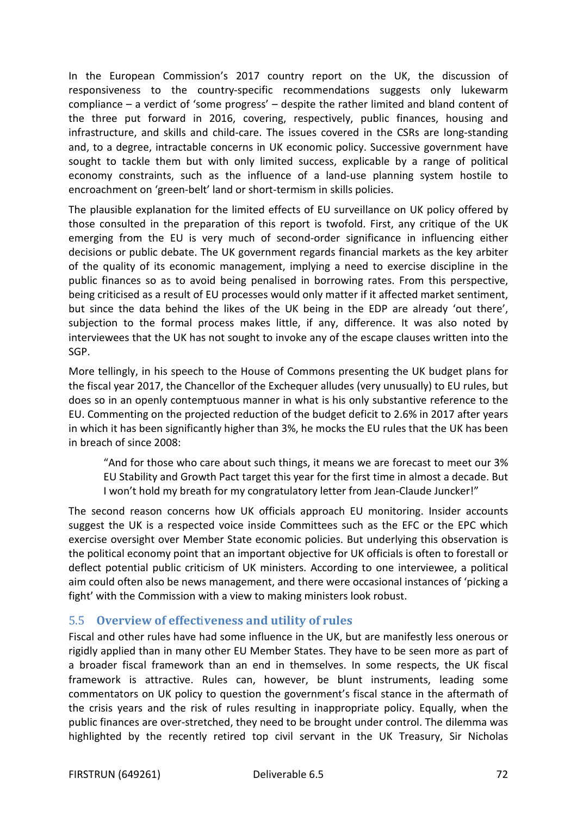In the European Commission's 2017 country report on the UK, the discussion of responsiveness to the country-specific recommendations suggests only lukewarm compliance – a verdict of 'some progress' – despite the rather limited and bland content of the three put forward in 2016, covering, respectively, public finances, housing and infrastructure, and skills and child-care. The issues covered in the CSRs are long-standing and, to a degree, intractable concerns in UK economic policy. Successive government have sought to tackle them but with only limited success, explicable by a range of political economy constraints, such as the influence of a land-use planning system hostile to encroachment on 'green-belt' land or short-termism in skills policies.

The plausible explanation for the limited effects of EU surveillance on UK policy offered by those consulted in the preparation of this report is twofold. First, any critique of the UK emerging from the EU is very much of second-order significance in influencing either decisions or public debate. The UK government regards financial markets as the key arbiter of the quality of its economic management, implying a need to exercise discipline in the public finances so as to avoid being penalised in borrowing rates. From this perspective, being criticised as a result of EU processes would only matter if it affected market sentiment, but since the data behind the likes of the UK being in the EDP are already 'out there', subjection to the formal process makes little, if any, difference. It was also noted by interviewees that the UK has not sought to invoke any of the escape clauses written into the SGP.

More tellingly, in his speech to the House of Commons presenting the UK budget plans for the fiscal year 2017, the Chancellor of the Exchequer alludes (very unusually) to EU rules, but does so in an openly contemptuous manner in what is his only substantive reference to the EU. Commenting on the projected reduction of the budget deficit to 2.6% in 2017 after years in which it has been significantly higher than 3%, he mocks the EU rules that the UK has been in breach of since 2008:

"And for those who care about such things, it means we are forecast to meet our 3% EU Stability and Growth Pact target this year for the first time in almost a decade. But I won't hold my breath for my congratulatory letter from Jean-Claude Juncker!"

The second reason concerns how UK officials approach EU monitoring. Insider accounts suggest the UK is a respected voice inside Committees such as the EFC or the EPC which exercise oversight over Member State economic policies. But underlying this observation is the political economy point that an important objective for UK officials is often to forestall or deflect potential public criticism of UK ministers. According to one interviewee, a political aim could often also be news management, and there were occasional instances of 'picking a fight' with the Commission with a view to making ministers look robust.

## 5.5 **Overview of effect**i**veness and utility of rules**

Fiscal and other rules have had some influence in the UK, but are manifestly less onerous or rigidly applied than in many other EU Member States. They have to be seen more as part of a broader fiscal framework than an end in themselves. In some respects, the UK fiscal framework is attractive. Rules can, however, be blunt instruments, leading some commentators on UK policy to question the government's fiscal stance in the aftermath of the crisis years and the risk of rules resulting in inappropriate policy. Equally, when the public finances are over-stretched, they need to be brought under control. The dilemma was highlighted by the recently retired top civil servant in the UK Treasury, Sir Nicholas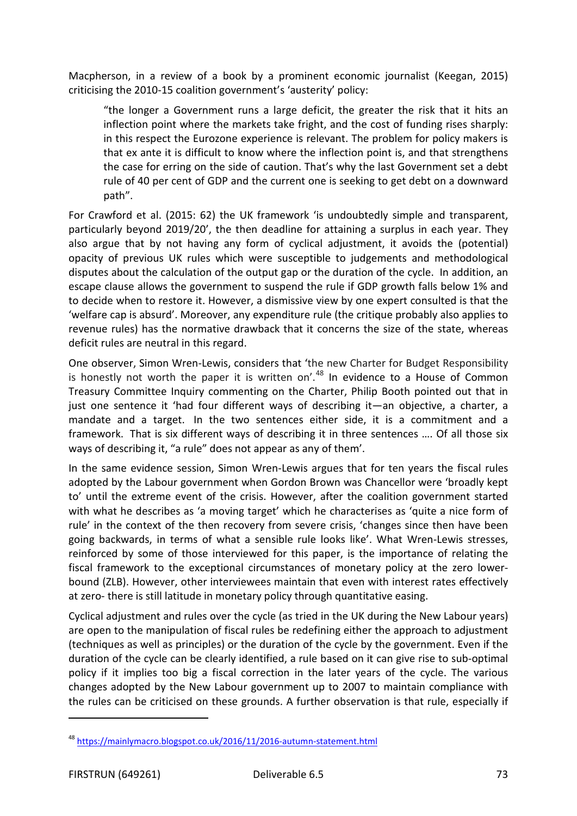Macpherson, in a review of a book by a prominent economic journalist (Keegan, 2015) criticising the 2010-15 coalition government's 'austerity' policy:

"the longer a Government runs a large deficit, the greater the risk that it hits an inflection point where the markets take fright, and the cost of funding rises sharply: in this respect the Eurozone experience is relevant. The problem for policy makers is that ex ante it is difficult to know where the inflection point is, and that strengthens the case for erring on the side of caution. That's why the last Government set a debt rule of 40 per cent of GDP and the current one is seeking to get debt on a downward path".

For Crawford et al. (2015: 62) the UK framework 'is undoubtedly simple and transparent, particularly beyond 2019/20', the then deadline for attaining a surplus in each year. They also argue that by not having any form of cyclical adjustment, it avoids the (potential) opacity of previous UK rules which were susceptible to judgements and methodological disputes about the calculation of the output gap or the duration of the cycle. In addition, an escape clause allows the government to suspend the rule if GDP growth falls below 1% and to decide when to restore it. However, a dismissive view by one expert consulted is that the 'welfare cap is absurd'. Moreover, any expenditure rule (the critique probably also applies to revenue rules) has the normative drawback that it concerns the size of the state, whereas deficit rules are neutral in this regard.

One observer, Simon Wren-Lewis, considers that 'the new Charter for Budget Responsibility is honestly not worth the paper it is written on'.<sup>[48](#page-72-0)</sup> In evidence to a House of Common Treasury Committee Inquiry commenting on the Charter, Philip Booth pointed out that in just one sentence it 'had four different ways of describing it—an objective, a charter, a mandate and a target. In the two sentences either side, it is a commitment and a framework. That is six different ways of describing it in three sentences …. Of all those six ways of describing it, "a rule" does not appear as any of them'.

In the same evidence session, Simon Wren-Lewis argues that for ten years the fiscal rules adopted by the Labour government when Gordon Brown was Chancellor were 'broadly kept to' until the extreme event of the crisis. However, after the coalition government started with what he describes as 'a moving target' which he characterises as 'quite a nice form of rule' in the context of the then recovery from severe crisis, 'changes since then have been going backwards, in terms of what a sensible rule looks like'. What Wren-Lewis stresses, reinforced by some of those interviewed for this paper, is the importance of relating the fiscal framework to the exceptional circumstances of monetary policy at the zero lowerbound (ZLB). However, other interviewees maintain that even with interest rates effectively at zero- there is still latitude in monetary policy through quantitative easing.

Cyclical adjustment and rules over the cycle (as tried in the UK during the New Labour years) are open to the manipulation of fiscal rules be redefining either the approach to adjustment (techniques as well as principles) or the duration of the cycle by the government. Even if the duration of the cycle can be clearly identified, a rule based on it can give rise to sub-optimal policy if it implies too big a fiscal correction in the later years of the cycle. The various changes adopted by the New Labour government up to 2007 to maintain compliance with the rules can be criticised on these grounds. A further observation is that rule, especially if

 $\overline{a}$ 

<span id="page-72-0"></span><sup>&</sup>lt;sup>48</sup> <https://mainlymacro.blogspot.co.uk/2016/11/2016-autumn-statement.html>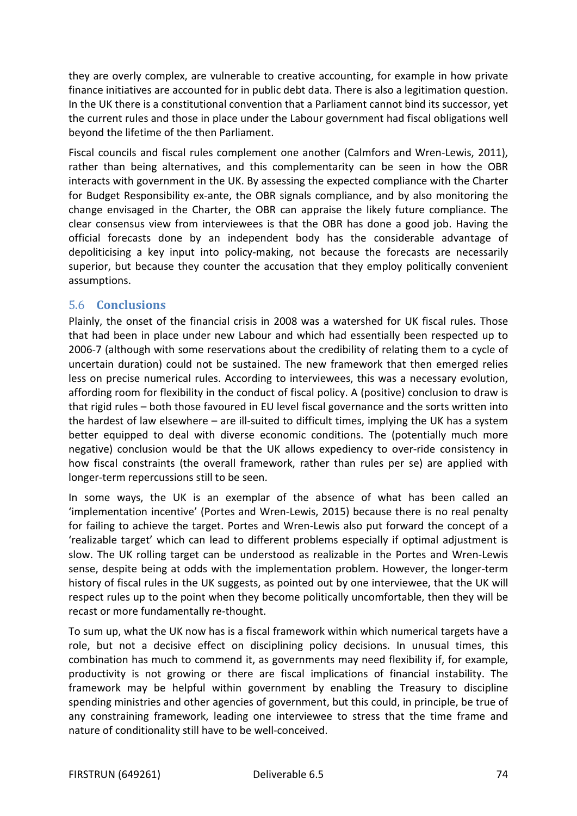they are overly complex, are vulnerable to creative accounting, for example in how private finance initiatives are accounted for in public debt data. There is also a legitimation question. In the UK there is a constitutional convention that a Parliament cannot bind its successor, yet the current rules and those in place under the Labour government had fiscal obligations well beyond the lifetime of the then Parliament.

Fiscal councils and fiscal rules complement one another (Calmfors and Wren-Lewis, 2011), rather than being alternatives, and this complementarity can be seen in how the OBR interacts with government in the UK. By assessing the expected compliance with the Charter for Budget Responsibility ex-ante, the OBR signals compliance, and by also monitoring the change envisaged in the Charter, the OBR can appraise the likely future compliance. The clear consensus view from interviewees is that the OBR has done a good job. Having the official forecasts done by an independent body has the considerable advantage of depoliticising a key input into policy-making, not because the forecasts are necessarily superior, but because they counter the accusation that they employ politically convenient assumptions.

## 5.6 **Conclusions**

Plainly, the onset of the financial crisis in 2008 was a watershed for UK fiscal rules. Those that had been in place under new Labour and which had essentially been respected up to 2006-7 (although with some reservations about the credibility of relating them to a cycle of uncertain duration) could not be sustained. The new framework that then emerged relies less on precise numerical rules. According to interviewees, this was a necessary evolution, affording room for flexibility in the conduct of fiscal policy. A (positive) conclusion to draw is that rigid rules – both those favoured in EU level fiscal governance and the sorts written into the hardest of law elsewhere – are ill-suited to difficult times, implying the UK has a system better equipped to deal with diverse economic conditions. The (potentially much more negative) conclusion would be that the UK allows expediency to over-ride consistency in how fiscal constraints (the overall framework, rather than rules per se) are applied with longer-term repercussions still to be seen.

In some ways, the UK is an exemplar of the absence of what has been called an 'implementation incentive' (Portes and Wren-Lewis, 2015) because there is no real penalty for failing to achieve the target. Portes and Wren-Lewis also put forward the concept of a 'realizable target' which can lead to different problems especially if optimal adjustment is slow. The UK rolling target can be understood as realizable in the Portes and Wren-Lewis sense, despite being at odds with the implementation problem. However, the longer-term history of fiscal rules in the UK suggests, as pointed out by one interviewee, that the UK will respect rules up to the point when they become politically uncomfortable, then they will be recast or more fundamentally re-thought.

To sum up, what the UK now has is a fiscal framework within which numerical targets have a role, but not a decisive effect on disciplining policy decisions. In unusual times, this combination has much to commend it, as governments may need flexibility if, for example, productivity is not growing or there are fiscal implications of financial instability. The framework may be helpful within government by enabling the Treasury to discipline spending ministries and other agencies of government, but this could, in principle, be true of any constraining framework, leading one interviewee to stress that the time frame and nature of conditionality still have to be well-conceived.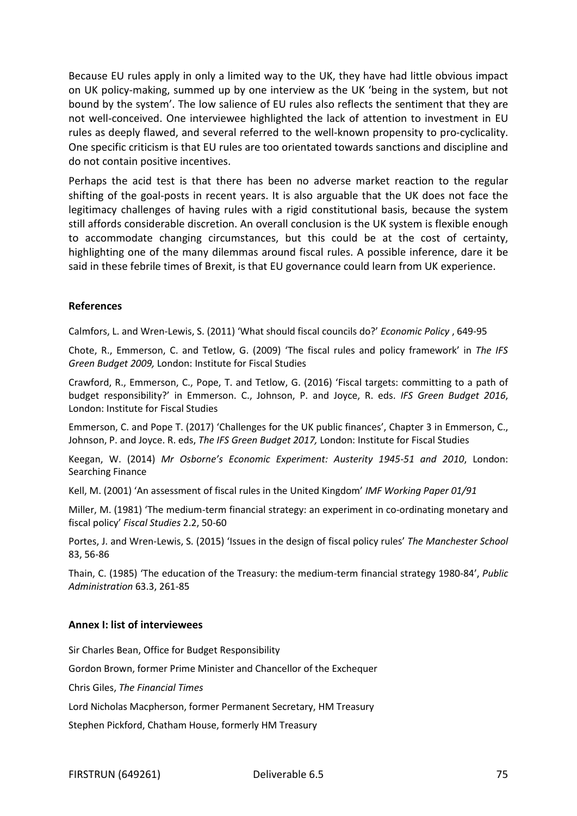Because EU rules apply in only a limited way to the UK, they have had little obvious impact on UK policy-making, summed up by one interview as the UK 'being in the system, but not bound by the system'. The low salience of EU rules also reflects the sentiment that they are not well-conceived. One interviewee highlighted the lack of attention to investment in EU rules as deeply flawed, and several referred to the well-known propensity to pro-cyclicality. One specific criticism is that EU rules are too orientated towards sanctions and discipline and do not contain positive incentives.

Perhaps the acid test is that there has been no adverse market reaction to the regular shifting of the goal-posts in recent years. It is also arguable that the UK does not face the legitimacy challenges of having rules with a rigid constitutional basis, because the system still affords considerable discretion. An overall conclusion is the UK system is flexible enough to accommodate changing circumstances, but this could be at the cost of certainty, highlighting one of the many dilemmas around fiscal rules. A possible inference, dare it be said in these febrile times of Brexit, is that EU governance could learn from UK experience.

## **References**

Calmfors, L. and Wren-Lewis, S. (2011) 'What should fiscal councils do?' *Economic Policy* , 649-95

Chote, R., Emmerson, C. and Tetlow, G. (2009) 'The fiscal rules and policy framework' in *The IFS Green Budget 2009,* London: Institute for Fiscal Studies

Crawford, R., Emmerson, C., Pope, T. and Tetlow, G. (2016) 'Fiscal targets: committing to a path of budget responsibility?' in Emmerson. C., Johnson, P. and Joyce, R. eds. *IFS Green Budget 2016*, London: Institute for Fiscal Studies

Emmerson, C. and Pope T. (2017) 'Challenges for the UK public finances', Chapter 3 in Emmerson, C., Johnson, P. and Joyce. R. eds, *The IFS Green Budget 2017,* London: Institute for Fiscal Studies

Keegan, W. (2014) *Mr Osborne's Economic Experiment: Austerity 1945-51 and 2010*, London: Searching Finance

Kell, M. (2001) 'An assessment of fiscal rules in the United Kingdom' *IMF Working Paper 01/91*

Miller, M. (1981) 'The medium-term financial strategy: an experiment in co-ordinating monetary and fiscal policy' *Fiscal Studies* 2.2, 50-60

Portes, J. and Wren-Lewis, S. (2015) 'Issues in the design of fiscal policy rules' *The Manchester School* 83, 56-86

Thain, C. (1985) 'The education of the Treasury: the medium-term financial strategy 1980-84', *Public Administration* 63.3, 261-85

## **Annex I: list of interviewees**

Sir Charles Bean, Office for Budget Responsibility

Gordon Brown, former Prime Minister and Chancellor of the Exchequer

Chris Giles, *The Financial Times*

Lord Nicholas Macpherson, former Permanent Secretary, HM Treasury

Stephen Pickford, Chatham House, formerly HM Treasury